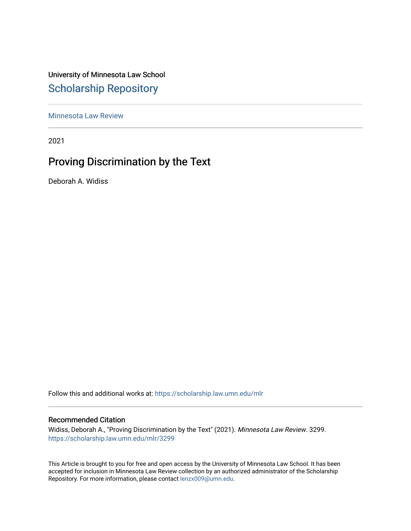# University of Minnesota Law School [Scholarship Repository](https://scholarship.law.umn.edu/)

[Minnesota Law Review](https://scholarship.law.umn.edu/mlr) 

2021

# Proving Discrimination by the Text

Deborah A. Widiss

Follow this and additional works at: [https://scholarship.law.umn.edu/mlr](https://scholarship.law.umn.edu/mlr?utm_source=scholarship.law.umn.edu%2Fmlr%2F3299&utm_medium=PDF&utm_campaign=PDFCoverPages)

## Recommended Citation

Widiss, Deborah A., "Proving Discrimination by the Text" (2021). Minnesota Law Review. 3299. [https://scholarship.law.umn.edu/mlr/3299](https://scholarship.law.umn.edu/mlr/3299?utm_source=scholarship.law.umn.edu%2Fmlr%2F3299&utm_medium=PDF&utm_campaign=PDFCoverPages)

This Article is brought to you for free and open access by the University of Minnesota Law School. It has been accepted for inclusion in Minnesota Law Review collection by an authorized administrator of the Scholarship Repository. For more information, please contact [lenzx009@umn.edu.](mailto:lenzx009@umn.edu)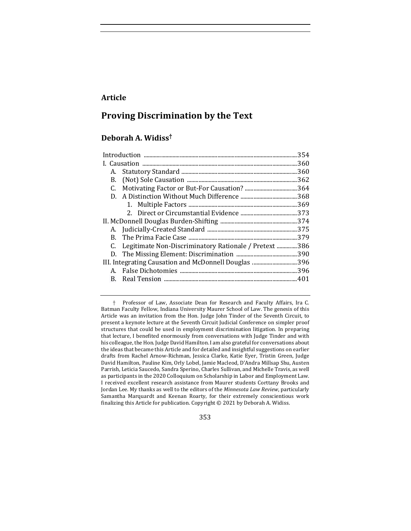## **Article**

# **Proving Discrimination by the Text**

# **Deborah A. Widiss†**

|                                                       |                                                          | .354 |
|-------------------------------------------------------|----------------------------------------------------------|------|
|                                                       |                                                          |      |
| А.                                                    |                                                          |      |
| В.                                                    |                                                          |      |
| C.                                                    |                                                          |      |
|                                                       |                                                          |      |
|                                                       |                                                          |      |
|                                                       |                                                          |      |
|                                                       |                                                          |      |
|                                                       |                                                          |      |
|                                                       |                                                          |      |
|                                                       | C. Legitimate Non-Discriminatory Rationale / Pretext 386 |      |
|                                                       |                                                          |      |
| III. Integrating Causation and McDonnell Douglas  396 |                                                          |      |
| А.                                                    |                                                          |      |
| В.                                                    |                                                          |      |
|                                                       |                                                          |      |

353

<sup>†</sup> Professor of Law, Associate Dean for Research and Faculty Affairs, Ira C. Batman Faculty Fellow, Indiana University Maurer School of Law. The genesis of this Article was an invitation from the Hon. Judge John Tinder of the Seventh Circuit, to present a keynote lecture at the Seventh Circuit Judicial Conference on simpler proof structures that could be used in employment discrimination litigation. In preparing that lecture, I benefited enormously from conversations with Judge Tinder and with his colleague, the Hon. Judge David Hamilton. I am also grateful for conversations about the ideas that became this Article and for detailed and insightful suggestions on earlier drafts from Rachel Arnow-Richman, Jessica Clarke, Katie Eyer, Tristin Green, Judge David Hamilton, Pauline Kim, Orly Lobel, Jamie Macleod, D'Andra Millsap Shu, Austen Parrish, Leticia Saucedo, Sandra Sperino, Charles Sullivan, and Michelle Travis, as well as participants in the 2020 Colloquium on Scholarship in Labor and Employment Law. I received excellent research assistance from Maurer students Corttany Brooks and Jordan Lee. My thanks as well to the editors of the *Minnesota Law Review*, particularly Samantha Marquardt and Keenan Roarty, for their extremely conscientious work finalizing this Article for publication. Copyright  $©$  2021 by Deborah A. Widiss.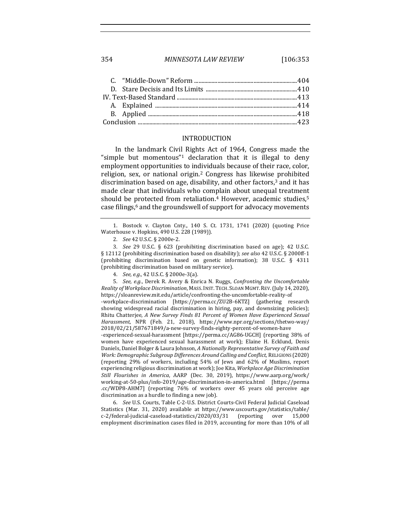354 *MINNESOTA LAW REVIEW* [106:353

#### INTRODUCTION

In the landmark Civil Rights Act of 1964, Congress made the "simple but momentous"<sup>1</sup> declaration that it is illegal to deny employment opportunities to individuals because of their race, color, religion, sex, or national origin.<sup>2</sup> Congress has likewise prohibited discrimination based on age, disability, and other factors, $3$  and it has made clear that individuals who complain about unequal treatment should be protected from retaliation.<sup>4</sup> However, academic studies,<sup>5</sup> case filings,<sup>6</sup> and the groundswell of support for advocacy movements

5. *See, e.g.*, Derek R. Avery & Enrica N. Ruggs, *Confronting the Uncomfortable Reality of Workplace Discrimination*, MASS. INST. TECH. SLOAN MGMT. REV. (July 14, 2020), https://sloanreview.mit.edu/article/confronting-the-uncomfortable-reality-of

-workplace-discrimination [https://perma.cc/ZU2B-6KTZ] (gathering research showing widespread racial discrimination in hiring, pay, and downsizing policies); Rhitu Chatterjee, A New Survey Finds 81 Percent of Women Have Experienced Sexual *Harassment*, NPR (Feb. 21, 2018), https://www.npr.org/sections/thetwo-way/ 2018/02/21/587671849/a-new-survey-finds-eighty-percent-of-women-have

-experienced-sexual-harassment [https://perma.cc/AG86-UGCH] (reporting 38% of women have experienced sexual harassment at work); Elaine H. Ecklund, Denis Daniels, Daniel Bolger & Laura Johnson, *A Nationally Representative Survey of Faith and Work: Demographic Subgroup Differences Around Calling and Conflict, RELIGIONS* (2020) (reporting 29% of workers, including 54% of Jews and 62% of Muslims, report experiencing religious discrimination at work); Joe Kita, *Workplace Age Discrimination Still Flourishes in America*, AARP (Dec. 30, 2019), https://www.aarp.org/work/ working-at-50-plus/info-2019/age-discrimination-in-america.html [https://perma .cc/WDP8-AHM7] (reporting 76% of workers over 45 years old perceive age discrimination as a hurdle to finding a new job).

6. *See U.S. Courts, Table C-2-U.S. District Courts-Civil Federal Judicial Caseload* Statistics (Mar. 31, 2020) available at https://www.uscourts.gov/statistics/table/ c-2/federal-judicial-caseload-statistics/2020/03/31 (reporting over 15,000 employment discrimination cases filed in 2019, accounting for more than 10% of all

<sup>1.</sup> Bostock v. Clayton Cnty., 140 S. Ct. 1731, 1741 (2020) (quoting Price Waterhouse v. Hopkins, 490 U.S. 228 (1989)).

<sup>2.</sup> *See* 42 U.S.C. § 2000e-2.

<sup>3.</sup> *See* 29 U.S.C. § 623 (prohibiting discrimination based on age); 42 U.S.C. § 12112 (prohibiting discrimination based on disability); see also 42 U.S.C. § 2000ff-1 (prohibiting discrimination based on genetic information);  $38\,$  U.S.C.  $\S$  4311 (prohibiting discrimination based on military service).

<sup>4.</sup> *See, e.g.*, 42 U.S.C. § 2000e-3(a).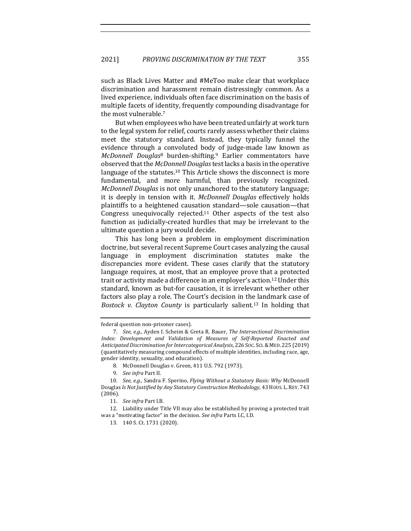such as Black Lives Matter and #MeToo make clear that workplace discrimination and harassment remain distressingly common. As a lived experience, individuals often face discrimination on the basis of multiple facets of identity, frequently compounding disadvantage for the most vulnerable.<sup>7</sup>

But when employees who have been treated unfairly at work turn to the legal system for relief, courts rarely assess whether their claims meet the statutory standard. Instead, they typically funnel the evidence through a convoluted body of judge-made law known as *McDonnell Douglas*<sup>8</sup> burden-shifting.<sup>9</sup> Earlier commentators have observed that the *McDonnell Douglas* test lacks a basis in the operative language of the statutes.<sup>10</sup> This Article shows the disconnect is more fundamental, and more harmful, than previously recognized. *McDonnell Douglas* is not only unanchored to the statutory language; it is deeply in tension with it. *McDonnell Douglas* effectively holds plaintiffs to a heightened causation standard—sole causation—that Congress unequivocally rejected.<sup>11</sup> Other aspects of the test also function as judicially-created hurdles that may be irrelevant to the ultimate question a jury would decide.

This has long been a problem in employment discrimination doctrine, but several recent Supreme Court cases analyzing the causal language in employment discrimination statutes make the discrepancies more evident. These cases clarify that the statutory language requires, at most, that an employee prove that a protected trait or activity made a difference in an employer's action.<sup>12</sup> Under this standard, known as but-for causation, it is irrelevant whether other factors also play a role. The Court's decision in the landmark case of *Bostock v. Clayton County* is particularly salient.<sup>13</sup> In holding that

federal question non-prisoner cases).

<sup>7.</sup> *See, e.g.*, Ayden I. Scheim & Greta R. Bauer, *The Intersectional Discrimination* Index: Development and Validation of Measures of Self-Reported Enacted and *Anticipated Discrimination for Intercategorical Analysis*, 226 SOC. SCI.& MED. 225 (2019) (quantitatively measuring compound effects of multiple identities, including race, age, gender identity, sexuality, and education).

<sup>8.</sup> McDonnell Douglas v. Green, 411 U.S. 792 (1973).

<sup>9.</sup> *See infra* Part II.

<sup>10.</sup> *See, e.g.*, Sandra F. Sperino, *Flying Without a Statutory Basis: Why McDonnell* Douglas Is Not Justified by Any Statutory Construction Methodology, 43 HOUS. L. REV. 743 (2006).

<sup>11.</sup> *See infra* Part I.B.

<sup>12.</sup> Liability under Title VII may also be established by proving a protected trait was a "motivating factor" in the decision. *See infra* Parts I.C, I.D.

<sup>13. 140</sup> S. Ct. 1731 (2020).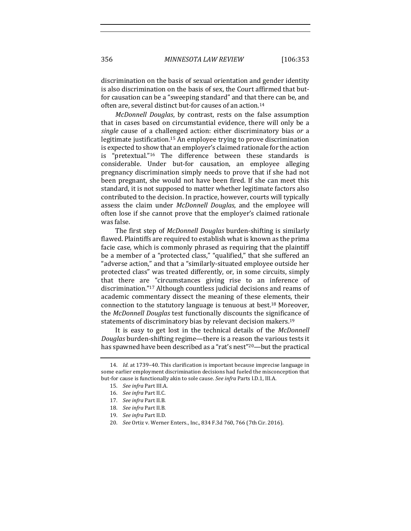356 *MINNESOTA LAW REVIEW* [106:353

discrimination on the basis of sexual orientation and gender identity is also discrimination on the basis of sex, the Court affirmed that butfor causation can be a "sweeping standard" and that there can be, and often are, several distinct but-for causes of an action.<sup>14</sup>

*McDonnell Douglas*, by contrast, rests on the false assumption that in cases based on circumstantial evidence, there will only be a *single* cause of a challenged action: either discriminatory bias *or* a legitimate justification.<sup>15</sup> An employee trying to prove discrimination is expected to show that an employer's claimed rationale for the action is "pretextual."<sup>16</sup> The difference between these standards is considerable. Under but-for causation, an employee alleging pregnancy discrimination simply needs to prove that if she had not been pregnant, she would not have been fired. If she can meet this standard, it is not supposed to matter whether legitimate factors also contributed to the decision. In practice, however, courts will typically assess the claim under *McDonnell Douglas*, and the employee will often lose if she cannot prove that the employer's claimed rationale was false.

The first step of *McDonnell Douglas* burden-shifting is similarly flawed. Plaintiffs are required to establish what is known as the prima facie case, which is commonly phrased as requiring that the plaintiff be a member of a "protected class," "qualified," that she suffered an "adverse action," and that a "similarly-situated employee outside her protected class" was treated differently, or, in some circuits, simply that there are "circumstances giving rise to an inference of discrimination."<sup>17</sup> Although countless judicial decisions and reams of academic commentary dissect the meaning of these elements, their connection to the statutory language is tenuous at best.<sup>18</sup> Moreover, the *McDonnell Douglas* test functionally discounts the significance of statements of discriminatory bias by relevant decision makers.<sup>19</sup>

It is easy to get lost in the technical details of the *McDonnell Douglas* burden-shifting regime—there is a reason the various tests it has spawned have been described as a "rat's nest"<sup>20</sup>—but the practical

<sup>14.</sup> *Id.* at 1739-40. This clarification is important because imprecise language in some earlier employment discrimination decisions had fueled the misconception that but-for cause is functionally akin to sole cause. See infra Parts I.D.1, III.A.

<sup>15.</sup> *See infra Part III.A.* 

<sup>16.</sup> *See infra Part II.C.* 

<sup>17.</sup> *See infra* Part II.B.

<sup>18.</sup> *See infra* Part II.B.

<sup>19.</sup> *See infra* Part II.D.

<sup>20.</sup> *See* Ortiz v. Werner Enters., Inc., 834 F.3d 760, 766 (7th Cir. 2016).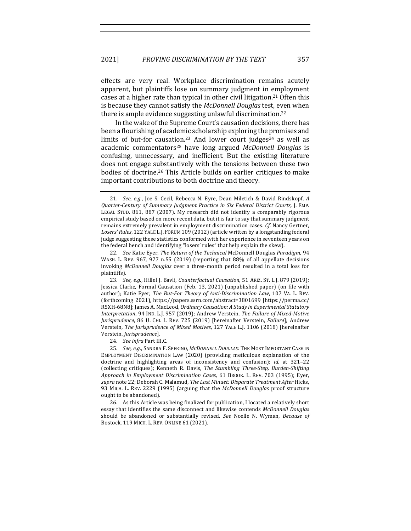effects are very real. Workplace discrimination remains acutely apparent, but plaintiffs lose on summary judgment in employment cases at a higher rate than typical in other civil litigation.<sup>21</sup> Often this is because they cannot satisfy the *McDonnell Douglas* test, even when there is ample evidence suggesting unlawful discrimination.<sup>22</sup>

In the wake of the Supreme Court's causation decisions, there has been a flourishing of academic scholarship exploring the promises and limits of but-for causation.<sup>23</sup> And lower court judges<sup>24</sup> as well as academic commentators<sup>25</sup> have long argued *McDonnell Douglas* is confusing, unnecessary, and inefficient. But the existing literature does not engage substantively with the tensions between these two bodies of doctrine.<sup>26</sup> This Article builds on earlier critiques to make important contributions to both doctrine and theory.

22. *See Katie Eyer, The Return of the Technical McDonnell Douglas Paradigm, 94* WASH. L. REV. 967, 977 n.55 (2019) (reporting that 88% of all appellate decisions invoking *McDonnell Douglas* over a three-month period resulted in a total loss for plaintiffs).

23. *See, e.g.*, Hillel J. Bavli, *Counterfactual Causation*, 51 ARIZ. ST. L.J. 879 (2019); Jessica Clarke, Formal Causation (Feb. 13, 2021) (unpublished paper) (on file with author); Katie Eyer, *The But-For Theory of Anti-Discrimination Law*, 107 VA. L. REV. (forthcoming 2021), https://papers.ssrn.com/abstract=3801699 [https://perma.cc/ R5XH-68N8]; James A. MacLeod, *Ordinary Causation: A Study in Experimental Statutory* Interpretation, 94 IND. L.J. 957 (2019); Andrew Verstein, *The Failure of Mixed-Motive Jurisprudence*, 86 U. CHI. L. REV. 725 (2019) [hereinafter Verstein, *Failure*]; Andrew Verstein, *The Jurisprudence of Mixed Motives*, 127 YALE L.J. 1106 (2018) [hereinafter Verstein, *Jurisprudence*].

24. *See infra Part III.C.* 

25. *See, e.g.*, SANDRA F. SPERINO, *MCDONNELL DOUGLAS*: THE MOST IMPORTANT CASE IN EMPLOYMENT DISCRIMINATION LAW (2020) (providing meticulous explanation of the doctrine and highlighting areas of inconsistency and confusion); *id.* at 321-22 (collecting critiques); Kenneth R. Davis, *The Stumbling Three-Step, Burden-Shifting Approach in Employment Discrimination Cases*, 61 BROOK. L. REV. 703 (1995); Eyer, *supra* note 22; Deborah C. Malamud, *The Last Minuet: Disparate Treatment After Hicks*, 93 MICH. L. REV. 2229 (1995) (arguing that the *McDonnell Douglas* proof structure ought to be abandoned).

26. As this Article was being finalized for publication, I located a relatively short essay that identifies the same disconnect and likewise contends *McDonnell Douglas* should be abandoned or substantially revised. See Noelle N. Wyman, Because of Bostock, 119 MICH. L. REV. ONLINE 61 (2021).

<sup>21.</sup> *See, e.g.*, Joe S. Cecil, Rebecca N. Eyre, Dean Miletich & David Rindskopf, A *Quarter-Century of Summary Judgment Practice in Six Federal District Courts,* J. EMP. LEGAL STUD. 861, 887 (2007). My research did not identify a comparably rigorous empirical study based on more recent data, but it is fair to say that summary judgment remains extremely prevalent in employment discrimination cases. *Cf.* Nancy Gertner, Losers' Rules, 122 YALE L.J. FORUM 109 (2012) (article written by a longstanding federal judge suggesting these statistics conformed with her experience in seventeen years on the federal bench and identifying "losers' rules" that help explain the skew).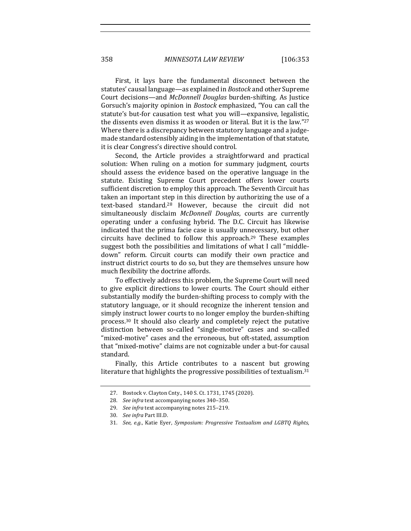358 *MINNESOTA LAW REVIEW* [106:353

First, it lays bare the fundamental disconnect between the statutes' causal language—as explained in *Bostock* and other Supreme Court decisions—and *McDonnell Douglas* burden-shifting. As Justice Gorsuch's majority opinion in *Bostock* emphasized, "You can call the statute's but-for causation test what you will—expansive, legalistic, the dissents even dismiss it as wooden or literal. But it is the law." $27$ Where there is a discrepancy between statutory language and a judgemade standard ostensibly aiding in the implementation of that statute, it is clear Congress's directive should control.

Second, the Article provides a straightforward and practical solution: When ruling on a motion for summary judgment, courts should assess the evidence based on the operative language in the statute. Existing Supreme Court precedent offers lower courts sufficient discretion to employ this approach. The Seventh Circuit has taken an important step in this direction by authorizing the use of a text-based standard.<sup>28</sup> However, because the circuit did not simultaneously disclaim *McDonnell Douglas*, courts are currently operating under a confusing hybrid. The D.C. Circuit has likewise indicated that the prima facie case is usually unnecessary, but other circuits have declined to follow this approach.<sup>29</sup> These examples suggest both the possibilities and limitations of what I call "middledown" reform. Circuit courts can modify their own practice and instruct district courts to do so, but they are themselves unsure how much flexibility the doctrine affords.

To effectively address this problem, the Supreme Court will need to give explicit directions to lower courts. The Court should either substantially modify the burden-shifting process to comply with the statutory language, or it should recognize the inherent tension and simply instruct lower courts to no longer employ the burden-shifting process.<sup>30</sup> It should also clearly and completely reject the putative distinction between so-called "single-motive" cases and so-called "mixed-motive" cases and the erroneous, but oft-stated, assumption that "mixed-motive" claims are not cognizable under a but-for causal standard. 

Finally, this Article contributes to a nascent but growing literature that highlights the progressive possibilities of textualism. $31$ 

<sup>27.</sup> Bostock v. Clayton Cnty., 140 S. Ct. 1731, 1745 (2020).

<sup>28.</sup> *See infra* text accompanying notes 340-350.

<sup>29.</sup> *See infra* text accompanying notes 215-219.

<sup>30.</sup> *See infra Part III.D.* 

<sup>31.</sup> *See, e.g.*, Katie Eyer, *Symposium: Progressive Textualism and LGBTQ Rights*,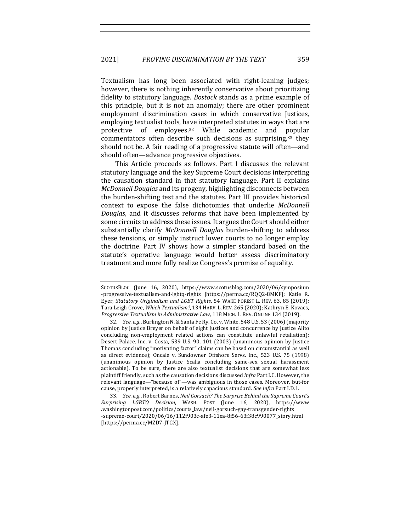Textualism has long been associated with right-leaning judges; however, there is nothing inherently conservative about prioritizing fidelity to statutory language. *Bostock* stands as a prime example of this principle, but it is not an anomaly; there are other prominent employment discrimination cases in which conservative Justices, employing textualist tools, have interpreted statutes in ways that are protective of employees.<sup>32</sup> While academic and popular commentators often describe such decisions as surprising, $33$  they should not be. A fair reading of a progressive statute will often—and should often—advance progressive objectives.

This Article proceeds as follows. Part I discusses the relevant statutory language and the key Supreme Court decisions interpreting the causation standard in that statutory language. Part II explains *McDonnell Douglas* and its progeny, highlighting disconnects between the burden-shifting test and the statutes. Part III provides historical context to expose the false dichotomies that underlie *McDonnell Douglas*, and it discusses reforms that have been implemented by some circuits to address these issues. It argues the Court should either substantially clarify *McDonnell Douglas* burden-shifting to address these tensions, or simply instruct lower courts to no longer employ the doctrine. Part IV shows how a simpler standard based on the statute's operative language would better assess discriminatory treatment and more fully realize Congress's promise of equality.

33. *See, e.g.*, Robert Barnes, *Neil Gorsuch? The Surprise Behind the Supreme Court's Surprising LGBTQ Decision*, WASH. POST (June 16, 2020), https://www .washingtonpost.com/politics/courts\_law/neil-gorsuch-gay-transgender-rights -supreme-court/2020/06/16/112f903c-afe3-11ea-8f56-63f38c990077\_story.html [https://perma.cc/MZD7-JTGX].

SCOTUSBLOG (June 16, 2020), https://www.scotusblog.com/2020/06/symposium -progressive-textualism-and-lgbtq-rights [https://perma.cc/RQQ2-8MKF]; Katie R. Eyer, *Statutory Originalism and LGBT Rights*, 54 WAKE FOREST L. REV. 63, 85 (2019); Tara Leigh Grove, Which Textualism?, 134 HARV. L. REV. 265 (2020); Kathryn E. Kovacs, *Progressive Textualism in Administrative Law,* 118 MICH. L. REV. ONLINE 134 (2019).

<sup>32.</sup> *See, e.g.*, Burlington N. & Santa Fe Ry. Co. v. White, 548 U.S. 53 (2006) (majority opinion by Justice Breyer on behalf of eight Justices and concurrence by Justice Alito concluding non-employment related actions can constitute unlawful retaliation); Desert Palace, Inc. v. Costa, 539 U.S. 90, 101 (2003) (unanimous opinion by Justice Thomas concluding "motivating factor" claims can be based on circumstantial as well as direct evidence); Oncale v. Sundowner Offshore Servs. Inc., 523 U.S. 75 (1998) (unanimous opinion by Justice Scalia concluding same-sex sexual harassment actionable). To be sure, there are also textualist decisions that are somewhat less plaintiff friendly, such as the causation decisions discussed *infra* Part I.C. However, the relevant language—"because of"—was ambiguous in those cases. Moreover, but-for cause, properly interpreted, is a relatively capacious standard. See infra Part I.D.1.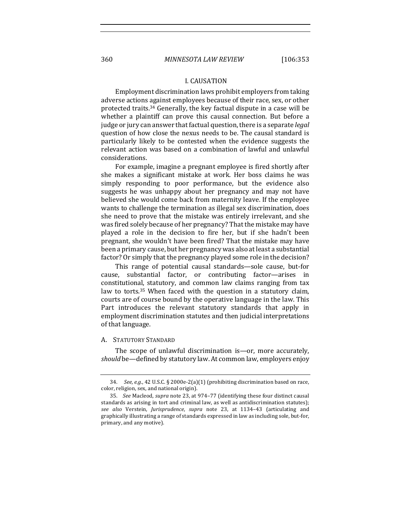#### **I. CAUSATION**

Employment discrimination laws prohibit employers from taking adverse actions against employees because of their race, sex, or other protected traits. $34$  Generally, the key factual dispute in a case will be whether a plaintiff can prove this causal connection. But before a judge or jury can answer that factual question, there is a separate *legal* question of how close the nexus needs to be. The causal standard is particularly likely to be contested when the evidence suggests the relevant action was based on a combination of lawful and unlawful considerations.

For example, imagine a pregnant employee is fired shortly after she makes a significant mistake at work. Her boss claims he was simply responding to poor performance, but the evidence also suggests he was unhappy about her pregnancy and may not have believed she would come back from maternity leave. If the employee wants to challenge the termination as illegal sex discrimination, does she need to prove that the mistake was entirely irrelevant, and she was fired solely because of her pregnancy? That the mistake may have played a role in the decision to fire her, but if she hadn't been pregnant, she wouldn't have been fired? That the mistake may have been a primary cause, but her pregnancy was also at least a substantial factor? Or simply that the pregnancy played some role in the decision?

This range of potential causal standards—sole cause, but-for cause, substantial factor, or contributing factor—arises in constitutional, statutory, and common law claims ranging from tax law to torts.<sup>35</sup> When faced with the question in a statutory claim, courts are of course bound by the operative language in the law. This Part introduces the relevant statutory standards that apply in employment discrimination statutes and then judicial interpretations of that language.

#### A. STATUTORY STANDARD

The scope of unlawful discrimination is—or, more accurately, *should* be—defined by statutory law. At common law, employers enjoy

<sup>34.</sup> *See, e.g.*, 42 U.S.C. § 2000e-2(a)(1) (prohibiting discrimination based on race, color, religion, sex, and national origin).

<sup>35.</sup> *See* Macleod, *supra* note 23, at 974–77 (identifying these four distinct causal standards as arising in tort and criminal law, as well as antidiscrimination statutes); *see also*  Verstein, *Jurisprudence*, *supra*  note 23, at 1134–43 (articulating and graphically illustrating a range of standards expressed in law as including sole, but-for, primary, and any motive).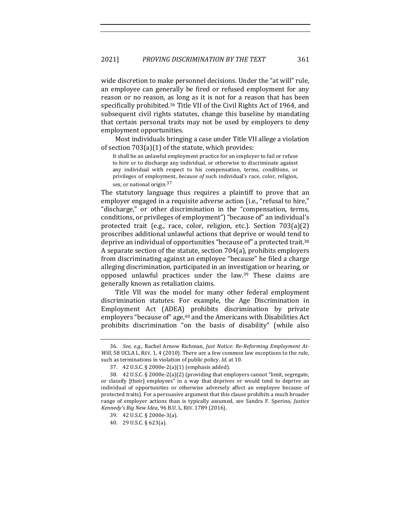wide discretion to make personnel decisions. Under the "at will" rule, an employee can generally be fired or refused employment for any reason or no reason, as long as it is not for a reason that has been specifically prohibited.<sup>36</sup> Title VII of the Civil Rights Act of 1964, and subsequent civil rights statutes, change this baseline by mandating that certain personal traits may not be used by employers to deny employment opportunities.

Most individuals bringing a case under Title VII allege a violation of section  $703(a)(1)$  of the statute, which provides:

It shall be an unlawful employment practice for an employer to fail or refuse to hire or to discharge any individual, or otherwise to discriminate against any individual with respect to his compensation, terms, conditions, or privileges of employment, *because of* such individual's race, color, religion, sex, or national origin.<sup>37</sup>

The statutory language thus requires a plaintiff to prove that an employer engaged in a requisite adverse action (i.e., "refusal to hire," "discharge," or other discrimination in the "compensation, terms, conditions, or privileges of employment") "because of" an individual's protected trait (e.g., race, color, religion, etc.). Section  $703(a)(2)$ proscribes additional unlawful actions that deprive or would tend to deprive an individual of opportunities "because of" a protected trait.<sup>38</sup> A separate section of the statute, section  $704(a)$ , prohibits employers from discriminating against an employee "because" he filed a charge alleging discrimination, participated in an investigation or hearing, or opposed unlawful practices under the law. $39$  These claims are generally known as retaliation claims.

Title VII was the model for many other federal employment discrimination statutes. For example, the Age Discrimination in Employment Act (ADEA) prohibits discrimination by private employers "because of" age,<sup>40</sup> and the Americans with Disabilities Act prohibits discrimination "on the basis of disability" (while also

<sup>36.</sup> See, e.g., Rachel Arnow Richman, Just Notice: Re-Reforming Employment At-*Will*, 58 UCLA L. REV. 1, 4 (2010). There are a few common law exceptions to the rule, such as terminations in violation of public policy. *Id.* at 10.

<sup>37. 42</sup> U.S.C. § 2000e-2(a)(1) (emphasis added).

<sup>38. 42</sup> U.S.C. § 2000e-2(a)(2) (providing that employers cannot "limit, segregate, or classify [their] employees" in a way that deprives or would tend to deprive an individual of opportunities or otherwise adversely affect an employee because of protected traits). For a persuasive argument that this clause prohibits a much broader range of employer actions than is typically assumed, see Sandra F. Sperino, Justice Kennedy's Big New Idea, 96 B.U. L. REV. 1789 (2016).

<sup>39.</sup> 42 U.S.C. § 2000e-3(a).

<sup>40.</sup> 29 U.S.C. § 623(a).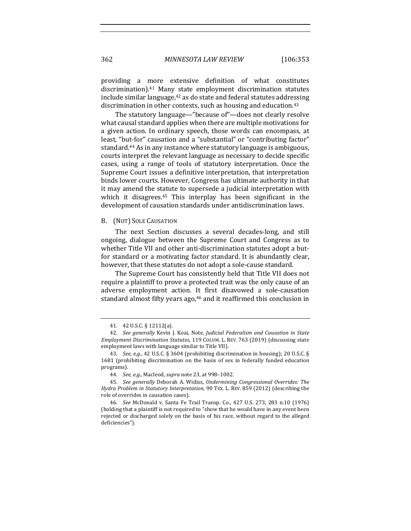providing a more extensive definition of what constitutes discrimination).<sup>41</sup> Many state employment discrimination statutes include similar language, $42$  as do state and federal statutes addressing discrimination in other contexts, such as housing and education. $43$ 

The statutory language—"because of"—does not clearly resolve what causal standard applies when there are multiple motivations for a given action. In ordinary speech, those words can encompass, at least, "but-for" causation and a "substantial" or "contributing factor" standard.<sup>44</sup> As in any instance where statutory language is ambiguous, courts interpret the relevant language as necessary to decide specific cases, using a range of tools of statutory interpretation. Once the Supreme Court issues a definitive interpretation, that interpretation binds lower courts. However, Congress has ultimate authority in that it may amend the statute to supersede a judicial interpretation with which it disagrees. $45$  This interplay has been significant in the development of causation standards under antidiscrimination laws.

#### B. (NOT) SOLE CAUSATION

The next Section discusses a several decades-long, and still ongoing, dialogue between the Supreme Court and Congress as to whether Title VII and other anti-discrimination statutes adopt a butfor standard or a motivating factor standard. It is abundantly clear, however, that these statutes do not adopt a sole-cause standard.

The Supreme Court has consistently held that Title VII does not require a plaintiff to prove a protected trait was the only cause of an adverse employment action. It first disavowed a sole-causation standard almost fifty years ago,<sup>46</sup> and it reaffirmed this conclusion in

<sup>41.</sup> 42 U.S.C. § 12112(a).

<sup>42.</sup> *See generally* Kevin J. Koai, Note, *Judicial Federalism and Causation in State Employment Discrimination Statutes*, 119 COLUM. L. REV. 763 (2019) (discussing state employment laws with language similar to Title VII).

<sup>43.</sup> *See, e.g.*, 42 U.S.C. § 3604 (prohibiting discrimination in housing); 20 U.S.C. § 1681 (prohibiting discrimination on the basis of sex in federally funded education programs).

<sup>44.</sup> *See, e.g.*, Macleod, *supra* note 23, at 998-1002.

<sup>45.</sup> *See generally* Deborah A. Widiss, *Undermining Congressional Overrides: The Hydra Problem in Statutory Interpretation,* 90 TEX. L. REV. 859 (2012) (describing the role of overrides in causation cases).

<sup>46.</sup> *See* McDonald v. Santa Fe Trail Transp. Co., 427 U.S. 273, 283 n.10 (1976) (holding that a plaintiff is not required to "show that he would have in any event been rejected or discharged solely on the basis of his race, without regard to the alleged deficiencies").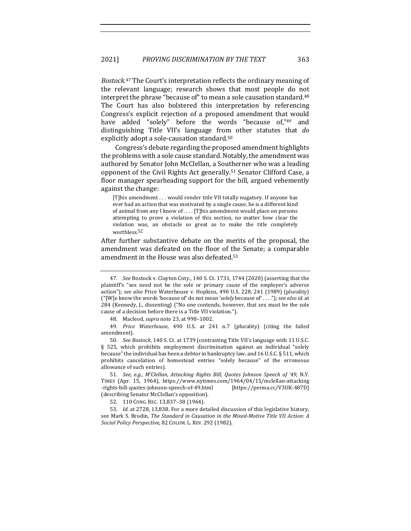Bostock.<sup>47</sup> The Court's interpretation reflects the ordinary meaning of the relevant language; research shows that most people do not interpret the phrase "because of" to mean a sole causation standard.<sup>48</sup> The Court has also bolstered this interpretation by referencing Congress's explicit rejection of a proposed amendment that would have added "solely" before the words "because of,"<sup>49</sup> and distinguishing Title VII's language from other statutes that *do* explicitly adopt a sole-causation standard.<sup>50</sup>

Congress's debate regarding the proposed amendment highlights the problems with a sole cause standard. Notably, the amendment was authored by Senator John McClellan, a Southerner who was a leading opponent of the Civil Rights Act generally.<sup>51</sup> Senator Clifford Case, a floor manager spearheading support for the bill, argued vehemently against the change:

[T]his amendment ... would render title VII totally nugatory. If anyone has ever had an action that was motivated by a single cause, he is a different kind of animal from any I know of .... [T]his amendment would place on persons attempting to prove a violation of this section, no matter how clear the violation was, an obstacle so great as to make the title completely worthless.52

After further substantive debate on the merits of the proposal, the amendment was defeated on the floor of the Senate; a comparable amendment in the House was also defeated.<sup>53</sup>

48. Macleod, *supra* note 23, at 998-1002.

49. Price Waterhouse, 490 U.S. at 241 n.7 (plurality) (citing the failed amendment).

50. *See Bostock*, 140 S. Ct. at 1739 (contrasting Title VII's language with 11 U.S.C. § 525, which prohibits employment discrimination against an individual "solely because" the individual has been a debtor in bankruptcy law, and 16 U.S.C. § 511, which prohibits cancelation of homestead entries "solely because" of the erroneous allowance of such entries).

51. *See, e.g., M'Clellan, Attacking Rights Bill, Quotes Johnson Speech of '49, N.Y.* TIMES (Apr. 15, 1964), https://www.nytimes.com/1964/04/15/mclellan-attacking -rights-bill-quotes-johnson-speech-of-49.html [https://perma.cc/V3UK-487D] (describing Senator McClellan's opposition).

52. 110 CONG. REC. 13,837–38 (1964).

53. *Id.* at 2728, 13,838. For a more detailed discussion of this legislative history, see Mark S. Brodin, *The Standard in Causation in the Mixed-Motive Title VII Action: A Social Policy Perspective*, 82 COLUM. L. REV. 292 (1982).

<sup>47.</sup> *See* Bostock v. Clayton Cnty., 140 S. Ct. 1731, 1744 (2020) (asserting that the plaintiff's "sex need not be the sole or primary cause of the employer's adverse action"); see also Price Waterhouse v. Hopkins, 490 U.S. 228, 241 (1989) (plurality) ("[W]e know the words 'because of' do not mean 'solely because of' . . . ."); see also id. at 284 (Kennedy, J., dissenting) ("No one contends, however, that sex must be the sole cause of a decision before there is a Title VII violation.").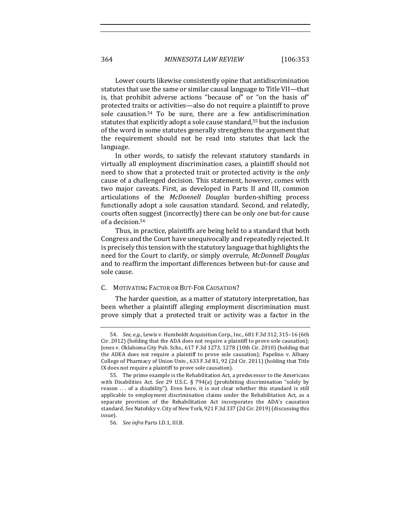364 *MINNESOTA LAW REVIEW* [106:353

Lower courts likewise consistently opine that antidiscrimination statutes that use the same or similar causal language to Title VII—that is, that prohibit adverse actions "because of" or "on the basis of" protected traits or activities—also do not require a plaintiff to prove sole causation.<sup>54</sup> To be sure, there are a few antidiscrimination statutes that explicitly adopt a sole cause standard,<sup>55</sup> but the inclusion of the word in some statutes generally strengthens the argument that the requirement should not be read into statutes that lack the language. 

In other words, to satisfy the relevant statutory standards in virtually all employment discrimination cases, a plaintiff should not need to show that a protected trait or protected activity is the *only* cause of a challenged decision. This statement, however, comes with two major caveats. First, as developed in Parts II and III, common articulations of the *McDonnell Douglas* burden-shifting process functionally adopt a sole causation standard. Second, and relatedly, courts often suggest (incorrectly) there can be only *one* but-for cause of a decision.<sup>56</sup>

Thus, in practice, plaintiffs are being held to a standard that both Congress and the Court have unequivocally and repeatedly rejected. It is precisely this tension with the statutory language that highlights the need for the Court to clarify, or simply overrule, *McDonnell Douglas* and to reaffirm the important differences between but-for cause and sole cause.

### C. MOTIVATING FACTOR OR BUT-FOR CAUSATION?

The harder question, as a matter of statutory interpretation, has been whether a plaintiff alleging employment discrimination must prove simply that a protected trait or activity was a factor in the

<sup>54.</sup> *See, e.g.*, Lewis v. Humboldt Acquisition Corp., Inc., 681 F.3d 312, 315-16 (6th Cir. 2012) (holding that the ADA does not require a plaintiff to prove sole causation); Jones v. Oklahoma City Pub. Schs., 617 F.3d 1273, 1278 (10th Cir. 2010) (holding that the ADEA does not require a plaintiff to prove sole causation); Papelino v. Albany College of Pharmacy of Union Univ.,  $633$  F.3d  $81$ ,  $92$  (2d Cir. 2011) (holding that Title IX does not require a plaintiff to prove sole causation).

<sup>55.</sup> The prime example is the Rehabilitation Act, a predecessor to the Americans with Disabilities Act. See 29 U.S.C. § 794(a) (prohibiting discrimination "solely by reason ... of a disability"). Even here, it is not clear whether this standard is still applicable to employment discrimination claims under the Rehabilitation Act, as a separate provision of the Rehabilitation Act incorporates the ADA's causation standard. See Natofsky v. City of New York, 921 F.3d 337 (2d Cir. 2019) (discussing this issue).

<sup>56.</sup> *See infra* Parts I.D.1, III.B.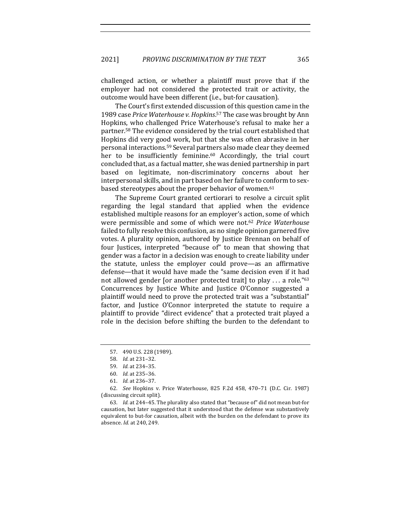challenged action, or whether a plaintiff must prove that if the employer had not considered the protected trait or activity, the outcome would have been different (i.e., but-for causation).

The Court's first extended discussion of this question came in the 1989 case Price Waterhouse v. Hopkins.<sup>57</sup> The case was brought by Ann Hopkins, who challenged Price Waterhouse's refusal to make her a partner.<sup>58</sup> The evidence considered by the trial court established that Hopkins did very good work, but that she was often abrasive in her personal interactions.<sup>59</sup> Several partners also made clear they deemed her to be insufficiently feminine.<sup>60</sup> Accordingly, the trial court concluded that, as a factual matter, she was denied partnership in part based on legitimate, non-discriminatory concerns about her interpersonal skills, and in part based on her failure to conform to sexbased stereotypes about the proper behavior of women.<sup>61</sup>

The Supreme Court granted certiorari to resolve a circuit split regarding the legal standard that applied when the evidence established multiple reasons for an employer's action, some of which were permissible and some of which were not.<sup>62</sup> Price Waterhouse failed to fully resolve this confusion, as no single opinion garnered five votes. A plurality opinion, authored by Justice Brennan on behalf of four Justices, interpreted "because of" to mean that showing that gender was a factor in a decision was enough to create liability under the statute, unless the employer could prove—as an affirmative defense—that it would have made the "same decision even if it had not allowed gender [or another protected trait] to play  $\dots$  a role."63 Concurrences by Justice White and Justice O'Connor suggested a plaintiff would need to prove the protected trait was a "substantial" factor, and Justice O'Connor interpreted the statute to require a plaintiff to provide "direct evidence" that a protected trait played a role in the decision before shifting the burden to the defendant to

63. *Id.* at 244-45. The plurality also stated that "because of" did not mean but-for causation, but later suggested that it understood that the defense was substantively equivalent to but-for causation, albeit with the burden on the defendant to prove its absence. *Id.* at 240, 249.

<sup>57. 490</sup> U.S. 228 (1989).

<sup>58.</sup> *Id.* at 231–32.

<sup>59.</sup> *Id.* at 234–35.

<sup>60.</sup> *Id.* at 235–36.

<sup>61.</sup> *Id.* at 236–37.

<sup>62.</sup> *See* Hopkins v. Price Waterhouse, 825 F.2d 458, 470-71 (D.C. Cir. 1987) (discussing circuit split).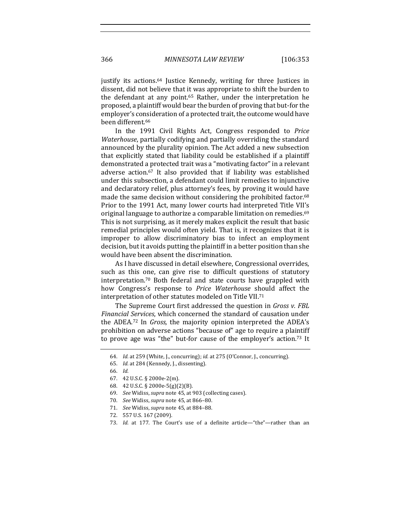justify its actions.<sup>64</sup> Justice Kennedy, writing for three Justices in dissent, did not believe that it was appropriate to shift the burden to the defendant at any point.<sup>65</sup> Rather, under the interpretation he proposed, a plaintiff would bear the burden of proving that but-for the employer's consideration of a protected trait, the outcome would have been different.<sup>66</sup>

In the 1991 Civil Rights Act, Congress responded to *Price Waterhouse*, partially codifying and partially overriding the standard announced by the plurality opinion. The Act added a new subsection that explicitly stated that liability could be established if a plaintiff demonstrated a protected trait was a "motivating factor" in a relevant adverse action.<sup>67</sup> It also provided that if liability was established under this subsection, a defendant could limit remedies to injunctive and declaratory relief, plus attorney's fees, by proving it would have made the same decision without considering the prohibited factor.<sup>68</sup> Prior to the 1991 Act, many lower courts had interpreted Title VII's original language to authorize a comparable limitation on remedies.<sup>69</sup> This is not surprising, as it merely makes explicit the result that basic remedial principles would often yield. That is, it recognizes that it is improper to allow discriminatory bias to infect an employment decision, but it avoids putting the plaintiff in a better position than she would have been absent the discrimination.

As I have discussed in detail elsewhere, Congressional overrides, such as this one, can give rise to difficult questions of statutory interpretation.<sup>70</sup> Both federal and state courts have grappled with how Congress's response to *Price Waterhouse* should affect the interpretation of other statutes modeled on Title VII.<sup>71</sup>

The Supreme Court first addressed the question in *Gross v. FBL* Financial Services, which concerned the standard of causation under the ADEA.<sup>72</sup> In *Gross*, the majority opinion interpreted the ADEA's prohibition on adverse actions "because of" age to require a plaintiff to prove age was "the" but-for cause of the employer's action.<sup>73</sup> It

<sup>64.</sup> *Id.* at 259 (White, J., concurring); *id.* at 275 (O'Connor, J., concurring).

<sup>65.</sup> *Id.* at 284 (Kennedy, J., dissenting).

<sup>66.</sup> *Id.*

<sup>67.</sup> 42 U.S.C. § 2000e-2(m).

<sup>68.</sup> 42 U.S.C. § 2000e-5(g)(2)(B).

<sup>69.</sup> *See* Widiss, *supra* note 45, at 903 (collecting cases).

<sup>70.</sup> *See* Widiss, *supra* note 45, at 866–80.

<sup>71.</sup> *See* Widiss, *supra* note 45, at 884–88.

<sup>72. 557</sup> U.S. 167 (2009).

<sup>73.</sup> *Id.* at 177. The Court's use of a definite article—"the"—rather than an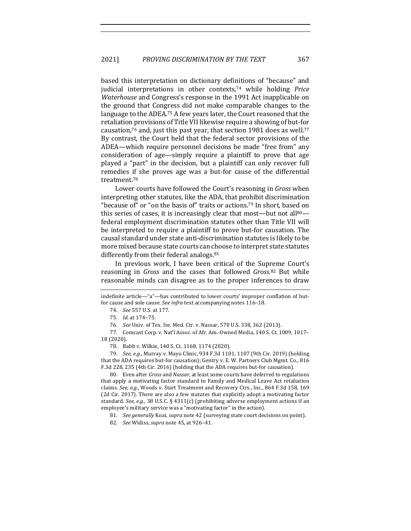based this interpretation on dictionary definitions of "because" and judicial interpretations in other contexts,<sup>74</sup> while holding *Price Waterhouse* and Congress's response in the 1991 Act inapplicable on the ground that Congress did not make comparable changes to the language to the ADEA.<sup>75</sup> A few years later, the Court reasoned that the retaliation provisions of Title VII likewise require a showing of but-for causation,<sup>76</sup> and, just this past year, that section 1981 does as well.<sup>77</sup> By contrast, the Court held that the federal sector provisions of the ADEA—which require personnel decisions be made "free from" any consideration of age—simply require a plaintiff to prove that age played a "part" in the decision, but a plaintiff can only recover full remedies if she proves age was a but-for cause of the differential treatment.78

Lower courts have followed the Court's reasoning in *Gross* when interpreting other statutes, like the ADA, that prohibit discrimination "because of" or "on the basis of" traits or actions.<sup>79</sup> In short, based on this series of cases, it is increasingly clear that most—but not all $80$ federal employment discrimination statutes other than Title VII will be interpreted to require a plaintiff to prove but-for causation. The causal standard under state anti-discrimination statutes is likely to be more mixed because state courts can choose to interpret state statutes differently from their federal analogs. $81$ 

In previous work, I have been critical of the Supreme Court's reasoning in *Gross* and the cases that followed *Gross*.<sup>82</sup> But while reasonable minds can disagree as to the proper inferences to draw

77. Comcast Corp. v. Nat'l Assoc. of Afr. Am.-Owned Media, 140 S. Ct. 1009, 1017-18 (2020).

80. Even after *Gross* and *Nassar*, at least some courts have deferred to regulations that apply a motivating factor standard to Family and Medical Leave Act retaliation claims. See, e.g., Woods v. Start Treatment and Recovery Ctrs., Inc., 864 F.3d 158, 169 (2d Cir. 2017). There are also a few statutes that explicitly adopt a motivating factor standard. See, e.g., 38 U.S.C. § 4311(c) (prohibiting adverse employment actions if an employee's military service was a "motivating factor" in the action).

81. *See generally* Koai, *supra* note 42 (surveying state court decisions on point).

82. *See* Widiss, *supra* note 45, at 926-41.

indefinite article—"a"—has contributed to lower courts' improper conflation of butfor cause and sole cause. See infra text accompanying notes 116-18.

<sup>74.</sup> *See* 557 U.S. at 177.

<sup>75.</sup> *Id.* at 174–75.

<sup>76.</sup> *See Univ. of Tex. Sw. Med. Ctr. v. Nassar,* 570 U.S. 338, 362 (2013).

<sup>78.</sup> Babb v. Wilkie, 140 S. Ct. 1168, 1174 (2020).

<sup>79.</sup> *See, e.g.*, Murray v. Mayo Clinic, 934 F.3d 1101, 1107 (9th Cir. 2019) (holding that the ADA requires but-for causation); Gentry v. E. W. Partners Club Mgmt. Co., 816 F.3d 228, 235 (4th Cir. 2016) (holding that the ADA requires but-for causation).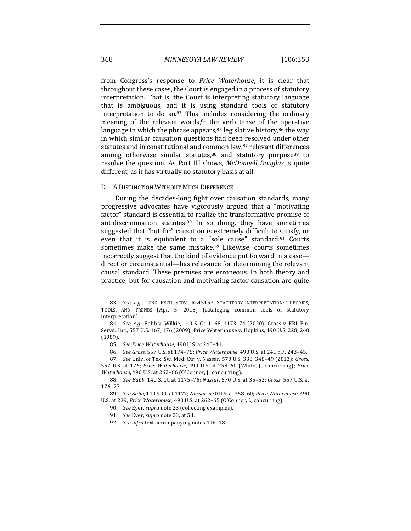from Congress's response to *Price Waterhouse*, it is clear that throughout these cases, the Court is engaged in a process of statutory interpretation. That is, the Court is interpreting statutory language that is ambiguous, and it is using standard tools of statutory interpretation to do so. $83$  This includes considering the ordinary meaning of the relevant words, $84$  the verb tense of the operative language in which the phrase appears, $85$  legislative history, $86$  the way in which similar causation questions had been resolved under other statutes and in constitutional and common law,<sup>87</sup> relevant differences among otherwise similar statutes, $88$  and statutory purpose $89$  to resolve the question. As Part III shows, *McDonnell Douglas* is quite different, as it has virtually no statutory basis at all.

#### D. A DISTINCTION WITHOUT MUCH DIFFERENCE

During the decades-long fight over causation standards, many progressive advocates have vigorously argued that a "motivating factor" standard is essential to realize the transformative promise of antidiscrimination statutes.<sup>90</sup> In so doing, they have sometimes suggested that "but for" causation is extremely difficult to satisfy, or even that it is equivalent to a "sole cause" standard.<sup>91</sup> Courts sometimes make the same mistake.<sup>92</sup> Likewise, courts sometimes incorrectly suggest that the kind of evidence put forward in a casedirect or circumstantial—has relevance for determining the relevant causal standard. These premises are erroneous. In both theory and practice, but-for causation and motivating factor causation are quite

85. *See Price Waterhouse*, 490 U.S. at 240–41.

<sup>83.</sup> See, e.g., CONG. RSCH. SERV., RL45153, STATUTORY INTERPRETATION: THEORIES, TOOLS, AND TRENDS (Apr. 5, 2018) (cataloging common tools of statutory interpretation).

<sup>84.</sup> *See, e.g.*, Babb v. Wilkie, 140 S. Ct. 1168, 1173-74 (2020); Gross v. FBL Fin. Servs., Inc., 557 U.S. 167, 176 (2009); Price Waterhouse v. Hopkins, 490 U.S. 228, 240 (1989).

<sup>86.</sup> *See Gross*, 557 U.S. at 174–75; *Price Waterhouse*, 490 U.S. at 241 n.7, 243–45.

<sup>87.</sup> *See* Univ. of Tex. Sw. Med. Ctr. v. Nassar, 570 U.S. 338, 348–49 (2013); *Gross*, 557 U.S. at 176; *Price Waterhouse*, 490 U.S. at 258-60 (White, J., concurring); *Price Waterhouse,* 490 U.S. at 262-66 (O'Connor, J., concurring).

<sup>88.</sup> *See Babb,* 140 S. Ct. at 1175-76; *Nassar*, 570 U.S. at 35-52; *Gross*, 557 U.S. at 176–77.

<sup>89.</sup> *See Babb*, 140 S. Ct. at 1177; *Nassar*, 570 U.S. at 358–60; *Price Waterhouse*, 490 U.S. at 239; Price Waterhouse, 490 U.S. at 262-65 (O'Connor, J., concurring).

<sup>90.</sup> *See Eyer, supra* note 23 (collecting examples).

<sup>91.</sup> *See* Eyer, *supra* note 23, at 53.

<sup>92.</sup> See infra text accompanying notes 116-18.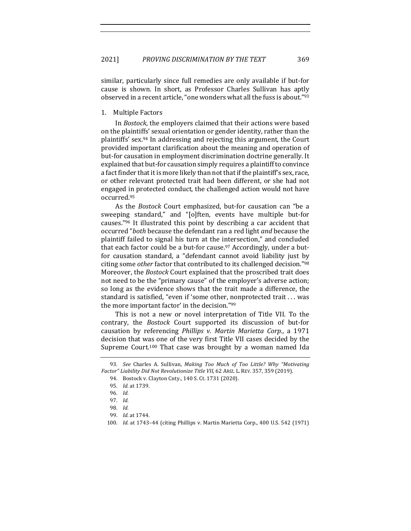similar, particularly since full remedies are only available if but-for cause is shown. In short, as Professor Charles Sullivan has aptly observed in a recent article, "one wonders what all the fuss is about."<sup>93</sup>

#### 1. Multiple Factors

In *Bostock*, the employers claimed that their actions were based on the plaintiffs' sexual orientation or gender identity, rather than the plaintiffs' sex.<sup>94</sup> In addressing and rejecting this argument, the Court provided important clarification about the meaning and operation of but-for causation in employment discrimination doctrine generally. It explained that but-for causation simply requires a plaintiff to convince a fact finder that it is more likely than not that if the plaintiff's sex, race, or other relevant protected trait had been different, or she had not engaged in protected conduct, the challenged action would not have occurred.95

As the *Bostock* Court emphasized, but-for causation can "be a sweeping standard," and "[o]ften, events have multiple but-for causes."<sup>96</sup> It illustrated this point by describing a car accident that occurred "*both* because the defendant ran a red light *and* because the plaintiff failed to signal his turn at the intersection," and concluded that each factor could be a but-for cause.<sup>97</sup> Accordingly, under a butfor causation standard, a "defendant cannot avoid liability just by citing some *other* factor that contributed to its challenged decision."98 Moreover, the *Bostock* Court explained that the proscribed trait does not need to be the "primary cause" of the employer's adverse action; so long as the evidence shows that the trait made a difference, the standard is satisfied, "even if 'some other, nonprotected trait ... was the more important factor' in the decision."99

This is not a new or novel interpretation of Title VII. To the contrary, the *Bostock* Court supported its discussion of but-for causation by referencing *Phillips v. Martin Marietta Corp.*, a 1971 decision that was one of the very first Title VII cases decided by the Supreme Court.<sup>100</sup> That case was brought by a woman named Ida

<sup>93.</sup> *See* Charles A. Sullivan, *Making Too Much of Too Little? Why "Motivating* Factor" Liability Did Not Revolutionize Title VII, 62 ARIZ. L. REV. 357, 359 (2019).

<sup>94.</sup> Bostock v. Clayton Cnty., 140 S. Ct. 1731 (2020).

<sup>95.</sup> *Id.* at 1739.

<sup>96.</sup> *Id.*

<sup>97.</sup> *Id.*

<sup>98.</sup> *Id.*

<sup>99.</sup> *Id.* at 1744.

<sup>100.</sup> *Id.* at 1743-44 (citing Phillips v. Martin Marietta Corp., 400 U.S. 542 (1971)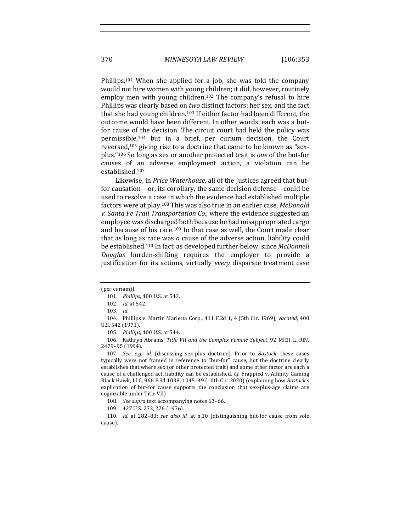Phillips.<sup>101</sup> When she applied for a job, she was told the company would not hire women with young children; it did, however, routinely employ men with young children.<sup>102</sup> The company's refusal to hire Phillips was clearly based on *two* distinct factors: her sex, and the fact that she had young children.<sup>103</sup> If either factor had been different, the outcome would have been different. In other words, each was a butfor cause of the decision. The circuit court had held the policy was permissible,<sup>104</sup> but in a brief, per curium decision, the Court reversed,<sup>105</sup> giving rise to a doctrine that came to be known as "sexplus."<sup>106</sup> So long as sex or another protected trait is *one* of the but-for causes of an adverse employment action, a violation can be established.107

Likewise, in *Price Waterhouse*, all of the Justices agreed that butfor causation—or, its corollary, the same decision defense—could be used to resolve a case in which the evidence had established multiple factors were at play.<sup>108</sup> This was also true in an earlier case, *McDonald* v. Santa Fe Trail Transportation Co., where the evidence suggested an employee was discharged both because he had misappropriated cargo and because of his race.<sup>109</sup> In that case as well, the Court made clear that as long as race was *a* cause of the adverse action, liability could be established.<sup>110</sup> In fact, as developed further below, since *McDonnell Douglas*  burden-shifting requires the employer to provide a justification for its actions, virtually *every* disparate treatment case

105. *Phillips*, 400 U.S. at 544.

106. Kathryn Abrams, Title VII and the Complex Female Subject, 92 MICH. L. REV. 2479–95 (1994).

107. *See, e.g., id.* (discussing sex-plus doctrine). Prior to *Bostock*, these cases typically were not framed in reference to "but-for" cause, but the doctrine clearly establishes that where sex (or other protected trait) and some other factor are each a cause of a challenged act, liability can be established. *Cf.* Frappied v. Affinity Gaming Black Hawk, LLC, 966 F.3d 1038, 1045–49 (10th Cir. 2020) (explaining how *Bostock*'s explication of but-for cause supports the conclusion that sex-plus-age claims are cognizable under Title VII).

110. *Id.* at 282-83; see also id. at n.10 (distinguishing but-for cause from sole cause).

<sup>(</sup>per curiam)).

<sup>101.</sup> *Phillips*, 400 U.S. at 543.

<sup>102.</sup> *Id.* at 542.

<sup>103.</sup> *Id.*

<sup>104.</sup> Phillips v. Martin Marietta Corp., 411 F.2d 1, 4 (5th Cir. 1969), *vacated*, 400 U.S. 542 (1971).

<sup>108.</sup> See supra text accompanying notes 63-66.

<sup>109. 427</sup> U.S. 273, 276 (1976).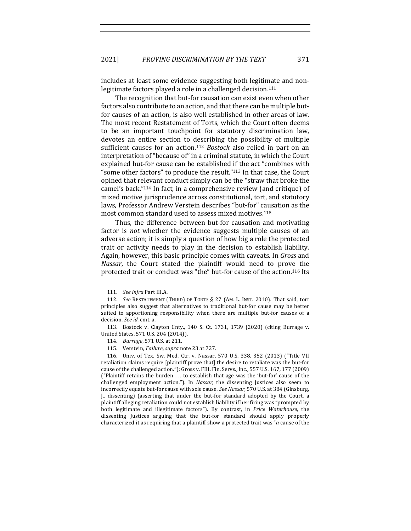includes at least some evidence suggesting both legitimate and nonlegitimate factors played a role in a challenged decision.<sup>111</sup>

The recognition that but-for causation can exist even when other factors also contribute to an action, and that there can be multiple butfor causes of an action, is also well established in other areas of law. The most recent Restatement of Torts, which the Court often deems to be an important touchpoint for statutory discrimination law, devotes an entire section to describing the possibility of multiple sufficient causes for an action.<sup>112</sup> *Bostock* also relied in part on an interpretation of "because of" in a criminal statute, in which the Court explained but-for cause can be established if the act "combines with "some other factors" to produce the result."<sup>113</sup> In that case, the Court opined that relevant conduct simply can be the "straw that broke the camel's back."<sup>114</sup> In fact, in a comprehensive review (and critique) of mixed motive jurisprudence across constitutional, tort, and statutory laws, Professor Andrew Verstein describes "but-for" causation as the most common standard used to assess mixed motives.<sup>115</sup>

Thus, the difference between but-for causation and motivating factor is *not* whether the evidence suggests multiple causes of an adverse action; it is simply a question of how big a role the protected trait or activity needs to play in the decision to establish liability. Again, however, this basic principle comes with caveats. In *Gross* and *Nassar*, the Court stated the plaintiff would need to prove the protected trait or conduct was "the" but-for cause of the action.<sup>116</sup> Its

116. Univ. of Tex. Sw. Med. Ctr. v. Nassar, 570 U.S. 338, 352 (2013) ("Title VII retaliation claims require [plaintiff prove that] the desire to retaliate was the but-for cause of the challenged action."); Gross v. FBL Fin. Servs., Inc., 557 U.S. 167, 177 (2009) ("Plaintiff retains the burden ... to establish that age was the 'but-for' cause of the challenged employment action."). In *Nassar*, the dissenting Justices also seem to incorrectly equate but-for cause with sole cause. See Nassar, 570 U.S. at 384 (Ginsburg, J., dissenting) (asserting that under the but-for standard adopted by the Court, a plaintiff alleging retaliation could not establish liability if her firing was "prompted by both legitimate and illegitimate factors"). By contrast, in Price Waterhouse, the dissenting Justices arguing that the but-for standard should apply properly characterized it as requiring that a plaintiff show a protected trait was "*a* cause of the

<sup>111.</sup> *See infra Part III.A.* 

<sup>112.</sup> *See* RESTATEMENT (THIRD) OF TORTS § 27 (AM. L. INST. 2010). That said, tort principles also suggest that alternatives to traditional but-for cause may be better suited to apportioning responsibility when there are multiple but-for causes of a decision. See id. cmt. a.

<sup>113.</sup> Bostock v. Clayton Cnty., 140 S. Ct. 1731, 1739 (2020) (citing Burrage v. United States, 571 U.S. 204 (2014)).

<sup>114.</sup> *Burrage*, 571 U.S. at 211.

<sup>115.</sup> Verstein, *Failure*, *supra* note 23 at 727.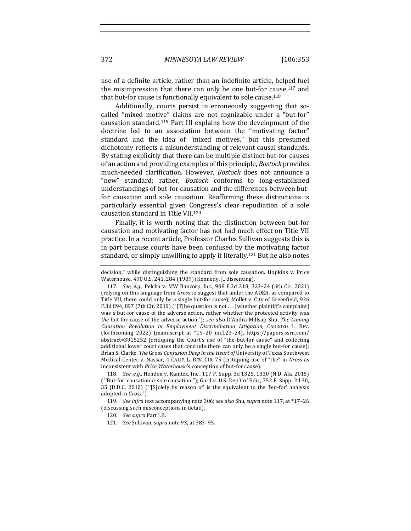use of a definite article, rather than an indefinite article, helped fuel the misimpression that there can only be one but-for cause, $117$  and that but-for cause is functionally equivalent to sole cause.<sup>118</sup>

Additionally, courts persist in erroneously suggesting that socalled "mixed motive" claims are not cognizable under a "but-for" causation standard.<sup>119</sup> Part III explains how the development of the doctrine led to an association between the "motivating factor" standard and the idea of "mixed motives," but this presumed dichotomy reflects a misunderstanding of relevant causal standards. By stating explicitly that there can be multiple distinct but-for causes of an action and providing examples of this principle, *Bostock* provides much-needed clarification. However, *Bostock* does not announce a "new" standard; rather, *Bostock* conforms to long-established understandings of but-for causation and the differences between butfor causation and sole causation. Reaffirming these distinctions is particularly essential given Congress's clear repudiation of a sole causation standard in Title VII.<sup>120</sup>

Finally, it is worth noting that the distinction between but-for causation and motivating factor has not had much effect on Title VII practice. In a recent article, Professor Charles Sullivan suggests this is in part because courts have been confused by the motivating factor standard, or simply unwilling to apply it literally.<sup>121</sup> But he also notes

decision," while distinguishing the standard from sole causation. Hopkins v. Price Waterhouse, 490 U.S. 241, 284 (1989) (Kennedy, J., dissenting).

<sup>117.</sup> *See, e.g.*, Pelcha v. MW Bancorp, Inc., 988 F.3d 318, 323-24 (6th Cir. 2021) (relying on this language from *Gross* to suggest that under the ADEA, as compared to Title VII, there could only be a single but-for cause); Mollet v. City of Greenfield, 926 F.3d 894, 897 (7th Cir. 2019) ("[T]he question is not . . . [whether plaintiff's complaint] was *a* but-for cause of the adverse action, rather whether the protected activity was *the* but-for cause of the adverse action."); see also D'Andra Millsap Shu, The Coming *Causation Revolution in Employment Discrimination Litigation*, CARDOZO L. REV. (forthcoming 2022) (manuscript at \*19–20 nn.123–24), https://papers.ssrn.com/ abstract=3915252 (critiquing the Court's use of "the but-for cause" and collecting additional lower court cases that conclude there can only be a single but-for cause); Brian S. Clarke, *The Gross Confusion Deep in the Heart of* University of Texas Southwest Medical Center v. Nassar, 4 CALIF. L. REV. CIR. 75 (critiquing use of "the" in *Gross* as inconsistent with *Price Waterhouse's* conception of but-for cause).

<sup>118.</sup> *See, e.g.*, Hendon v. Kamtex, Inc., 117 F. Supp. 3d 1325, 1330 (N.D. Ala. 2015) ("'But-for' causation *is* sole causation."); Gard v. U.S. Dep't of Edu., 752 F. Supp. 2d 30, 35 (D.D.C. 2010) ("[S]olely by reason of' is the equivalent to the 'but-for' analysis adopted in *Gross."*).

<sup>119.</sup> *See infra* text accompanying note 306; see also Shu, supra note 117, at \*17-26 (discussing such misconceptions in detail).

<sup>120.</sup> *See supra Part I.B.* 

<sup>121.</sup> *See* Sullivan, *supra* note 93, at 383–95.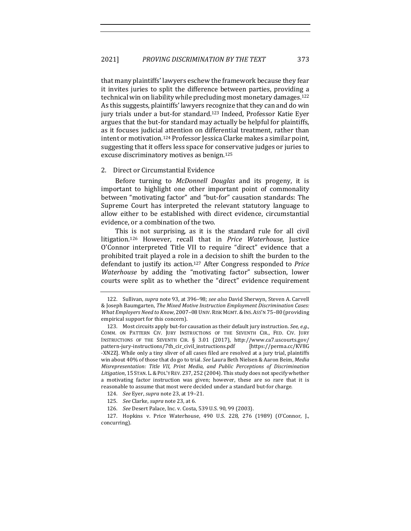that many plaintiffs' lawyers eschew the framework because they fear it invites juries to split the difference between parties, providing a technical win on liability while precluding most monetary damages.<sup>122</sup> As this suggests, plaintiffs' lawyers recognize that they can and do win jury trials under a but-for standard.<sup>123</sup> Indeed, Professor Katie Eyer argues that the but-for standard may actually be helpful for plaintiffs, as it focuses judicial attention on differential treatment, rather than intent or motivation.<sup>124</sup> Professor Jessica Clarke makes a similar point, suggesting that it offers less space for conservative judges or juries to excuse discriminatory motives as benign.<sup>125</sup>

#### 2. Direct or Circumstantial Evidence

Before turning to *McDonnell Douglas* and its progeny, it is important to highlight one other important point of commonality between "motivating factor" and "but-for" causation standards: The Supreme Court has interpreted the relevant statutory language to allow either to be established with direct evidence, circumstantial evidence, or a combination of the two.

This is not surprising, as it is the standard rule for all civil litigation.<sup>126</sup> However, recall that in *Price Waterhouse*, Justice O'Connor interpreted Title VII to require "direct" evidence that a prohibited trait played a role in a decision to shift the burden to the defendant to justify its action.<sup>127</sup> After Congress responded to Price *Waterhouse* by adding the "motivating factor" subsection, lower courts were split as to whether the "direct" evidence requirement

<sup>122.</sup> Sullivan, *supra* note 93, at 396-98; *see also* David Sherwyn, Steven A. Carvell & Joseph Baumgarten, *The Mixed Motive Instruction Employment Discrimination Cases: What Employers Need to Know,* 2007-08 UNIV. RISK MGMT. & INS. ASS'N 75-80 (providing empirical support for this concern).

<sup>123.</sup> Most circuits apply but-for causation as their default jury instruction. *See, e.g.*, COMM. ON PATTERN CIV. JURY INSTRUCTIONS OF THE SEVENTH CIR., FED. CIV. JURY INSTRUCTIONS OF THE SEVENTH CIR. § 3.01 (2017), http://www.ca7.uscourts.gov/ pattern-jury-instructions/7th\_cir\_civil\_instructions.pdf [https://perma.cc/KV8G -XN2Z]. While only a tiny sliver of all cases filed are resolved at a jury trial, plaintiffs win about 40% of those that do go to trial. See Laura Beth Nielsen & Aaron Beim, *Media Misrepresentation: Title VII, Print Media, and Public Perceptions of Discrimination* Litigation, 15 STAN. L. & POL'Y REV. 237, 252 (2004). This study does not specify whether a motivating factor instruction was given; however, these are so rare that it is reasonable to assume that most were decided under a standard but-for charge.

<sup>124.</sup> *See Eyer, supra note* 23, at 19-21.

<sup>125.</sup> *See* Clarke, *supra* note 23, at 6.

<sup>126.</sup> *See* Desert Palace, Inc. v. Costa, 539 U.S. 90, 99 (2003).

<sup>127.</sup> Hopkins v. Price Waterhouse, 490 U.S. 228, 276 (1989) (O'Connor, J., concurring).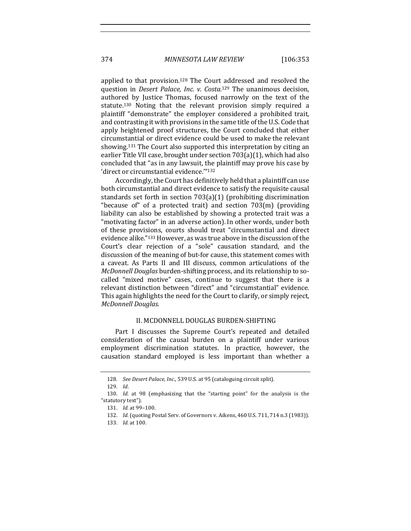374 *MINNESOTA LAW REVIEW* [106:353

applied to that provision.<sup>128</sup> The Court addressed and resolved the question in *Desert Palace, Inc. v. Costa.*<sup>129</sup> The unanimous decision, authored by Justice Thomas, focused narrowly on the text of the statute.<sup>130</sup> Noting that the relevant provision simply required a plaintiff "demonstrate" the employer considered a prohibited trait, and contrasting it with provisions in the same title of the U.S. Code that apply heightened proof structures, the Court concluded that either circumstantial or direct evidence could be used to make the relevant showing.<sup>131</sup> The Court also supported this interpretation by citing an earlier Title VII case, brought under section  $703(a)(1)$ , which had also concluded that "as in any lawsuit, the plaintiff may prove his case by 'direct or circumstantial evidence.""132

Accordingly, the Court has definitively held that a plaintiff can use both circumstantial and direct evidence to satisfy the requisite causal standards set forth in section  $703(a)(1)$  (prohibiting discrimination "because of" of a protected trait) and section  $703(m)$  (providing liability can also be established by showing a protected trait was a "motivating factor" in an adverse action). In other words, under both of these provisions, courts should treat "circumstantial and direct evidence alike."<sup>133</sup> However, as was true above in the discussion of the Court's clear rejection of a "sole" causation standard, and the discussion of the meaning of but-for cause, this statement comes with a caveat. As Parts II and III discuss, common articulations of the *McDonnell Douglas* burden-shifting process, and its relationship to socalled "mixed motive" cases, continue to suggest that there is a relevant distinction between "direct" and "circumstantial" evidence. This again highlights the need for the Court to clarify, or simply reject, *McDonnell Douglas*. 

#### II. MCDONNELL DOUGLAS BURDEN-SHIFTING

Part I discusses the Supreme Court's repeated and detailed consideration of the causal burden on a plaintiff under various employment discrimination statutes. In practice, however, the causation standard employed is less important than whether a

<sup>128.</sup> *See Desert Palace, Inc.*, 539 U.S. at 95 (cataloguing circuit split).

<sup>129.</sup> *Id*.

<sup>130.</sup> *Id.* at 98 (emphasizing that the "starting point" for the analysis is the "statutory text").

<sup>131.</sup> *Id.* at 99-100.

<sup>132.</sup> *Id.* (quoting Postal Serv. of Governors v. Aikens, 460 U.S. 711, 714 n.3 (1983)).

<sup>133.</sup> *Id.* at 100.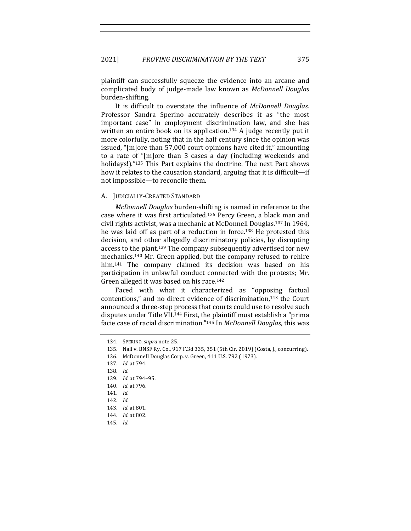plaintiff can successfully squeeze the evidence into an arcane and complicated body of judge-made law known as *McDonnell Douglas* burden-shifting.

It is difficult to overstate the influence of *McDonnell Douglas*. Professor Sandra Sperino accurately describes it as "the most important case" in employment discrimination law, and she has written an entire book on its application.<sup>134</sup> A judge recently put it more colorfully, noting that in the half century since the opinion was issued, "[m]ore than 57,000 court opinions have cited it," amounting to a rate of "[m]ore than 3 cases a day (including weekends and holidays!)."<sup>135</sup> This Part explains the doctrine. The next Part shows how it relates to the causation standard, arguing that it is difficult—if not impossible—to reconcile them.

#### A. JUDICIALLY-CREATED STANDARD

*McDonnell Douglas* burden-shifting is named in reference to the case where it was first articulated.<sup>136</sup> Percy Green, a black man and civil rights activist, was a mechanic at McDonnell Douglas.<sup>137</sup> In 1964, he was laid off as part of a reduction in force.<sup>138</sup> He protested this decision, and other allegedly discriminatory policies, by disrupting access to the plant.<sup>139</sup> The company subsequently advertised for new mechanics.<sup>140</sup> Mr. Green applied, but the company refused to rehire him.<sup>141</sup> The company claimed its decision was based on his participation in unlawful conduct connected with the protests; Mr. Green alleged it was based on his race.<sup>142</sup>

Faced with what it characterized as "opposing factual contentions," and no direct evidence of discrimination, $143$  the Court announced a three-step process that courts could use to resolve such disputes under Title VII.<sup>144</sup> First, the plaintiff must establish a "prima" facie case of racial discrimination."<sup>145</sup> In *McDonnell Douglas*, this was

<sup>134.</sup> SPERINO, *supra* note 25.

<sup>135.</sup> Nall v. BNSF Ry. Co., 917 F.3d 335, 351 (5th Cir. 2019) (Costa, J., concurring).

<sup>136.</sup> McDonnell Douglas Corp. v. Green, 411 U.S. 792 (1973).

<sup>137.</sup> *Id.* at 794.

<sup>138.</sup> *Id.*

<sup>139.</sup> *Id.* at 794-95.

<sup>140.</sup> *Id.* at 796.

<sup>141.</sup> *Id.*

<sup>142.</sup> *Id.*

<sup>143.</sup> *Id.* at 801.

<sup>144.</sup> *Id.* at 802.

<sup>145.</sup> *Id.*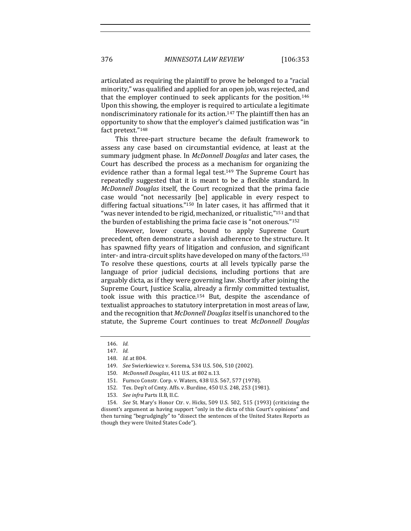articulated as requiring the plaintiff to prove he belonged to a "racial minority," was qualified and applied for an open job, was rejected, and that the employer continued to seek applicants for the position.<sup>146</sup> Upon this showing, the employer is required to articulate a legitimate nondiscriminatory rationale for its action.<sup>147</sup> The plaintiff then has an opportunity to show that the employer's claimed justification was "in fact pretext."148

This three-part structure became the default framework to assess any case based on circumstantial evidence, at least at the summary judgment phase. In *McDonnell Douglas* and later cases, the Court has described the process as a mechanism for organizing the evidence rather than a formal legal test.<sup>149</sup> The Supreme Court has repeatedly suggested that it is meant to be a flexible standard. In *McDonnell Douglas* itself, the Court recognized that the prima facie case would "not necessarily [be] applicable in every respect to differing factual situations." $150$  In later cases, it has affirmed that it "was never intended to be rigid, mechanized, or ritualistic,"<sup>151</sup> and that the burden of establishing the prima facie case is "not onerous."<sup>152</sup>

However, lower courts, bound to apply Supreme Court precedent, often demonstrate a slavish adherence to the structure. It has spawned fifty years of litigation and confusion, and significant inter- and intra-circuit splits have developed on many of the factors.<sup>153</sup> To resolve these questions, courts at all levels typically parse the language of prior judicial decisions, including portions that are arguably dicta, as if they were governing law. Shortly after joining the Supreme Court, Justice Scalia, already a firmly committed textualist, took issue with this practice.<sup>154</sup> But, despite the ascendance of textualist approaches to statutory interpretation in most areas of law, and the recognition that *McDonnell Douglas* itself is unanchored to the statute, the Supreme Court continues to treat *McDonnell Douglas* 

<sup>146.</sup> *Id.*

<sup>147.</sup> *Id.*

<sup>148.</sup> *Id.* at 804.

<sup>149.</sup> *See* Swierkiewicz v. Sorema, 534 U.S. 506, 510 (2002).

<sup>150.</sup> *McDonnell Douglas*, 411 U.S. at 802 n.13.

<sup>151.</sup> Furnco Constr. Corp. v. Waters, 438 U.S. 567, 577 (1978).

<sup>152.</sup> Tex. Dep't of Cmty. Affs. v. Burdine, 450 U.S. 248, 253 (1981).

<sup>153.</sup> *See infra Parts II.B, II.C.* 

<sup>154.</sup> *See St. Mary's Honor Ctr. v. Hicks, 509 U.S. 502, 515 (1993) (criticizing the* dissent's argument as having support "only in the dicta of this Court's opinions" and then turning "begrudgingly" to "dissect the sentences of the United States Reports as though they were United States Code").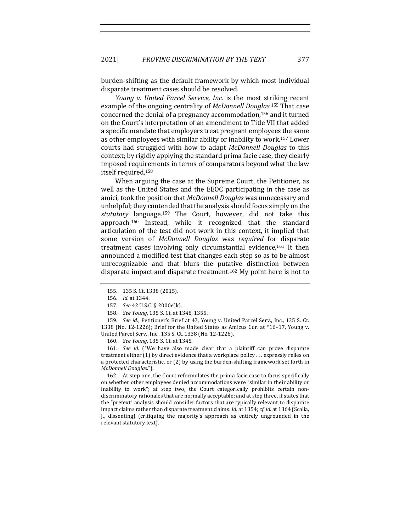burden-shifting as the default framework by which most individual disparate treatment cases should be resolved.

*Young v. United Parcel Service, Inc.* is the most striking recent example of the ongoing centrality of *McDonnell Douglas*.<sup>155</sup> That case concerned the denial of a pregnancy accommodation, $156$  and it turned on the Court's interpretation of an amendment to Title VII that added a specific mandate that employers treat pregnant employees the same as other employees with similar ability or inability to work.<sup>157</sup> Lower courts had struggled with how to adapt *McDonnell Douglas* to this context; by rigidly applying the standard prima facie case, they clearly imposed requirements in terms of comparators beyond what the law itself required.<sup>158</sup>

When arguing the case at the Supreme Court, the Petitioner, as well as the United States and the EEOC participating in the case as amici, took the position that *McDonnell Douglas* was unnecessary and unhelpful; they contended that the analysis should focus simply on the statutory language.<sup>159</sup> The Court, however, did not take this approach.<sup>160</sup> Instead, while it recognized that the standard articulation of the test did not work in this context, it implied that some version of *McDonnell Douglas* was *required* for disparate treatment cases involving only circumstantial evidence.<sup>161</sup> It then announced a modified test that changes each step so as to be almost unrecognizable and that blurs the putative distinction between disparate impact and disparate treatment.<sup>162</sup> My point here is not to

159. *See id.*; Petitioner's Brief at 47, Young v. United Parcel Serv., Inc., 135 S. Ct. 1338 (No. 12-1226); Brief for the United States as Amicus Cur. at \*16-17, Young v. United Parcel Serv., Inc., 135 S. Ct. 1338 (No. 12-1226).

160. *See Young*, 135 S. Ct. at 1345.

161. *See id.* ("We have also made clear that a plaintiff can prove disparate treatment either  $(1)$  by direct evidence that a workplace policy ... expressly relies on a protected characteristic, or (2) by using the burden-shifting framework set forth in *McDonnell Douglas*.").

162. At step one, the Court reformulates the prima facie case to focus specifically on whether other employees denied accommodations were "similar in their ability or inability to work"; at step two, the Court categorically prohibits certain nondiscriminatory rationales that are normally acceptable; and at step three, it states that the "pretext" analysis should consider factors that are typically relevant to disparate impact claims rather than disparate treatment claims. *Id.* at 1354; *cf. id.* at 1364 (Scalia, J., dissenting) (critiquing the majority's approach as entirely ungrounded in the relevant statutory text).

<sup>155. 135</sup> S. Ct. 1338 (2015).

<sup>156.</sup> *Id.* at 1344.

<sup>157.</sup> *See* 42 U.S.C. § 2000e(k).

<sup>158.</sup> *See Young*, 135 S. Ct. at 1348, 1355.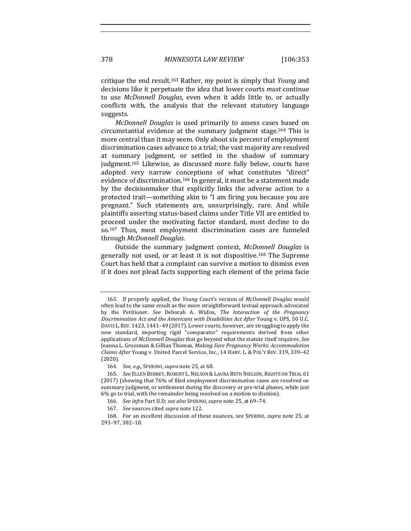critique the end result.<sup>163</sup> Rather, my point is simply that *Young* and decisions like it perpetuate the idea that lower courts *must* continue to use *McDonnell Douglas*, even when it adds little to, or actually conflicts with, the analysis that the relevant statutory language suggests.

*McDonnell Douglas* is used primarily to assess cases based on circumstantial evidence at the summary judgment stage.<sup>164</sup> This is more central than it may seem. Only about six percent of employment discrimination cases advance to a trial; the vast majority are resolved at summary judgment, or settled in the shadow of summary judgment.<sup>165</sup> Likewise, as discussed more fully below, courts have adopted very narrow conceptions of what constitutes "direct" evidence of discrimination.<sup>166</sup> In general, it must be a statement made by the decisionmaker that explicitly links the adverse action to a protected trait-something akin to "I am firing you because you are pregnant." Such statements are, unsurprisingly, rare. And while plaintiffs asserting status-based claims under Title VII are entitled to proceed under the motivating factor standard, most decline to do so.<sup>167</sup> Thus, most employment discrimination cases are funneled through *McDonnell Douglas*.

Outside the summary judgment context, *McDonnell Douglas* is generally not used, or at least it is not dispositive.<sup>168</sup> The Supreme Court has held that a complaint can survive a motion to dismiss even if it does not plead facts supporting each element of the prima facie

<sup>163.</sup> If properly applied, the *Young* Court's version of *McDonnell Douglas* would often lead to the same result as the more straightforward textual approach advocated by the Petitioner. See Deborah A. Widiss, The Interaction of the Pregnancy *Discrimination Act and the Americans with Disabilities Act After Young v. UPS, 50 U.C.* DAVIS L. REV.  $1423$ ,  $1441-49$  (2017). Lower courts, however, are struggling to apply the new standard, importing rigid "comparator" requirements derived from other applications of *McDonnell Douglas* that go beyond what the statute itself requires. See Joanna L. Grossman & Gillian Thomas, *Making Sure Pregnancy Works: Accommodation* Claims After Young v. United Parcel Service, Inc., 14 HARV. L. & POL'Y REV. 319, 339-42 (2020).

<sup>164.</sup> *See, e.g.*, SPERINO, *supra* note 25, at 68.

<sup>165.</sup> *See* ELLEN BERREY, ROBERT L. NELSON & LAURA BETH NIELSEN, RIGHTS ON TRIAL 61 (2017) (showing that 76% of filed employment discrimination cases are resolved on summary judgment, or settlement during the discovery or pre-trial phases, while just 6% go to trial, with the remainder being resolved on a motion to dismiss).

<sup>166.</sup> *See infra Part II.D; see also SPERINO, supra note* 25, at 69-74.

<sup>167.</sup> *See* sources cited *supra* note 122.

<sup>168.</sup> For an excellent discussion of these nuances, see SPERINO, *supra* note 25, at 293–97, 302–10.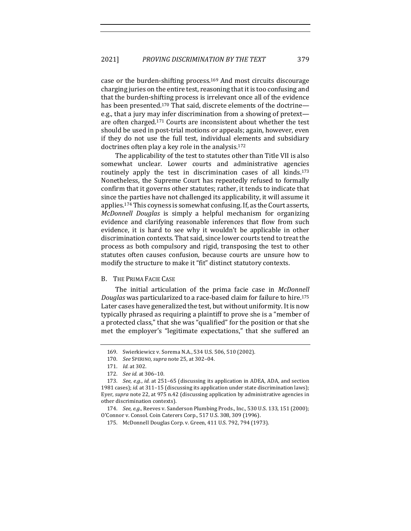case or the burden-shifting process.<sup>169</sup> And most circuits discourage charging juries on the entire test, reasoning that it is too confusing and that the burden-shifting process is irrelevant once all of the evidence has been presented.<sup>170</sup> That said, discrete elements of the doctrinee.g., that a jury may infer discrimination from a showing of pretextare often charged.<sup>171</sup> Courts are inconsistent about whether the test should be used in post-trial motions or appeals; again, however, even if they do not use the full test, individual elements and subsidiary doctrines often play a key role in the analysis.<sup>172</sup>

The applicability of the test to statutes other than Title VII is also somewhat unclear. Lower courts and administrative agencies routinely apply the test in discrimination cases of all kinds.<sup>173</sup> Nonetheless, the Supreme Court has repeatedly refused to formally confirm that it governs other statutes; rather, it tends to indicate that since the parties have not challenged its applicability, it will assume it applies.<sup>174</sup> This coyness is somewhat confusing. If, as the Court asserts, *McDonnell Douglas* is simply a helpful mechanism for organizing evidence and clarifying reasonable inferences that flow from such evidence, it is hard to see why it wouldn't be applicable in other discrimination contexts. That said, since lower courts tend to treat the process as both compulsory and rigid, transposing the test to other statutes often causes confusion, because courts are unsure how to modify the structure to make it "fit" distinct statutory contexts.

#### B. THE PRIMA FACIE CASE

The initial articulation of the prima facie case in *McDonnell Douglas* was particularized to a race-based claim for failure to hire.<sup>175</sup> Later cases have generalized the test, but without uniformity. It is now typically phrased as requiring a plaintiff to prove she is a "member of a protected class," that she was "qualified" for the position or that she met the employer's "legitimate expectations," that she suffered an

<sup>169.</sup> Swierkiewicz v. Sorema N.A., 534 U.S. 506, 510 (2002).

<sup>170.</sup> *See* SPERINO, *supra* note 25, at 302–04.

<sup>171.</sup> *Id.* at 302.

<sup>172.</sup> *See id.* at 306–10*.*

<sup>173.</sup> *See, e.g., id.* at 251-65 (discussing its application in ADEA, ADA, and section 1981 cases); *id.* at 311-15 (discussing its application under state discrimination laws); Eyer, *supra* note 22, at 975 n.42 (discussing application by administrative agencies in other discrimination contexts).

<sup>174.</sup> *See, e.g.*, Reeves v. Sanderson Plumbing Prods., Inc., 530 U.S. 133, 151 (2000); O'Connor v. Consol. Coin Caterers Corp., 517 U.S. 308, 309 (1996).

<sup>175.</sup> McDonnell Douglas Corp. v. Green, 411 U.S. 792, 794 (1973).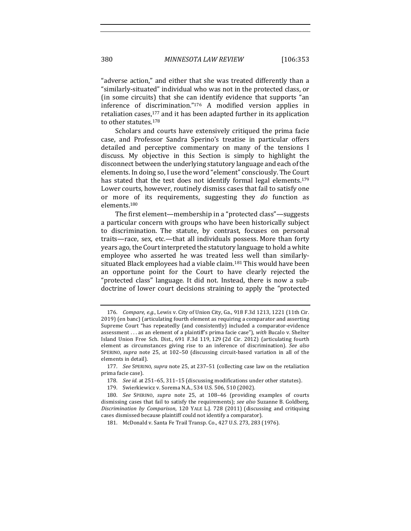"adverse action," and either that she was treated differently than a "similarly-situated" individual who was not in the protected class, or (in some circuits) that she can identify evidence that supports "an inference of discrimination." $176$  A modified version applies in retaliation cases, $177$  and it has been adapted further in its application to other statutes.<sup>178</sup>

Scholars and courts have extensively critiqued the prima facie case, and Professor Sandra Sperino's treatise in particular offers detailed and perceptive commentary on many of the tensions I discuss. My objective in this Section is simply to highlight the disconnect between the underlying statutory language and each of the elements. In doing so, I use the word "element" consciously. The Court has stated that the test does not identify formal legal elements.<sup>179</sup> Lower courts, however, routinely dismiss cases that fail to satisfy one or more of its requirements, suggesting they *do* function as elements.180

The first element—membership in a "protected class"—suggests a particular concern with groups who have been historically subject to discrimination. The statute, by contrast, focuses on personal traits—race, sex, etc.—that all individuals possess. More than forty years ago, the Court interpreted the statutory language to hold a white employee who asserted he was treated less well than similarlysituated Black employees had a viable claim.<sup>181</sup> This would have been an opportune point for the Court to have clearly rejected the "protected class" language. It did not. Instead, there is now a subdoctrine of lower court decisions straining to apply the "protected

<sup>176.</sup> *Compare, e.g.*, Lewis v. City of Union City, Ga., 918 F.3d 1213, 1221 (11th Cir. 2019) (en banc) (articulating fourth element as requiring a comparator and asserting Supreme Court "has repeatedly  $[and$  consistently $]$  included a comparator-evidence assessment ... as an element of a plaintiff's prima facie case"), with Bucalo v. Shelter Island Union Free Sch. Dist., 691 F.3d 119, 129 (2d Cir. 2012) (articulating fourth element as circumstances giving rise to an inference of discrimination). See also SPERINO, *supra* note 25, at 102-50 (discussing circuit-based variation in all of the elements in detail).

<sup>177.</sup> *See* SPERINO, *supra* note 25, at 237–51 (collecting case law on the retaliation prima facie case).

<sup>178.</sup> *See id.* at 251-65, 311-15 (discussing modifications under other statutes).

<sup>179.</sup> Swierkiewicz v. Sorema N.A., 534 U.S. 506, 510 (2002).

<sup>180.</sup> *See* SPERINO, *supra* note 25, at 108-46 (providing examples of courts dismissing cases that fail to satisfy the requirements); see also Suzanne B. Goldberg, *Discrimination by Comparison*, 120 YALE L.J. 728 (2011) (discussing and critiquing cases dismissed because plaintiff could not identify a comparator).

<sup>181.</sup> McDonald v. Santa Fe Trail Transp. Co., 427 U.S. 273, 283 (1976).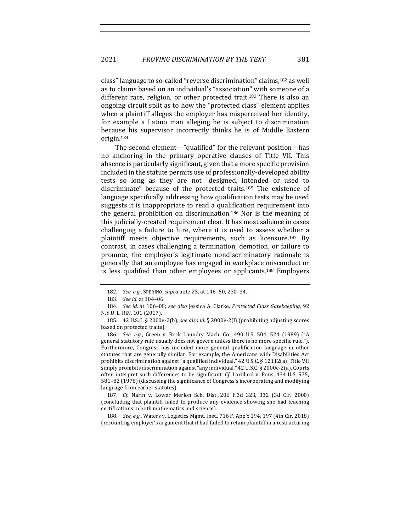class" language to so-called "reverse discrimination" claims,<sup>182</sup> as well as to claims based on an individual's "association" with someone of a different race, religion, or other protected trait.<sup>183</sup> There is also an ongoing circuit split as to how the "protected class" element applies when a plaintiff alleges the employer has misperceived her identity, for example a Latino man alleging he is subject to discrimination because his supervisor incorrectly thinks he is of Middle Eastern origin.184

The second element—"qualified" for the relevant position—has no anchoring in the primary operative clauses of Title VII. This absence is particularly significant, given that a more specific provision included in the statute permits use of professionally-developed ability tests so long as they are not "designed, intended or used to discriminate" because of the protected traits.<sup>185</sup> The existence of language specifically addressing how qualification tests may be used suggests it is inappropriate to read a qualification requirement into the general prohibition on discrimination.<sup>186</sup> Nor is the meaning of this judicially-created requirement clear. It has most salience in cases challenging a failure to hire, where it is used to assess whether a plaintiff meets objective requirements, such as licensure.<sup>187</sup> By contrast, in cases challenging a termination, demotion, or failure to promote, the employer's legitimate nondiscriminatory rationale is generally that an employee has engaged in workplace misconduct or is less qualified than other employees or applicants.<sup>188</sup> Employers

187. *Cf.* Narin v. Lower Merion Sch. Dist., 206 F.3d 323, 332 (3d Cir. 2000) (concluding that plaintiff failed to produce any evidence showing she had teaching certifications in both mathematics and science).

188. *See, e.g.*, Waters v. Logistics Mgmt. Inst., 716 F. App'x 194, 197 (4th Cir. 2018) (recounting employer's argument that it had failed to retain plaintiff in a restructuring

<sup>182.</sup> *See, e.g.*, SPERINO, *supra* note 25, at 146-50, 230-34.

<sup>183.</sup> *See id.* at 104-06.

<sup>184.</sup> *See id.* at 106-08; see also Jessica A. Clarke, Protected Class Gatekeeping, 92 N.Y.U. L. REV. 101 (2017).

<sup>185. 42</sup> U.S.C. § 2000e-2(h); see also id. § 2000e-2(l) (prohibiting adjusting scores based on protected traits).

<sup>186.</sup> *See, e.g.*, Green v. Bock Laundry Mach. Co., 490 U.S. 504, 524 (1989) ("A general statutory rule usually does not govern unless there is no more specific rule."). Furthermore, Congress has included more general qualification language in other statutes that are generally similar. For example, the Americans with Disabilities Act prohibits discrimination against "a qualified individual."  $42$  U.S.C. § 12112(a). Title VII simply prohibits discrimination against "any individual." 42 U.S.C. § 2000e-2(a). Courts often interpret such differences to be significant. *Cf.* Lorillard v. Pons, 434 U.S. 575, 581-82 (1978) (discussing the significance of Congress's incorporating and modifying language from earlier statutes).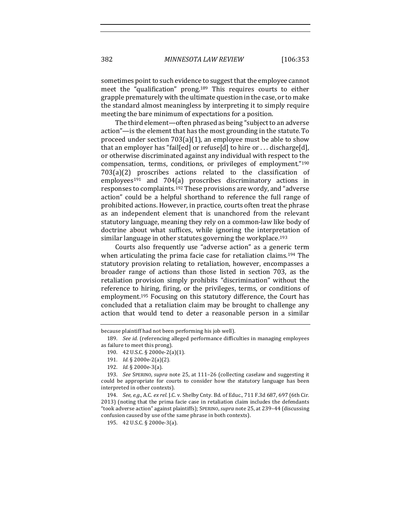382 *MINNESOTA LAW REVIEW* [106:353

sometimes point to such evidence to suggest that the employee cannot meet the "qualification" prong.<sup>189</sup> This requires courts to either grapple prematurely with the ultimate question in the case, or to make the standard almost meaningless by interpreting it to simply require meeting the bare minimum of expectations for a position.

The third element—often phrased as being "subject to an adverse action"—is the element that has the most grounding in the statute. To proceed under section  $703(a)(1)$ , an employee must be able to show that an employer has "fail[ed] or refuse[d] to hire or ... discharge[d], or otherwise discriminated against any individual with respect to the compensation, terms, conditions, or privileges of employment."190  $703(a)(2)$  proscribes actions related to the classification of  $employees<sup>191</sup>$  and  $704(a)$  proscribes discriminatory actions in responses to complaints.<sup>192</sup> These provisions are wordy, and "adverse" action" could be a helpful shorthand to reference the full range of prohibited actions. However, in practice, courts often treat the phrase as an independent element that is unanchored from the relevant statutory language, meaning they rely on a common-law like body of doctrine about what suffices, while ignoring the interpretation of similar language in other statutes governing the workplace.<sup>193</sup>

Courts also frequently use "adverse action" as a generic term when articulating the prima facie case for retaliation claims.<sup>194</sup> The statutory provision relating to retaliation, however, encompasses a broader range of actions than those listed in section 703, as the retaliation provision simply prohibits "discrimination" without the reference to hiring, firing, or the privileges, terms, or conditions of employment.<sup>195</sup> Focusing on this statutory difference, the Court has concluded that a retaliation claim may be brought to challenge any action that would tend to deter a reasonable person in a similar

194. *See, e.g., A.C. ex rel.* J.C. v. Shelby Cnty. Bd. of Educ., 711 F.3d 687, 697 (6th Cir. 2013) (noting that the prima facie case in retaliation claim includes the defendants "took adverse action" against plaintiffs); SPERINO,*supra* note 25, at 239–44 (discussing confusion caused by use of the same phrase in both contexts).

195. 42 U.S.C. § 2000e-3(a).

because plaintiff had not been performing his job well).

<sup>189.</sup> *See id.* (referencing alleged performance difficulties in managing employees as failure to meet this prong).

<sup>190. 42</sup> U.S.C. § 2000e-2(a)(1).

<sup>191.</sup> *Id.* § 2000e-2(a)(2).

<sup>192.</sup> *Id.* § 2000e-3(a).

<sup>193.</sup> *See* SPERINO, *supra* note 25, at 111-26 (collecting caselaw and suggesting it could be appropriate for courts to consider how the statutory language has been interpreted in other contexts).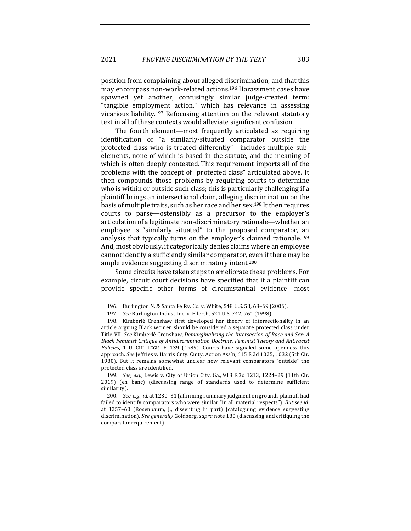position from complaining about alleged discrimination, and that this may encompass non-work-related actions.<sup>196</sup> Harassment cases have spawned yet another, confusingly similar judge-created term: "tangible employment action," which has relevance in assessing vicarious liability.<sup>197</sup> Refocusing attention on the relevant statutory text in all of these contexts would alleviate significant confusion.

The fourth element—most frequently articulated as requiring identification of "a similarly-situated comparator outside the protected class who is treated differently"—includes multiple subelements, none of which is based in the statute, and the meaning of which is often deeply contested. This requirement imports all of the problems with the concept of "protected class" articulated above. It then compounds those problems by requiring courts to determine who is within or outside such class; this is particularly challenging if a plaintiff brings an intersectional claim, alleging discrimination on the basis of multiple traits, such as her race and her sex.<sup>198</sup> It then requires courts to parse—ostensibly as a precursor to the employer's articulation of a legitimate non-discriminatory rationale—whether an employee is "similarly situated" to the proposed comparator, an analysis that typically turns on the employer's claimed rationale.<sup>199</sup> And, most obviously, it categorically denies claims where an employee cannot identify a sufficiently similar comparator, even if there may be ample evidence suggesting discriminatory intent.<sup>200</sup>

Some circuits have taken steps to ameliorate these problems. For example, circuit court decisions have specified that if a plaintiff can provide specific other forms of circumstantial evidence—most

199. *See, e.g.*, Lewis v. City of Union City, Ga., 918 F.3d 1213, 1224-29 (11th Cir. 2019) (en banc) (discussing range of standards used to determine sufficient similarity).

200. *See, e.g., id.* at 1230-31 (affirming summary judgment on grounds plaintiff had failed to identify comparators who were similar "in all material respects"). But see id. at 1257-60 (Rosenbaum, J., dissenting in part) (cataloguing evidence suggesting discrimination). See generally Goldberg, supra note 180 (discussing and critiquing the comparator requirement)*.*

<sup>196.</sup> Burlington N. & Santa Fe Ry. Co. v. White, 548 U.S. 53, 68-69 (2006).

<sup>197.</sup> *See* Burlington Indus., Inc. v. Ellerth, 524 U.S. 742, 761 (1998).

<sup>198.</sup> Kimberlé Crenshaw first developed her theory of intersectionality in an article arguing Black women should be considered a separate protected class under Title VII. See Kimberlé Crenshaw, *Demarginalizing* the Intersection of Race and Sex: A *Black Feminist Critique of Antidiscrimination Doctrine, Feminist Theory and Antiracist Policies*, 1 U. CHI. LEGIS. F. 139 (1989). Courts have signaled some openness this approach. *See* Jeffries v. Harris Cnty. Cmty. Action Ass'n, 615 F.2d 1025, 1032 (5th Cir. 1980). But it remains somewhat unclear how relevant comparators "outside" the protected class are identified.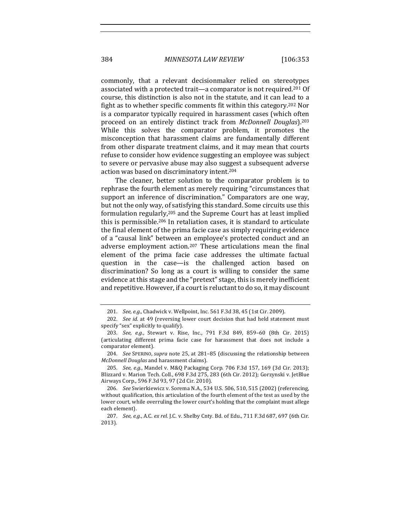commonly, that a relevant decisionmaker relied on stereotypes associated with a protected trait—a comparator is not required.<sup>201</sup> Of course, this distinction is also not in the statute, and it can lead to a fight as to whether specific comments fit within this category.<sup>202</sup> Nor is a comparator typically required in harassment cases (which often proceed on an entirely distinct track from *McDonnell Douglas*).203 While this solves the comparator problem, it promotes the misconception that harassment claims are fundamentally different from other disparate treatment claims, and it may mean that courts refuse to consider how evidence suggesting an employee was subject to severe or pervasive abuse may also suggest a subsequent adverse action was based on discriminatory intent.<sup>204</sup>

The cleaner, better solution to the comparator problem is to rephrase the fourth element as merely requiring "circumstances that support an inference of discrimination." Comparators are one way, but not the only way, of satisfying this standard. Some circuits use this formulation regularly,<sup>205</sup> and the Supreme Court has at least implied this is permissible.<sup>206</sup> In retaliation cases, it is standard to articulate the final element of the prima facie case as simply requiring evidence of a "causal link" between an employee's protected conduct and an adverse employment action.<sup>207</sup> These articulations mean the final element of the prima facie case addresses the ultimate factual question in the case—is the challenged action based on discrimination? So long as a court is willing to consider the same evidence at this stage and the "pretext" stage, this is merely inefficient and repetitive. However, if a court is reluctant to do so, it may discount

204. *See SPERINO, supra* note 25, at 281-85 (discussing the relationship between *McDonnell Douglas* and harassment claims).

205. *See, e.g.*, Mandel v. M&Q Packaging Corp. 706 F.3d 157, 169 (3d Cir. 2013); Blizzard v. Marion Tech. Coll., 698 F.3d 275, 283 (6th Cir. 2012); Gorzynski v. JetBlue Airways Corp., 596 F.3d 93, 97 (2d Cir. 2010).

<sup>201.</sup> *See, e.g.*, Chadwick v. Wellpoint, Inc. 561 F.3d 38, 45 (1st Cir. 2009).

<sup>202.</sup> *See id.* at 49 (reversing lower court decision that had held statement must specify "sex" explicitly to qualify).

<sup>203.</sup> *See, e.g.*, Stewart v. Rise, Inc., 791 F.3d 849, 859-60 (8th Cir. 2015) (articulating different prima facie case for harassment that does not include a comparator element).

<sup>206.</sup> *See* Swierkiewicz v. Sorema N.A., 534 U.S. 506, 510, 515 (2002) (referencing, without qualification, this articulation of the fourth element of the test as used by the lower court, while overruling the lower court's holding that the complaint must allege each element).

<sup>207.</sup> *See, e.g.*, A.C. *ex rel.* J.C. v. Shelby Cnty. Bd. of Edu., 711 F.3d 687, 697 (6th Cir. 2013).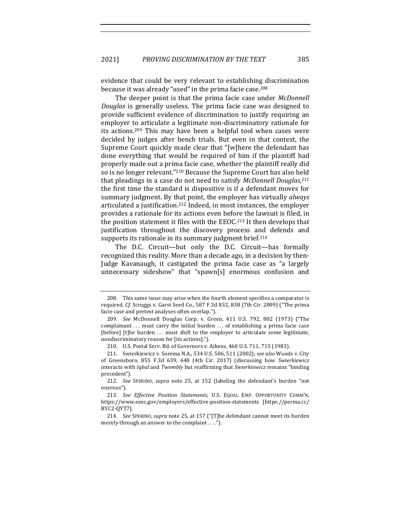evidence that could be very relevant to establishing discrimination because it was already "used" in the prima facie case.<sup>208</sup>

The deeper point is that the prima facie case under *McDonnell Douglas* is generally useless. The prima facie case was designed to provide sufficient evidence of discrimination to justify requiring an employer to articulate a legitimate non-discriminatory rationale for its actions.<sup>209</sup> This may have been a helpful tool when cases were decided by judges after bench trials. But even in that context, the Supreme Court quickly made clear that "[w]here the defendant has done everything that would be required of him if the plaintiff had properly made out a prima facie case, whether the plaintiff really did so is no longer relevant."<sup>210</sup> Because the Supreme Court has also held that pleadings in a case do not need to satisfy McDonnell Douglas, 211 the first time the standard is dispositive is if a defendant moves for summary judgment. By that point, the employer has virtually *always* articulated a justification.<sup>212</sup> Indeed, in most instances, the employer provides a rationale for its actions even before the lawsuit is filed, in the position statement it files with the EEOC.<sup>213</sup> It then develops that justification throughout the discovery process and defends and supports its rationale in its summary judgment brief.<sup>214</sup>

The D.C. Circuit—but only the D.C. Circuit—has formally recognized this reality. More than a decade ago, in a decision by then-Judge Kavanaugh, it castigated the prima facie case as "a largely unnecessary sideshow" that "spawn[s] enormous confusion and

<sup>208.</sup> This same issue may arise when the fourth element specifies a comparator is required. *Cf.* Scruggs v. Garst Seed Co., 587 F.3d 832, 838 (7th Cir. 2009) ("The prima facie case and pretext analyses often overlap.").

<sup>209.</sup> *See* McDonnell Douglas Corp. v. Green, 411 U.S. 792, 802 (1973) ("The complainant  $\ldots$  must carry the initial burden  $\ldots$  of establishing a prima facie case [before] [t]he burden ... must shift to the employer to articulate some legitimate, nondiscriminatory reason for [its actions].").

<sup>210.</sup> U.S. Postal Serv. Bd. of Governors v. Aikens, 460 U.S. 711, 715 (1983).

<sup>211.</sup> Swierkiewicz v. Sorema N.A., 534 U.S. 506, 511 (2002); see also Woods v. City of Greensboro, 855 F.3d 639, 648 (4th Cir. 2017) (discussing how Swierkiewicz interacts with *Iqbal* and *Twombly* but reaffirming that *Swierkiewicz* remains "binding precedent").

<sup>212.</sup> *See* SPERINO, *supra* note 25, at 152 (labeling the defendant's burden "not onerous").

<sup>213.</sup> See Effective Position Statements, U.S. EQUAL EMP. OPPORTUNITY COMM'N, https://www.eeoc.gov/employers/effective-position-statements [https://perma.cc/ RYC2-QYT7].

<sup>214.</sup> *See* SPERINO, *supra* note 25, at 157 ("[T]he defendant cannot meet its burden merely through an answer to the complaint  $\dots$ .").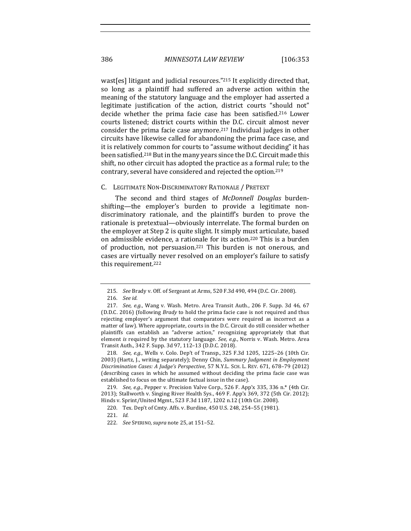wast[es] litigant and judicial resources."<sup>215</sup> It explicitly directed that, so long as a plaintiff had suffered an adverse action within the meaning of the statutory language and the employer had asserted a legitimate justification of the action, district courts "should not" decide whether the prima facie case has been satisfied.<sup>216</sup> Lower courts listened; district courts within the D.C. circuit almost never consider the prima facie case anymore.<sup>217</sup> Individual judges in other circuits have likewise called for abandoning the prima face case, and it is relatively common for courts to "assume without deciding" it has been satisfied.<sup>218</sup> But in the many years since the D.C. Circuit made this shift, no other circuit has adopted the practice as a formal rule; to the contrary, several have considered and rejected the option.<sup>219</sup>

#### C. LEGITIMATE NON-DISCRIMINATORY RATIONALE / PRETEXT

The second and third stages of *McDonnell Douglas* burdenshifting—the employer's burden to provide a legitimate nondiscriminatory rationale, and the plaintiff's burden to prove the rationale is pretextual—obviously interrelate. The formal burden on the employer at Step 2 is quite slight. It simply must articulate, based on admissible evidence, a rationale for its action.<sup>220</sup> This is a burden of production, not persuasion.<sup>221</sup> This burden is not onerous, and cases are virtually never resolved on an employer's failure to satisfy this requirement.<sup>222</sup>

218. *See, e.g.*, Wells v. Colo. Dep't of Transp., 325 F.3d 1205, 1225-26 (10th Cir. 2003) (Hartz, J., writing separately); Denny Chin, *Summary Judgment in Employment Discrimination Cases: A Judge's Perspective*, 57 N.Y.L. SCH. L. REV. 671, 678–79 (2012) (describing cases in which he assumed without deciding the prima facie case was established to focus on the ultimate factual issue in the case).

219. *See, e.g.*, Pepper v. Precision Valve Corp., 526 F. App'x 335, 336 n.\* (4th Cir. 2013); Stallworth v. Singing River Health Sys., 469 F. App'x 369, 372 (5th Cir. 2012); Hinds v. Sprint/United Mgmt., 523 F.3d 1187, 1202 n.12 (10th Cir. 2008).

<sup>215.</sup> *See* Brady v. Off. of Sergeant at Arms, 520 F.3d 490, 494 (D.C. Cir. 2008).

<sup>216.</sup> *See id.*

<sup>217.</sup> *See, e.g.*, Wang v. Wash. Metro. Area Transit Auth., 206 F. Supp. 3d 46, 67 (D.D.C. 2016) (following *Brady* to hold the prima facie case is not required and thus rejecting employer's argument that comparators were required as incorrect as a matter of law). Where appropriate, courts in the D.C. Circuit do still consider whether plaintiffs can establish an "adverse action," recognizing appropriately that that element *is* required by the statutory language. See, e.g., Norris v. Wash. Metro. Area Transit Auth., 342 F. Supp. 3d 97, 112-13 (D.D.C. 2018).

<sup>220.</sup> Tex. Dep't of Cmty. Affs. v. Burdine, 450 U.S. 248, 254-55 (1981).

<sup>221.</sup> *Id.*

<sup>222.</sup> *See* SPERINO*,supra* note 25, at 151–52.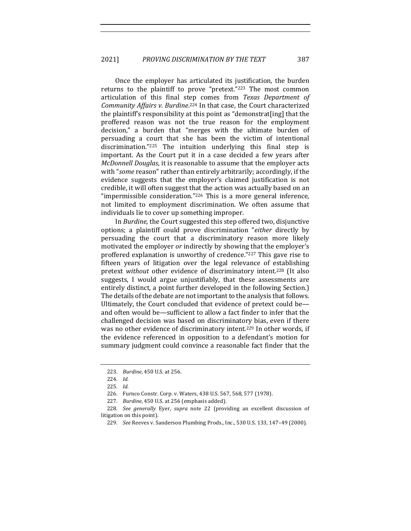Once the employer has articulated its justification, the burden returns to the plaintiff to prove "pretext." $223$  The most common articulation of this final step comes from *Texas Department of* Community Affairs v. Burdine.<sup>224</sup> In that case, the Court characterized the plaintiff's responsibility at this point as "demonstrat[ing] that the proffered reason was not the true reason for the employment decision," a burden that "merges with the ultimate burden of persuading a court that she has been the victim of intentional discrimination." $225$  The intuition underlying this final step is important. As the Court put it in a case decided a few years after *McDonnell Douglas*, it is reasonable to assume that the employer acts with "some reason" rather than entirely arbitrarily; accordingly, if the evidence suggests that the employer's claimed justification is not credible, it will often suggest that the action was actually based on an "impermissible consideration."<sup>226</sup> This is a more general inference, not limited to employment discrimination. We often assume that individuals lie to cover up something improper.

In *Burdine*, the Court suggested this step offered two, disjunctive options; a plaintiff could prove discrimination "*either* directly by persuading the court that a discriminatory reason more likely motivated the employer *or* indirectly by showing that the employer's proffered explanation is unworthy of credence." $227$  This gave rise to fifteen years of litigation over the legal relevance of establishing pretext without other evidence of discriminatory intent.<sup>228</sup> (It also suggests, I would argue unjustifiably, that these assessments are entirely distinct, a point further developed in the following Section.) The details of the debate are not important to the analysis that follows. Ultimately, the Court concluded that evidence of pretext could be and often would be—sufficient to allow a fact finder to infer that the challenged decision was based on discriminatory bias, even if there was no other evidence of discriminatory intent.<sup>229</sup> In other words, if the evidence referenced in opposition to a defendant's motion for summary judgment could convince a reasonable fact finder that the

<sup>223.</sup> *Burdine*, 450 U.S. at 256.

<sup>224.</sup> *Id.*

<sup>225.</sup> *Id.*

<sup>226.</sup> Furnco Constr. Corp. v. Waters, 438 U.S. 567, 568, 577 (1978).

<sup>227.</sup> *Burdine*, 450 U.S. at 256 (emphasis added).

<sup>228.</sup> *See generally* Eyer, *supra* note 22 (providing an excellent discussion of litigation on this point).

<sup>229.</sup> *See* Reeves v. Sanderson Plumbing Prods., Inc., 530 U.S. 133, 147-49 (2000).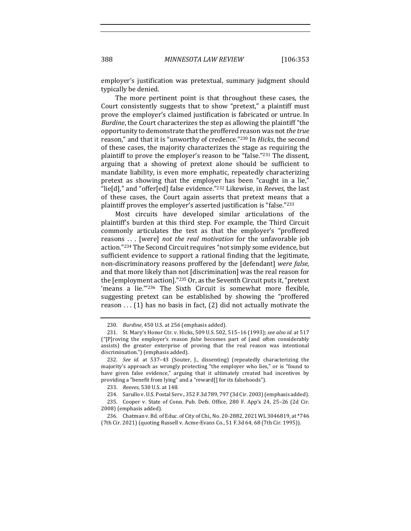employer's justification was pretextual, summary judgment should typically be denied.

The more pertinent point is that throughout these cases, the Court consistently suggests that to show "pretext," a plaintiff must prove the employer's claimed justification is fabricated or untrue. In *Burdine*, the Court characterizes the step as allowing the plaintiff "the opportunity to demonstrate that the proffered reason was not *the true* reason," and that it is "unworthy of credence."<sup>230</sup> In *Hicks*, the second of these cases, the majority characterizes the stage as requiring the plaintiff to prove the employer's reason to be "false."<sup>231</sup> The dissent, arguing that a showing of pretext alone should be sufficient to mandate liability, is even more emphatic, repeatedly characterizing pretext as showing that the employer has been "caught in a lie," "lie[d]," and "offer[ed] false evidence."<sup>232</sup> Likewise, in *Reeves*, the last of these cases, the Court again asserts that pretext means that a plaintiff proves the employer's asserted justification is "false."<sup>233</sup>

Most circuits have developed similar articulations of the plaintiff's burden at this third step. For example, the Third Circuit commonly articulates the test as that the employer's "proffered reasons ... [were] *not the real motivation* for the unfavorable job action."<sup>234</sup> The Second Circuit requires "not simply some evidence, but sufficient evidence to support a rational finding that the legitimate, non-discriminatory reasons proffered by the [defendant] *were false*, and that more likely than not [discrimination] was the real reason for the [employment action]."<sup>235</sup> Or, as the Seventh Circuit puts it, "pretext 'means a lie."<sup>236</sup> The Sixth Circuit is somewhat more flexible, suggesting pretext can be established by showing the "proffered reason  $\dots$  (1) has no basis in fact, (2) did not actually motivate the

<sup>230.</sup> *Burdine*, 450 U.S. at 256 (emphasis added).

<sup>231.</sup> St. Mary's Honor Ctr. v. Hicks, 509 U.S. 502, 515-16 (1993); see also id. at 517 ("[P]roving the employer's reason *false* becomes part of (and often considerably assists) the greater enterprise of proving that the real reason was intentional discrimination.") (emphasis added).

<sup>232.</sup> *See id.* at 537-43 (Souter, J., dissenting) (repeatedly characterizing the majority's approach as wrongly protecting "the employer who lies," or is "found to have given false evidence," arguing that it ultimately created bad incentives by providing a "benefit from lying" and a "reward[] for its falsehoods").

<sup>233.</sup> *Reeves*, 530 U.S. at 148.

<sup>234.</sup> Sarullo v. U.S. Postal Serv., 352 F.3d 789, 797 (3d Cir. 2003) (emphasis added).

<sup>235.</sup> Cooper v. State of Conn. Pub. Defs. Office, 280 F. App'x 24, 25-26 (2d Cir. 2008) (emphasis added).

<sup>236.</sup> Chatman v. Bd. of Educ. of City of Chi., No. 20-2882, 2021 WL 3046819, at \*746 (7th Cir. 2021) (quoting Russell v. Acme-Evans Co., 51 F.3d 64, 68 (7th Cir. 1995)).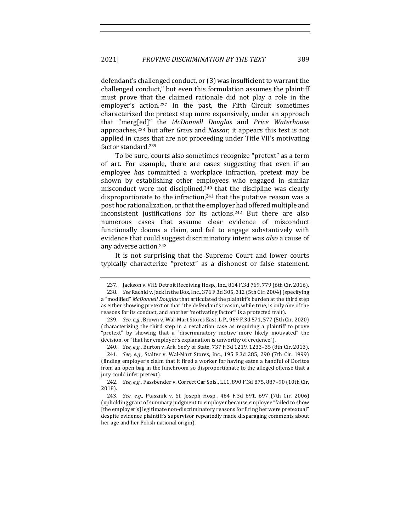defendant's challenged conduct, or (3) was insufficient to warrant the challenged conduct," but even this formulation assumes the plaintiff must prove that the claimed rationale did not play a role in the employer's action.<sup>237</sup> In the past, the Fifth Circuit sometimes characterized the pretext step more expansively, under an approach that "merg[ed]" the *McDonnell Douglas*  and *Price Waterhouse* approaches,<sup>238</sup> but after *Gross* and *Nassar*, it appears this test is not applied in cases that are not proceeding under Title VII's motivating factor standard.<sup>239</sup>

To be sure, courts also sometimes recognize "pretext" as a term of art. For example, there are cases suggesting that even if an employee *has* committed a workplace infraction, pretext may be shown by establishing other employees who engaged in similar misconduct were not disciplined,<sup>240</sup> that the discipline was clearly disproportionate to the infraction, $241$  that the putative reason was a post hoc rationalization, or that the employer had offered multiple and inconsistent justifications for its actions.<sup>242</sup> But there are also numerous cases that assume clear evidence of misconduct functionally dooms a claim, and fail to engage substantively with evidence that could suggest discriminatory intent was *also* a cause of any adverse action.<sup>243</sup>

It is not surprising that the Supreme Court and lower courts typically characterize "pretext" as a dishonest or false statement.

<sup>237.</sup> Jackson v. VHS Detroit Receiving Hosp., Inc., 814 F.3d 769, 779 (6th Cir. 2016).

<sup>238.</sup> *See* Rachid v. Jack in the Box, Inc., 376 F.3d 305, 312 (5th Cir. 2004) (specifying a "modified" McDonnell Douglas that articulated the plaintiff's burden at the third step as either showing pretext or that "the defendant's reason, while true, is only one of the reasons for its conduct, and another 'motivating factor'" is a protected trait).

<sup>239.</sup> *See, e.g.*, Brown v. Wal-Mart Stores East, L.P., 969 F.3d 571, 577 (5th Cir. 2020) (characterizing the third step in a retaliation case as requiring a plaintiff to prove "pretext" by showing that a "discriminatory motive more likely motivated" the decision, or "that her employer's explanation is unworthy of credence").

<sup>240.</sup> *See, e.g.*, Burton v. Ark. Sec'y of State, 737 F.3d 1219, 1233-35 (8th Cir. 2013).

<sup>241.</sup> *See, e.g.*, Stalter v. Wal-Mart Stores, Inc., 195 F.3d 285, 290 (7th Cir. 1999) (finding employer's claim that it fired a worker for having eaten a handful of Doritos from an open bag in the lunchroom so disproportionate to the alleged offense that a jury could infer pretext).

<sup>242.</sup> *See, e.g.*, Fassbender v. Correct Car Sols., LLC, 890 F.3d 875, 887-90 (10th Cir. 2018).

<sup>243.</sup> *See, e.g.*, Ptasznik v. St. Joseph Hosp., 464 F.3d 691, 697 (7th Cir. 2006) (upholding grant of summary judgment to employer because employee "failed to show [the employer's] legitimate non-discriminatory reasons for firing her were pretextual" despite evidence plaintiff's supervisor repeatedly made disparaging comments about her age and her Polish national origin).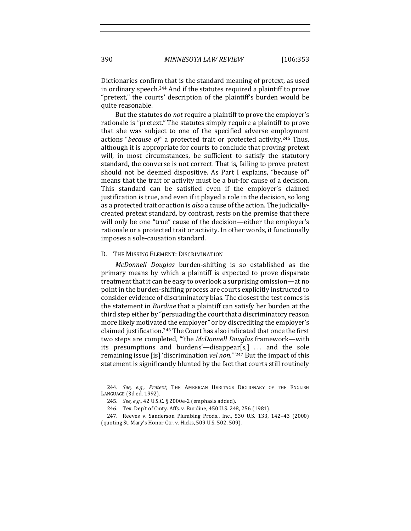Dictionaries confirm that is the standard meaning of pretext, as used in ordinary speech.<sup>244</sup> And if the statutes required a plaintiff to prove "pretext," the courts' description of the plaintiff's burden would be quite reasonable.

But the statutes do *not* require a plaintiff to prove the employer's rationale is "pretext." The statutes simply require a plaintiff to prove that she was subject to one of the specified adverse employment actions "*because of*" a protected trait or protected activity.<sup>245</sup> Thus, although it is appropriate for courts to conclude that proving pretext will, in most circumstances, be sufficient to satisfy the statutory standard, the converse is not correct. That is, failing to prove pretext should not be deemed dispositive. As Part I explains, "because of" means that the trait or activity must be a but-for cause of a decision. This standard can be satisfied even if the employer's claimed justification is true, and even if it played a role in the decision, so long as a protected trait or action is *also* a cause of the action. The judiciallycreated pretext standard, by contrast, rests on the premise that there will only be one "true" cause of the decision—either the employer's rationale or a protected trait or activity. In other words, it functionally imposes a sole-causation standard.

#### D. THE MISSING ELEMENT: DISCRIMINATION

*McDonnell Douglas* burden-shifting is so established as the primary means by which a plaintiff is expected to prove disparate treatment that it can be easy to overlook a surprising omission—at no point in the burden-shifting process are courts explicitly instructed to consider evidence of discriminatory bias. The closest the test comes is the statement in *Burdine* that a plaintiff can satisfy her burden at the third step either by "persuading the court that a discriminatory reason more likely motivated the employer" or by discrediting the employer's claimed justification.<sup>246</sup> The Court has also indicated that once the first two steps are completed, "'the McDonnell Douglas framework—with its presumptions and burdens'—disappear[s,] ... and the sole remaining issue [is] 'discrimination *vel non*.'"<sup>247</sup> But the impact of this statement is significantly blunted by the fact that courts still routinely

<sup>244.</sup> See, e.g., Pretext, THE AMERICAN HERITAGE DICTIONARY OF THE ENGLISH LANGUAGE (3d ed. 1992).

<sup>245.</sup> *See, e.g.*, 42 U.S.C. § 2000e-2 (emphasis added).

<sup>246.</sup> Tex. Dep't of Cmty. Affs. v. Burdine, 450 U.S. 248, 256 (1981).

<sup>247.</sup> Reeves v. Sanderson Plumbing Prods., Inc., 530 U.S. 133, 142-43 (2000) (quoting St. Mary's Honor Ctr. v. Hicks, 509 U.S. 502, 509).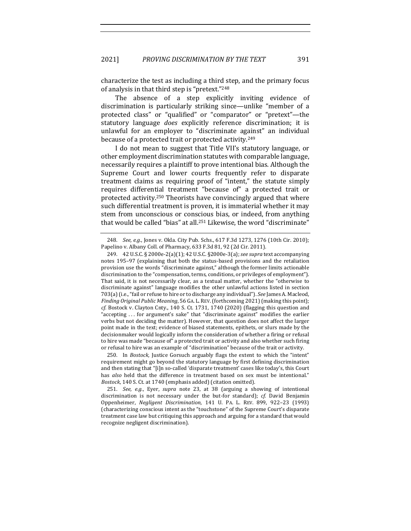characterize the test as including a third step, and the primary focus of analysis in that third step is "pretext."248

The absence of a step explicitly inviting evidence of discrimination is particularly striking since—unlike "member of a protected class" or "qualified" or "comparator" or "pretext"—the statutory language *does* explicitly reference discrimination; it is unlawful for an employer to "discriminate against" an individual because of a protected trait or protected activity.<sup>249</sup>

I do not mean to suggest that Title VII's statutory language, or other employment discrimination statutes with comparable language, necessarily requires a plaintiff to prove intentional bias. Although the Supreme Court and lower courts frequently refer to disparate treatment claims as requiring proof of "intent," the statute simply requires differential treatment "because of" a protected trait or protected activity.<sup>250</sup> Theorists have convincingly argued that where such differential treatment is proven, it is immaterial whether it may stem from unconscious or conscious bias, or indeed, from anything that would be called "bias" at all.<sup>251</sup> Likewise, the word "discriminate"

250. In *Bostock*, Justice Gorsuch arguably flags the extent to which the "intent" requirement might go beyond the statutory language by first defining discrimination and then stating that "[i]n so-called 'disparate treatment' cases like today's, this Court has *also* held that the difference in treatment based on sex must be intentional." *Bostock*, 140 S. Ct. at 1740 (emphasis added) (citation omitted).

<sup>248.</sup> *See, e.g.*, Jones v. Okla. City Pub. Schs., 617 F.3d 1273, 1276 (10th Cir. 2010); Papelino v. Albany Coll. of Pharmacy, 633 F.3d 81, 92 (2d Cir. 2011).

<sup>249. 42</sup> U.S.C. § 2000e-2(a)(1); 42 U.S.C. §2000e-3(a); *see supra* text accompanying notes 195-97 (explaining that both the status-based provisions and the retaliation provision use the words "discriminate against," although the former limits actionable discrimination to the "compensation, terms, conditions, or privileges of employment"). That said, it is not necessarily clear, as a textual matter, whether the "otherwise to discriminate against" language modifies the other unlawful actions listed in section 703(a) (i.e., "fail or refuse to hire or to discharge any individual"). *See* James A. Macleod, *Finding Original Public Meaning*, 56 GA. L. REV. (forthcoming 2021) (making this point);  $cf.$  Bostock v. Clayton Cnty., 140 S. Ct. 1731, 1740  $(2020)$  (flagging this question and "accepting  $\ldots$  for argument's sake" that "discriminate against" modifies the earlier verbs but not deciding the matter). However, that question does not affect the larger point made in the text; evidence of biased statements, epithets, or slurs made by the decisionmaker would logically inform the consideration of whether a firing or refusal to hire was made "because of" a protected trait or activity and also whether such firing or refusal to hire was an example of "discrimination" because of the trait or activity.

<sup>251.</sup> *See, e.g.*, Eyer, *supra* note 23, at 38 (arguing a showing of intentional discrimination is not necessary under the but-for standard); *cf.* David Benjamin Oppenheimer, *Negligent Discrimination*, 141 U. PA. L. REV. 899, 922–23 (1993) (characterizing conscious intent as the "touchstone" of the Supreme Court's disparate treatment case law but critiquing this approach and arguing for a standard that would recognize negligent discrimination).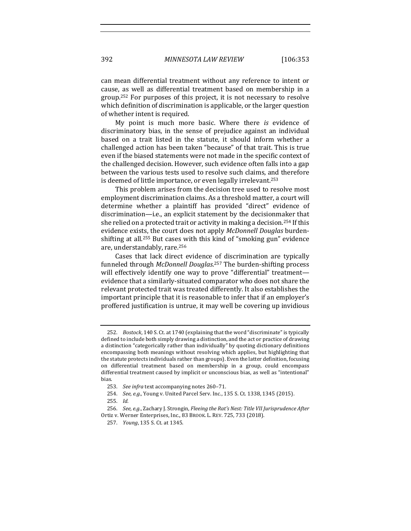can mean differential treatment without any reference to intent or cause, as well as differential treatment based on membership in a group.<sup>252</sup> For purposes of this project, it is not necessary to resolve which definition of discrimination is applicable, or the larger question of whether intent is required.

My point is much more basic. Where there *is* evidence of discriminatory bias, in the sense of prejudice against an individual based on a trait listed in the statute, it should inform whether a challenged action has been taken "because" of that trait. This is true even if the biased statements were not made in the specific context of the challenged decision. However, such evidence often falls into a gap between the various tests used to resolve such claims, and therefore is deemed of little importance, or even legally irrelevant.<sup>253</sup>

This problem arises from the decision tree used to resolve most employment discrimination claims. As a threshold matter, a court will determine whether a plaintiff has provided "direct" evidence of discrimination—i.e., an explicit statement by the decisionmaker that she relied on a protected trait or activity in making a decision.<sup>254</sup> If this evidence exists, the court does not apply *McDonnell Douglas* burdenshifting at all.<sup>255</sup> But cases with this kind of "smoking gun" evidence are, understandably, rare.<sup>256</sup>

Cases that lack direct evidence of discrimination are typically funneled through McDonnell Douglas.<sup>257</sup> The burden-shifting process will effectively identify one way to prove "differential" treatment evidence that a similarly-situated comparator who does not share the relevant protected trait was treated differently. It also establishes the important principle that it is reasonable to infer that if an employer's proffered justification is untrue, it may well be covering up invidious

<sup>252.</sup> *Bostock*, 140 S. Ct. at 1740 (explaining that the word "discriminate" is typically defined to include both simply drawing a distinction, and the act or practice of drawing a distinction "categorically rather than individually" by quoting dictionary definitions encompassing both meanings without resolving which applies, but highlighting that the statute protects individuals rather than groups). Even the latter definition, focusing on differential treatment based on membership in a group, could encompass differential treatment caused by implicit or unconscious bias, as well as "intentional" bias.

<sup>253.</sup> *See infra* text accompanying notes 260-71.

<sup>254.</sup> *See, e.g.*, Young v. United Parcel Serv. Inc., 135 S. Ct. 1338, 1345 (2015).

<sup>255.</sup> *Id.*

<sup>256.</sup> *See, e.g.*, Zachary J. Strongin, *Fleeing the Rat's Nest: Title VII Jurisprudence After* Ortiz v. Werner Enterprises, Inc., 83 BROOK. L. REV. 725, 733 (2018).

<sup>257.</sup> *Young*, 135 S. Ct. at 1345.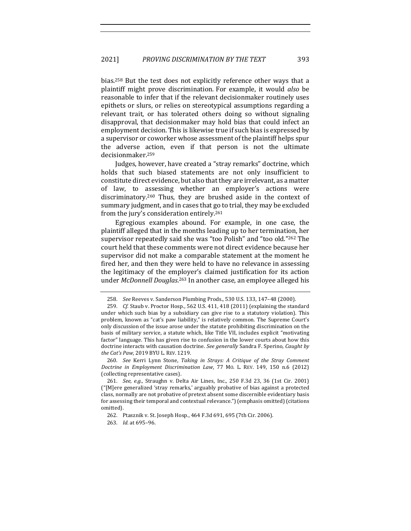bias.<sup>258</sup> But the test does not explicitly reference other ways that a plaintiff might prove discrimination. For example, it would *also* be reasonable to infer that if the relevant decisionmaker routinely uses epithets or slurs, or relies on stereotypical assumptions regarding a relevant trait, or has tolerated others doing so without signaling disapproval, that decisionmaker may hold bias that could infect an employment decision. This is likewise true if such bias is expressed by a supervisor or coworker whose assessment of the plaintiff helps spur the adverse action, even if that person is not the ultimate decisionmaker.259

Judges, however, have created a "stray remarks" doctrine, which holds that such biased statements are not only insufficient to constitute direct evidence, but also that they are irrelevant, as a matter of law, to assessing whether an employer's actions were discriminatory.<sup>260</sup> Thus, they are brushed aside in the context of summary judgment, and in cases that go to trial, they may be excluded from the jury's consideration entirely.<sup>261</sup>

Egregious examples abound. For example, in one case, the plaintiff alleged that in the months leading up to her termination, her supervisor repeatedly said she was "too Polish" and "too old."262 The court held that these comments were not direct evidence because her supervisor did not make a comparable statement at the moment he fired her, and then they were held to have no relevance in assessing the legitimacy of the employer's claimed justification for its action under *McDonnell Douglas*.<sup>263</sup> In another case, an employee alleged his

260. See Kerri Lynn Stone, Taking in Strays: A Critique of the Stray Comment *Doctrine in Employment Discrimination Law,* 77 Mo. L. REV. 149, 150 n.6 (2012) (collecting representative cases).

<sup>258.</sup> *See* Reeves v. Sanderson Plumbing Prods., 530 U.S. 133, 147-48 (2000).

<sup>259.</sup> *Cf.* Staub v. Proctor Hosp., 562 U.S. 411, 418 (2011) (explaining the standard under which such bias by a subsidiary can give rise to a statutory violation). This problem, known as "cat's paw liability," is relatively common. The Supreme Court's only discussion of the issue arose under the statute prohibiting discrimination on the basis of military service, a statute which, like Title VII, includes explicit "motivating factor" language. This has given rise to confusion in the lower courts about how this doctrine interacts with causation doctrine. See generally Sandra F. Sperino, Caught by *the Cat's Paw*, 2019 BYU L. REV. 1219.

<sup>261.</sup> *See, e.g.*, Straughn v. Delta Air Lines, Inc., 250 F.3d 23, 36 (1st Cir. 2001)  $("[M]$ ere generalized 'stray remarks,' arguably probative of bias against a protected class, normally are not probative of pretext absent some discernible evidentiary basis for assessing their temporal and contextual relevance.") (emphasis omitted) (citations omitted).

<sup>262.</sup> Ptasznik v. St. Joseph Hosp., 464 F.3d 691, 695 (7th Cir. 2006).

<sup>263.</sup> *Id.* at 695–96.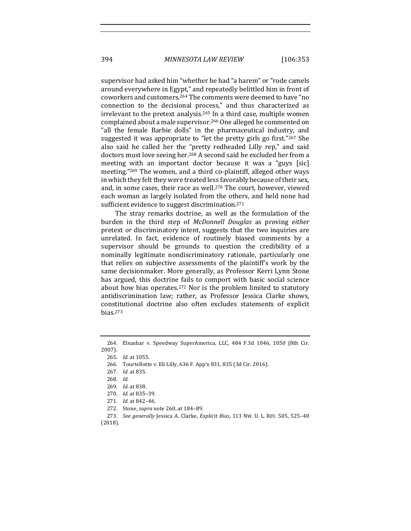supervisor had asked him "whether he had "a harem" or "rode camels around everywhere in Egypt," and repeatedly belittled him in front of coworkers and customers.<sup>264</sup> The comments were deemed to have "no connection to the decisional process," and thus characterized as irrelevant to the pretext analysis.<sup>265</sup> In a third case, multiple women complained about a male supervisor.<sup>266</sup> One alleged he commented on "all the female Barbie dolls" in the pharmaceutical industry, and suggested it was appropriate to "let the pretty girls go first."267 She also said he called her the "pretty redheaded Lilly rep," and said doctors must love seeing her.<sup>268</sup> A second said he excluded her from a meeting with an important doctor because it was a "guys [sic] meeting."<sup>269</sup> The women, and a third co-plaintiff, alleged other ways in which they felt they were treated less favorably because of their sex, and, in some cases, their race as well.<sup>270</sup> The court, however, viewed each woman as largely isolated from the others, and held none had sufficient evidence to suggest discrimination.<sup>271</sup>

The stray remarks doctrine, as well as the formulation of the burden in the third step of *McDonnell Douglas* as proving *either* pretext *or* discriminatory intent, suggests that the two inquiries are unrelated. In fact, evidence of routinely biased comments by a supervisor should be grounds to question the credibility of a nominally legitimate nondiscriminatory rationale, particularly one that relies on subjective assessments of the plaintiff's work by the same decisionmaker. More generally, as Professor Kerri Lynn Stone has argued, this doctrine fails to comport with basic social science about how bias operates.<sup>272</sup> Nor is the problem limited to statutory antidiscrimination law; rather, as Professor Jessica Clarke shows, constitutional doctrine also often excludes statements of explicit bias.273

<sup>264.</sup> Elnashar v. Speedway SuperAmerica, LLC, 484 F.3d 1046, 1050 (8th Cir. 2007).

<sup>265.</sup> *Id.* at 1055.

<sup>266.</sup> Tourtellotte v. Eli Lilly, 636 F. App'x 831, 835 (3d Cir. 2016).

<sup>267.</sup> *Id.* at 835.

<sup>268.</sup> *Id.*

<sup>269.</sup> *Id.* at 838.

<sup>270.</sup> *Id.* at 835–39.

<sup>271.</sup> *Id.* at 842-46.

<sup>272.</sup> Stone, *supra* note 260, at 184-89.

<sup>273.</sup> *See generally Jessica A. Clarke, Explicit Bias, 113 Nw. U. L. REV.* 505, 525-40

<sup>(2018).</sup>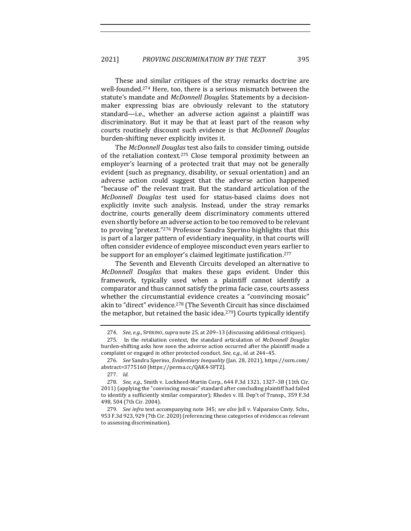These and similar critiques of the stray remarks doctrine are well-founded.<sup>274</sup> Here, too, there is a serious mismatch between the statute's mandate and *McDonnell Douglas*. Statements by a decisionmaker expressing bias are obviously relevant to the statutory standard—i.e., whether an adverse action against a plaintiff was discriminatory. But it may be that at least part of the reason why courts routinely discount such evidence is that *McDonnell Douglas* burden-shifting never explicitly invites it.

The *McDonnell Douglas* test also fails to consider timing, outside of the retaliation context.<sup>275</sup> Close temporal proximity between an employer's learning of a protected trait that may not be generally evident (such as pregnancy, disability, or sexual orientation) and an adverse action could suggest that the adverse action happened "because of" the relevant trait. But the standard articulation of the *McDonnell Douglas*  test used for status-based claims does not explicitly invite such analysis. Instead, under the stray remarks doctrine, courts generally deem discriminatory comments uttered even shortly before an adverse action to be too removed to be relevant to proving "pretext."<sup>276</sup> Professor Sandra Sperino highlights that this is part of a larger pattern of evidentiary inequality, in that courts will often consider evidence of employee misconduct even years earlier to be support for an employer's claimed legitimate justification.<sup>277</sup>

The Seventh and Eleventh Circuits developed an alternative to *McDonnell Douglas* that makes these gaps evident. Under this framework, typically used when a plaintiff cannot identify a comparator and thus cannot satisfy the prima facie case, courts assess whether the circumstantial evidence creates a "convincing mosaic" akin to "direct" evidence.<sup>278</sup> (The Seventh Circuit has since disclaimed the metaphor, but retained the basic idea.<sup>279</sup>) Courts typically identify

<sup>274.</sup> *See, e.g.*, SPERINO, *supra* note 25, at 209-13 (discussing additional critiques).

<sup>275.</sup> In the retaliation context, the standard articulation of *McDonnell Douglas* burden-shifting asks how soon the adverse action occurred after the plaintiff made a complaint or engaged in other protected conduct. See, e.g., id. at 244-45.

<sup>276.</sup> *See* Sandra Sperino, *Evidentiary Inequality* (Jan. 28, 2021), https://ssrn.com/ abstract=3775160 [https://perma.cc/QAK4-SFTZ].

<sup>277.</sup> *Id.*

<sup>278.</sup> *See, e.g.*, Smith v. Lockheed-Martin Corp., 644 F.3d 1321, 1327-38 (11th Cir. 2011) (applying the "convincing mosaic" standard after concluding plaintiff had failed to identify a sufficiently similar comparator); Rhodes v. Ill. Dep't of Transp., 359 F.3d 498, 504 (7th Cir. 2004).

<sup>279.</sup> *See infra* text accompanying note 345; see also Joll v. Valparaiso Cmty. Schs., 953 F.3d 923, 929 (7th Cir. 2020) (referencing these categories of evidence as relevant to assessing discrimination).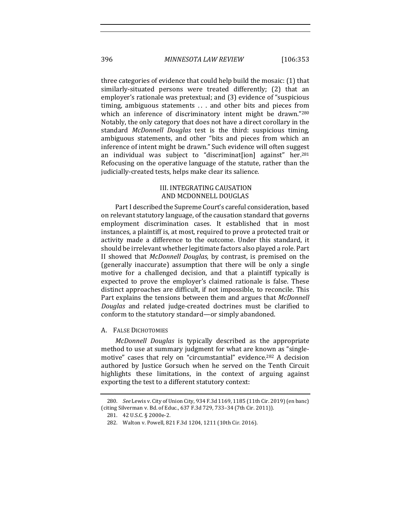three categories of evidence that could help build the mosaic: (1) that similarly-situated persons were treated differently; (2) that an employer's rationale was pretextual; and (3) evidence of "suspicious timing, ambiguous statements ... and other bits and pieces from which an inference of discriminatory intent might be drawn."280 Notably, the only category that does not have a direct corollary in the standard *McDonnell Douglas* test is the third: suspicious timing, ambiguous statements, and other "bits and pieces from which an inference of intent might be drawn." Such evidence will often suggest an individual was subject to "discriminat[ion] against" her.<sup>281</sup> Refocusing on the operative language of the statute, rather than the judicially-created tests, helps make clear its salience.

# III. INTEGRATING CAUSATION AND MCDONNELL DOUGLAS

Part I described the Supreme Court's careful consideration, based on relevant statutory language, of the causation standard that governs employment discrimination cases. It established that in most instances, a plaintiff is, at most, required to prove a protected trait or activity made a difference to the outcome. Under this standard, it should be irrelevant whether legitimate factors also played a role. Part II showed that *McDonnell Douglas*, by contrast, is premised on the (generally inaccurate) assumption that there will be only a single motive for a challenged decision, and that a plaintiff typically is expected to prove the employer's claimed rationale is false. These distinct approaches are difficult, if not impossible, to reconcile. This Part explains the tensions between them and argues that *McDonnell Douglas*  and related judge-created doctrines must be clarified to conform to the statutory standard—or simply abandoned.

## A. FALSE DICHOTOMIES

*McDonnell Douglas* is typically described as the appropriate method to use at summary judgment for what are known as "singlemotive" cases that rely on "circumstantial" evidence.<sup>282</sup> A decision authored by Justice Gorsuch when he served on the Tenth Circuit highlights these limitations, in the context of arguing against exporting the test to a different statutory context:

<sup>280.</sup> *See Lewis v. City of Union City, 934 F.3d 1169, 1185* (11th Cir. 2019) (en banc) (citing Silverman v. Bd. of Educ., 637 F.3d 729, 733-34 (7th Cir. 2011)).

<sup>281. 42</sup> U.S.C. § 2000e-2.

<sup>282.</sup> Walton v. Powell, 821 F.3d 1204, 1211 (10th Cir. 2016).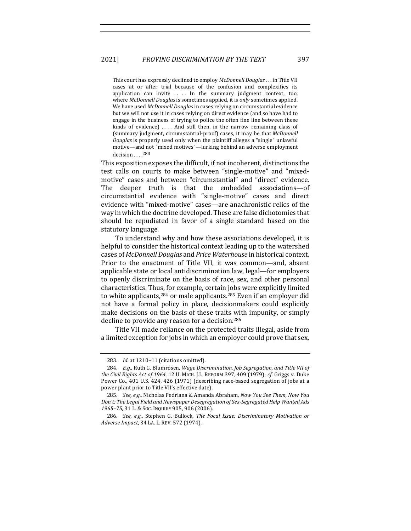This court has expressly declined to employ *McDonnell Douglas*... in Title VII cases at or after trial because of the confusion and complexities its application can invite  $\dots$  . In the summary judgment context, too, where *McDonnell Douglas* is sometimes applied, it is *only* sometimes applied. We have used *McDonnell Douglas* in cases relying on circumstantial evidence but we will not use it in cases relying on direct evidence (and so have had to engage in the business of trying to police the often fine line between these kinds of evidence)  $\dots$  And still then, in the narrow remaining class of (summary judgment, circumstantial-proof) cases, it may be that *McDonnell Douglas* is properly used only when the plaintiff alleges a "single" unlawful motive—and not "mixed motives"—lurking behind an adverse employment decision . . . . <sup>283</sup>

This exposition exposes the difficult, if not incoherent, distinctions the test calls on courts to make between "single-motive" and "mixedmotive" cases and between "circumstantial" and "direct" evidence. The deeper truth is that the embedded associations-of circumstantial evidence with "single-motive" cases and direct evidence with "mixed-motive" cases—are anachronistic relics of the way in which the doctrine developed. These are false dichotomies that should be repudiated in favor of a single standard based on the statutory language.

To understand why and how these associations developed, it is helpful to consider the historical context leading up to the watershed cases of *McDonnell Douglas* and *Price Waterhouse* in historical context. Prior to the enactment of Title VII, it was common—and, absent applicable state or local antidiscrimination law, legal—for employers to openly discriminate on the basis of race, sex, and other personal characteristics. Thus, for example, certain jobs were explicitly limited to white applicants,<sup>284</sup> or male applicants.<sup>285</sup> Even if an employer did not have a formal policy in place, decisionmakers could explicitly make decisions on the basis of these traits with impunity, or simply decline to provide any reason for a decision.<sup>286</sup>

Title VII made reliance on the protected traits illegal, aside from a limited exception for jobs in which an employer could prove that sex,

<sup>283.</sup> *Id.* at 1210-11 (citations omitted).

<sup>284.</sup> E.g., Ruth G. Blumrosen, Wage Discrimination, Job Segregation, and Title VII of *the Civil Rights Act of 1964, 12 U. MICH. J.L. REFORM 397, 409 (1979); cf. Griggs v. Duke* Power Co., 401 U.S. 424, 426 (1971) (describing race-based segregation of jobs at a power plant prior to Title VII's effective date).

<sup>285.</sup> *See, e.g.*, Nicholas Pedriana & Amanda Abraham, *Now You See Them, Now You* Don't: The Legal Field and Newspaper Desegregation of Sex-Segregated Help Wanted Ads 1965-75, 31 L. & Soc. Inquiry 905, 906 (2006).

<sup>286.</sup> *See, e.g.,* Stephen G. Bullock, *The Focal Issue: Discriminatory Motivation or Adverse Impact*, 34 LA. L. REV. 572 (1974).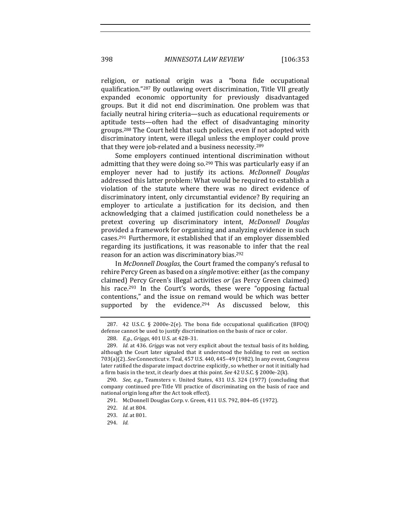religion, or national origin was a "bona fide occupational qualification."<sup>287</sup> By outlawing overt discrimination, Title VII greatly expanded economic opportunity for previously disadvantaged groups. But it did not end discrimination. One problem was that facially neutral hiring criteria—such as educational requirements or aptitude tests—often had the effect of disadvantaging minority groups.<sup>288</sup> The Court held that such policies, even if not adopted with discriminatory intent, were illegal unless the employer could prove that they were job-related and a business necessity. $289$ 

Some employers continued intentional discrimination without admitting that they were doing so.<sup>290</sup> This was particularly easy if an employer never had to justify its actions. *McDonnell Douglas* addressed this latter problem: What would be required to establish a violation of the statute where there was no direct evidence of discriminatory intent, only circumstantial evidence? By requiring an employer to articulate a justification for its decision, and then acknowledging that a claimed justification could nonetheless be a pretext covering up discriminatory intent, *McDonnell Douglas* provided a framework for organizing and analyzing evidence in such cases.<sup>291</sup> Furthermore, it established that if an employer dissembled regarding its justifications, it was reasonable to infer that the real reason for an action was discriminatory bias.<sup>292</sup>

In *McDonnell Douglas*, the Court framed the company's refusal to rehire Percy Green as based on a *single* motive: either (as the company claimed) Percy Green's illegal activities or (as Percy Green claimed) his race.<sup>293</sup> In the Court's words, these were "opposing factual contentions," and the issue on remand would be which was better supported by the evidence.<sup>294</sup> As discussed below, this

<sup>287. 42</sup> U.S.C. § 2000e-2(e). The bona fide occupational qualification (BFOQ) defense cannot be used to justify discrimination on the basis of race or color.

<sup>288.</sup> *E.g., Griggs*, 401 U.S. at 428-31.

<sup>289.</sup> *Id.* at 436. *Griggs* was not very explicit about the textual basis of its holding, although the Court later signaled that it understood the holding to rest on section 703(a)(2). *See* Connecticut v. Teal, 457 U.S. 440, 445-49 (1982). In any event, Congress later ratified the disparate impact doctrine explicitly, so whether or not it initially had a firm basis in the text, it clearly does at this point. See 42 U.S.C. § 2000e-2(k).

<sup>290.</sup> *See, e.g.*, Teamsters v. United States, 431 U.S. 324 (1977) (concluding that company continued pre-Title VII practice of discriminating on the basis of race and national origin long after the Act took effect).

<sup>291.</sup> McDonnell Douglas Corp. v. Green, 411 U.S. 792, 804-05 (1972).

<sup>292.</sup> *Id.* at 804.

<sup>293.</sup> *Id.* at 801.

<sup>294.</sup> *Id.*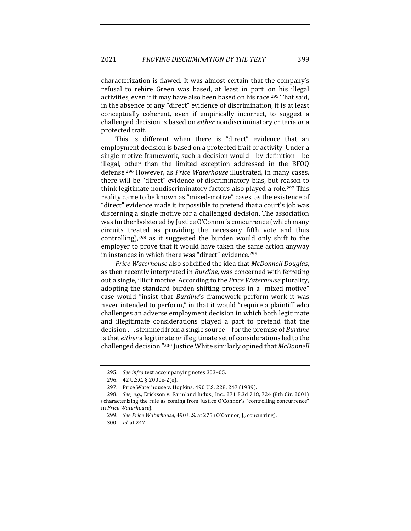characterization is flawed. It was almost certain that the company's refusal to rehire Green was based, at least in part, on his illegal activities, even if it may have also been based on his race.<sup>295</sup> That said, in the absence of any "direct" evidence of discrimination, it is at least conceptually coherent, even if empirically incorrect, to suggest a challenged decision is based on *either* nondiscriminatory criteria *or* a protected trait.

This is different when there is "direct" evidence that an employment decision is based on a protected trait or activity. Under a single-motive framework, such a decision would—by definition—be illegal, other than the limited exception addressed in the BFOQ defense.<sup>296</sup> However, as *Price Waterhouse* illustrated, in many cases, there will be "direct" evidence of discriminatory bias, but reason to think legitimate nondiscriminatory factors also played a role.<sup>297</sup> This reality came to be known as "mixed-motive" cases, as the existence of "direct" evidence made it impossible to pretend that a court's job was discerning a single motive for a challenged decision. The association was further bolstered by Justice O'Connor's concurrence (which many circuits treated as providing the necessary fifth vote and thus controlling), $298$  as it suggested the burden would only shift to the employer to prove that it would have taken the same action anyway in instances in which there was "direct" evidence.<sup>299</sup>

*Price Waterhouse* also solidified the idea that *McDonnell Douglas*, as then recently interpreted in *Burdine*, was concerned with ferreting out a single, illicit motive. According to the *Price Waterhouse* plurality, adopting the standard burden-shifting process in a "mixed-motive" case would "insist that *Burdine's* framework perform work it was never intended to perform," in that it would "require a plaintiff who challenges an adverse employment decision in which both legitimate and illegitimate considerations played a part to pretend that the decision . . . stemmed from a single source—for the premise of *Burdine* is that *either* a legitimate *or* illegitimate set of considerations led to the challenged decision."<sup>300</sup> Justice White similarly opined that *McDonnell* 

<sup>295.</sup> *See infra* text accompanying notes 303-05.

<sup>296. 42</sup> U.S.C. § 2000e-2(e).

<sup>297.</sup> Price Waterhouse v. Hopkins, 490 U.S. 228, 247 (1989).

<sup>298.</sup> *See, e.g.*, Erickson v. Farmland Indus., Inc., 271 F.3d 718, 724 (8th Cir. 2001) (characterizing the rule as coming from Justice O'Connor's "controlling concurrence" in *Price Waterhouse*).

<sup>299.</sup> *See Price Waterhouse*, 490 U.S. at 275 (O'Connor, J., concurring).

<sup>300.</sup> *Id.* at 247.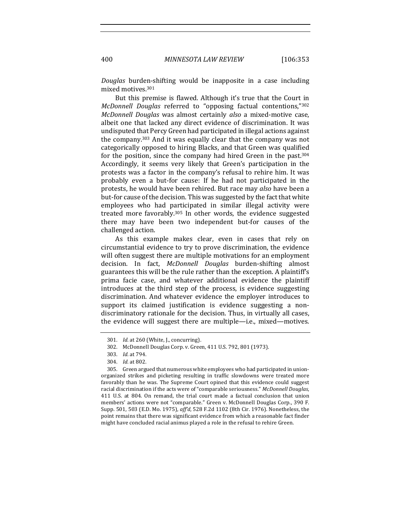*Douglas*  burden-shifting would be inapposite in a case including mixed motives.<sup>301</sup>

But this premise is flawed. Although it's true that the Court in *McDonnell Douglas* referred to "opposing factual contentions,"302 *McDonnell Douglas* was almost certainly *also* a mixed-motive case, albeit one that lacked any direct evidence of discrimination. It was undisputed that Percy Green had participated in illegal actions against the company.<sup>303</sup> And it was equally clear that the company was not categorically opposed to hiring Blacks, and that Green was qualified for the position, since the company had hired Green in the past.<sup>304</sup> Accordingly, it seems very likely that Green's participation in the protests was a factor in the company's refusal to rehire him. It was probably even a but-for cause: If he had not participated in the protests, he would have been rehired. But race may *also* have been a but-for cause of the decision. This was suggested by the fact that white emplovees who had participated in similar illegal activity were treated more favorably.<sup>305</sup> In other words, the evidence suggested there may have been two independent but-for causes of the challenged action.

As this example makes clear, even in cases that rely on circumstantial evidence to try to prove discrimination, the evidence will often suggest there are multiple motivations for an employment decision. In fact, *McDonnell Douglas* burden-shifting almost guarantees this will be the rule rather than the exception. A plaintiff's prima facie case, and whatever additional evidence the plaintiff introduces at the third step of the process, is evidence suggesting discrimination. And whatever evidence the employer introduces to support its claimed justification is evidence suggesting a nondiscriminatory rationale for the decision. Thus, in virtually all cases, the evidence will suggest there are multiple—i.e., mixed—motives.

<sup>301.</sup> *Id.* at 260 (White, J., concurring).

<sup>302.</sup> McDonnell Douglas Corp. v. Green, 411 U.S. 792, 801 (1973).

<sup>303.</sup> *Id.* at 794.

<sup>304.</sup> *Id.* at 802.

<sup>305.</sup> Green argued that numerous white employees who had participated in unionorganized strikes and picketing resulting in traffic slowdowns were treated more favorably than he was. The Supreme Court opined that this evidence could suggest racial discrimination if the acts were of "comparable seriousness." *McDonnell Douglas*, 411 U.S. at 804. On remand, the trial court made a factual conclusion that union members' actions were not "comparable." Green v. McDonnell Douglas Corp., 390 F. Supp. 501, 503 (E.D. Mo. 1975), aff'd, 528 F.2d 1102 (8th Cir. 1976). Nonetheless, the point remains that there was significant evidence from which a reasonable fact finder might have concluded racial animus played a role in the refusal to rehire Green.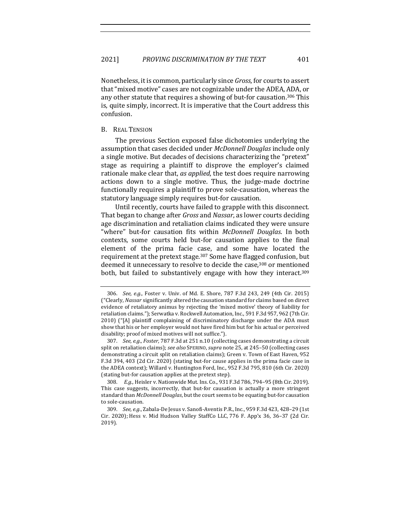Nonetheless, it is common, particularly since *Gross*, for courts to assert that "mixed motive" cases are not cognizable under the ADEA, ADA, or any other statute that requires a showing of but-for causation.<sup>306</sup> This is, quite simply, incorrect. It is imperative that the Court address this confusion. 

# B. REAL TENSION

The previous Section exposed false dichotomies underlying the assumption that cases decided under *McDonnell Douglas* include only a single motive. But decades of decisions characterizing the "pretext" stage as requiring a plaintiff to disprove the employer's claimed rationale make clear that, *as applied*, the test does require narrowing actions down to a single motive. Thus, the judge-made doctrine functionally requires a plaintiff to prove sole-causation, whereas the statutory language simply requires but-for causation.

Until recently, courts have failed to grapple with this disconnect. That began to change after *Gross* and *Nassar*, as lower courts deciding age discrimination and retaliation claims indicated they were unsure "where" but-for causation fits within *McDonnell Douglas*. In both contexts, some courts held but-for causation applies to the final element of the prima facie case, and some have located the requirement at the pretext stage.<sup>307</sup> Some have flagged confusion, but deemed it unnecessary to resolve to decide the case,<sup>308</sup> or mentioned both, but failed to substantively engage with how they interact.<sup>309</sup>

<sup>306.</sup> *See, e.g.*, Foster v. Univ. of Md. E. Shore, 787 F.3d 243, 249 (4th Cir. 2015) ("Clearly, *Nassar* significantly altered the causation standard for claims based on direct evidence of retaliatory animus by rejecting the 'mixed motive' theory of liability for retaliation claims."); Serwatka v. Rockwell Automation, Inc., 591 F.3d 957, 962 (7th Cir. 2010) ("[A] plaintiff complaining of discriminatory discharge under the ADA must show that his or her employer would not have fired him but for his actual or perceived disability; proof of mixed motives will not suffice.").

<sup>307.</sup> *See, e.g., Foster*, 787 F.3d at 251 n.10 (collecting cases demonstrating a circuit split on retaliation claims); *see also* SPERINO, *supra* note 25, at 245–50 (collecting cases demonstrating a circuit split on retaliation claims); Green v. Town of East Haven, 952 F.3d 394, 403 (2d Cir. 2020) (stating but-for cause applies in the prima facie case in the ADEA context); Willard v. Huntington Ford, Inc., 952 F.3d 795, 810 (6th Cir. 2020) (stating but-for causation applies at the pretext step).

<sup>308.</sup> *E.g.*, Heisler v. Nationwide Mut. Ins. Co., 931 F.3d 786, 794-95 (8th Cir. 2019). This case suggests, incorrectly, that but-for causation is actually a more stringent standard than *McDonnell Douglas*, but the court seems to be equating but-for causation to sole-causation.

<sup>309.</sup> *See, e.g.,* Zabala-De Jesus v. Sanofi-Aventis P.R., Inc., 959 F.3d 423, 428-29 (1st Cir. 2020); Hess v. Mid Hudson Valley StaffCo LLC, 776 F. App'x 36, 36-37 (2d Cir. 2019).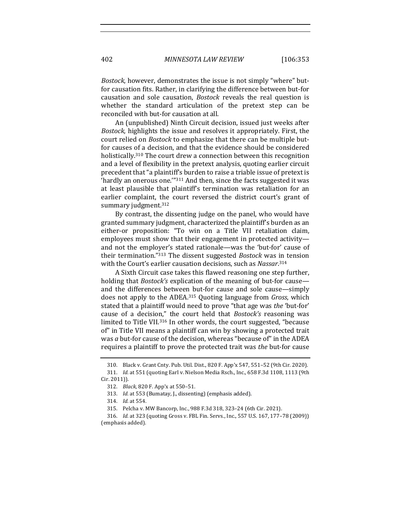*Bostock*, however, demonstrates the issue is not simply "where" butfor causation fits. Rather, in clarifying the difference between but-for causation and sole causation, *Bostock* reveals the real question is whether the standard articulation of the pretext step can be reconciled with but-for causation at all.

An (unpublished) Ninth Circuit decision, issued just weeks after *Bostock*, highlights the issue and resolves it appropriately. First, the court relied on *Bostock* to emphasize that there can be multiple butfor causes of a decision, and that the evidence should be considered holistically.<sup>310</sup> The court drew a connection between this recognition and a level of flexibility in the pretext analysis, quoting earlier circuit precedent that "a plaintiff's burden to raise a triable issue of pretext is 'hardly an onerous one."<sup>311</sup> And then, since the facts suggested it was at least plausible that plaintiff's termination was retaliation for an earlier complaint, the court reversed the district court's grant of summary judgment. $312$ 

By contrast, the dissenting judge on the panel, who would have granted summary judgment, characterized the plaintiff's burden as an either-or proposition: "To win on a Title VII retaliation claim, employees must show that their engagement in protected activityand not the employer's stated rationale—was the 'but-for' cause of their termination."<sup>313</sup> The dissent suggested *Bostock* was in tension with the Court's earlier causation decisions, such as *Nassar*.<sup>314</sup>

A Sixth Circuit case takes this flawed reasoning one step further, holding that *Bostock's* explication of the meaning of but-for cause and the differences between but-for cause and sole cause—simply does not apply to the ADEA.<sup>315</sup> Quoting language from *Gross*, which stated that a plaintiff would need to prove "that age was *the* 'but-for' cause of a decision," the court held that *Bostock's* reasoning was limited to Title VII.<sup>316</sup> In other words, the court suggested, "because of" in Title VII means a plaintiff can win by showing a protected trait was *a* but-for cause of the decision, whereas "because of" in the ADEA requires a plaintiff to prove the protected trait was *the* but-for cause

<sup>310.</sup> Black v. Grant Cnty. Pub. Util. Dist., 820 F. App'x 547, 551-52 (9th Cir. 2020).

<sup>311.</sup> *Id.* at 551 (quoting Earl v. Nielson Media Rsch., Inc., 658 F.3d 1108, 1113 (9th Cir. 2011)).

<sup>312.</sup> *Black*, 820 F. App'x at 550-51.

<sup>313.</sup> *Id.* at 553 (Bumatay, J., dissenting) (emphasis added).

<sup>314.</sup> *Id.* at 554.

<sup>315.</sup> Pelcha v. MW Bancorp, Inc., 988 F.3d 318, 323-24 (6th Cir. 2021).

<sup>316.</sup> *Id.* at 323 (quoting Gross v. FBL Fin. Servs., Inc., 557 U.S. 167, 177-78 (2009)) (emphasis added).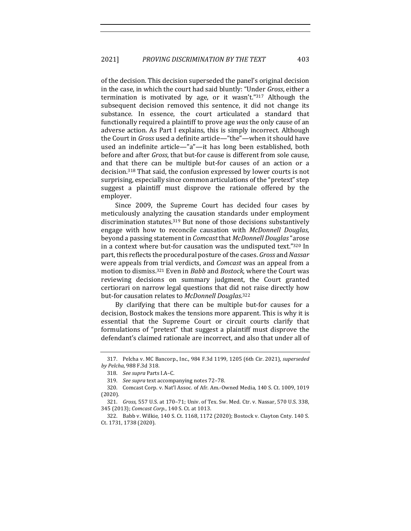of the decision. This decision superseded the panel's original decision in the case, in which the court had said bluntly: "Under *Gross*, either a termination is motivated by age, or it wasn't."<sup>317</sup> Although the subsequent decision removed this sentence, it did not change its substance. In essence, the court articulated a standard that functionally required a plaintiff to prove age was the only cause of an adverse action. As Part I explains, this is simply incorrect. Although the Court in *Gross* used a definite article—"the"—when it should have used an indefinite article—"a"—it has long been established, both before and after *Gross*, that but-for cause is different from sole cause, and that there can be multiple but-for causes of an action or a decision.<sup>318</sup> That said, the confusion expressed by lower courts is not surprising, especially since common articulations of the "pretext" step suggest a plaintiff must disprove the rationale offered by the employer. 

Since 2009, the Supreme Court has decided four cases by meticulously analyzing the causation standards under employment discrimination statutes. $319$  But none of those decisions substantively engage with how to reconcile causation with *McDonnell Douglas*, beyond a passing statement in *Comcast* that *McDonnell Douglas*"arose in a context where but-for causation was the undisputed text."320 In part, this reflects the procedural posture of the cases. *Gross* and *Nassar* were appeals from trial verdicts, and *Comcast* was an appeal from a motion to dismiss.<sup>321</sup> Even in *Babb* and *Bostock*, where the Court was reviewing decisions on summary judgment, the Court granted certiorari on narrow legal questions that did not raise directly how but-for causation relates to McDonnell Douglas.<sup>322</sup>

By clarifying that there can be multiple but-for causes for a decision, Bostock makes the tensions more apparent. This is why it is essential that the Supreme Court or circuit courts clarify that formulations of "pretext" that suggest a plaintiff must disprove the defendant's claimed rationale are incorrect, and also that under all of

<sup>317.</sup> Pelcha v. MC Bancorp., Inc., 984 F.3d 1199, 1205 (6th Cir. 2021), *superseded by Pelcha*, 988 F.3d 318.

<sup>318.</sup> See supra Parts I.A-C.

<sup>319.</sup> *See supra* text accompanying notes 72-78.

<sup>320.</sup> Comcast Corp. v. Nat'l Assoc. of Afr. Am.-Owned Media, 140 S. Ct. 1009, 1019 (2020).

<sup>321.</sup> *Gross*, 557 U.S. at 170-71; Univ. of Tex. Sw. Med. Ctr. v. Nassar, 570 U.S. 338, 345 (2013); *Comcast Corp.*, 140 S. Ct. at 1013.

<sup>322.</sup> Babb v. Wilkie, 140 S. Ct. 1168, 1172 (2020); Bostock v. Clayton Cnty. 140 S. Ct. 1731, 1738 (2020).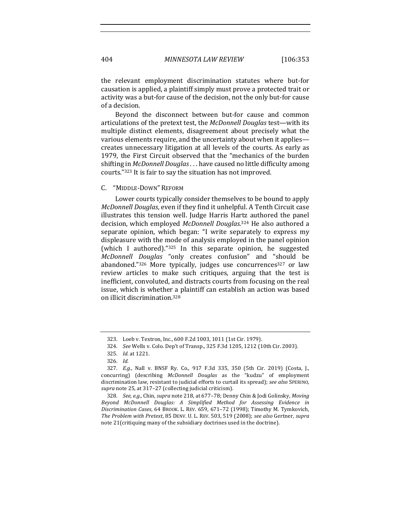the relevant employment discrimination statutes where but-for causation is applied, a plaintiff simply must prove a protected trait or activity was a but-for cause of the decision, not the only but-for cause of a decision.

Beyond the disconnect between but-for cause and common articulations of the pretext test, the *McDonnell Douglas* test—with its multiple distinct elements, disagreement about precisely what the various elements require, and the uncertainty about when it applies creates unnecessary litigation at all levels of the courts. As early as 1979, the First Circuit observed that the "mechanics of the burden shifting in *McDonnell Douglas*... have caused no little difficulty among courts."<sup>323</sup> It is fair to say the situation has not improved.

### C. "MIDDLE-DOWN" REFORM

Lower courts typically consider themselves to be bound to apply *McDonnell Douglas*, even if they find it unhelpful. A Tenth Circuit case illustrates this tension well. Judge Harris Hartz authored the panel decision, which employed McDonnell Douglas.<sup>324</sup> He also authored a separate opinion, which began: "I write separately to express my displeasure with the mode of analysis employed in the panel opinion (which I authored)." $325$  In this separate opinion, he suggested *McDonnell Douglas*  "only creates confusion" and "should be abandoned."326 More typically, judges use concurrences<sup>327</sup> or law review articles to make such critiques, arguing that the test is inefficient, convoluted, and distracts courts from focusing on the real issue, which is whether a plaintiff can establish an action was based on illicit discrimination.328

<sup>323.</sup> Loeb v. Textron, Inc., 600 F.2d 1003, 1011 (1st Cir. 1979).

<sup>324.</sup> *See* Wells v. Colo. Dep't of Transp., 325 F.3d 1205, 1212 (10th Cir. 2003).

<sup>325.</sup> *Id.* at 1221.

<sup>326.</sup> *Id.*

<sup>327.</sup> *E.g.*, Nall v. BNSF Ry. Co., 917 F.3d 335, 350 (5th Cir. 2019) (Costa, J., concurring) (describing *McDonnell Douglas* as the "kudzu" of employment discrimination law, resistant to judicial efforts to curtail its spread); *see also* SPERINO, supra note 25, at 317-27 (collecting judicial criticism).

<sup>328.</sup> *See, e.g.*, Chin, *supra* note 218, at 677-78; Denny Chin & Jodi Golinsky, *Moving Beyond McDonnell Douglas: A Simplified Method for Assessing Evidence in Discrimination Cases*, 64 BROOK. L. REV. 659, 671–72 (1998); Timothy M. Tymkovich, *The Problem with Pretext*, 85 DENV. U. L. REV. 503, 519 (2008); *see also* Gertner*, supra* note 21 (critiquing many of the subsidiary doctrines used in the doctrine).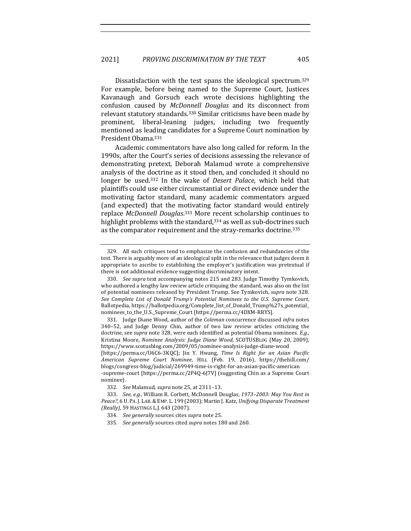Dissatisfaction with the test spans the ideological spectrum.<sup>329</sup> For example, before being named to the Supreme Court, Justices Kavanaugh and Gorsuch each wrote decisions highlighting the confusion caused by *McDonnell Douglas* and its disconnect from relevant statutory standards.<sup>330</sup> Similar criticisms have been made by prominent, liberal-leaning judges, including two frequently mentioned as leading candidates for a Supreme Court nomination by President Obama.331

Academic commentators have also long called for reform. In the 1990s, after the Court's series of decisions assessing the relevance of demonstrating pretext, Deborah Malamud wrote a comprehensive analysis of the doctrine as it stood then, and concluded it should no longer be used.<sup>332</sup> In the wake of *Desert Palace*, which held that plaintiffs could use either circumstantial or direct evidence under the motivating factor standard, many academic commentators argued (and expected) that the motivating factor standard would entirely replace McDonnell Douglas.<sup>333</sup> More recent scholarship continues to highlight problems with the standard,  $334$  as well as sub-doctrines such as the comparator requirement and the stray-remarks doctrine.<sup>335</sup>

<sup>329.</sup> All such critiques tend to emphasize the confusion and redundancies of the test. There is arguably more of an ideological split in the relevance that judges deem it appropriate to ascribe to establishing the employer's justification was pretextual if there is not additional evidence suggesting discriminatory intent.

<sup>330.</sup> *See supra* text accompanying notes 215 and 283. Judge Timothy Tymkovich, who authored a lengthy law review article critiquing the standard, was also on the list of potential nominees released by President Trump. See Tymkovich, *supra* note 328. See Complete List of Donald Trump's Potential Nominees to the U.S. Supreme Court, Ballotpedia, https://ballotpedia.org/Complete\_list\_of\_Donald\_Trump%27s\_potential\_ nominees\_to\_the\_U.S.\_Supreme\_Court [https://perma.cc/4DXM-RRYS].

<sup>331.</sup> Judge Diane Wood, author of the *Coleman* concurrence discussed *infra* notes  $340-52$ , and Judge Denny Chin, author of two law review articles criticizing the doctrine, see *supra* note 328, were each identified as potential Obama nominees. *E.g.*, Kristina Moore, *Nominee Analysis: Judge Diane Wood*, SCOTUSBLOG (May 20, 2009), https://www.scotusblog.com/2009/05/nominee-analysis-judge-diane-wood [https://perma.cc/U6C6-3KQC]; Jin Y. Hwang, *Time Is Right for an Asian Pacific American Supreme Court Nominee*, HILL (Feb. 19, 2016), https://thehill.com/ blogs/congress-blog/judicial/269949-time-is-right-for-an-asian-pacific-american -supreme-court [https://perma.cc/2P4Q-6J7V] (suggesting Chin as a Supreme Court nominee).

<sup>332.</sup> *See* Malamud, *supra* note 25, at 2311–13.

<sup>333.</sup> *See, e.g.*, William R. Corbett, McDonnell Douglas, 1973-2003: May You Rest in Peace?, 6 U. PA. J. LAB. & EMP. L. 199 (2003); Martin J. Katz, *Unifying Disparate Treatment (Really)*, 59 HASTINGS L.J. 643 (2007).

<sup>334.</sup> *See generally* sources cites *supra* note 25.

<sup>335.</sup> *See generally* sources cited *supra* notes 180 and 260.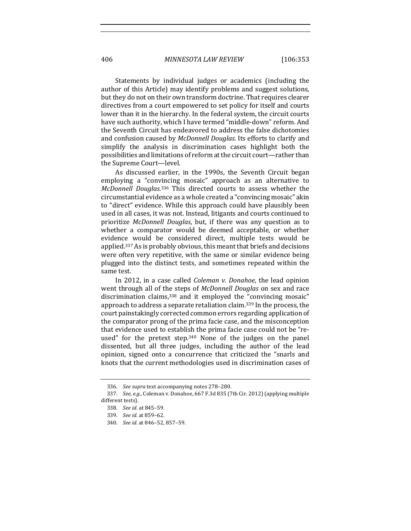406 *MINNESOTA LAW REVIEW* [106:353

Statements by individual judges or academics (including the author of this Article) may identify problems and suggest solutions, but they do not on their own transform doctrine. That requires clearer directives from a court empowered to set policy for itself and courts lower than it in the hierarchy. In the federal system, the circuit courts have such authority, which I have termed "middle-down" reform. And the Seventh Circuit has endeavored to address the false dichotomies and confusion caused by *McDonnell Douglas*. Its efforts to clarify and simplify the analysis in discrimination cases highlight both the possibilities and limitations of reform at the circuit court—rather than the Supreme Court-level.

As discussed earlier, in the 1990s, the Seventh Circuit began employing a "convincing mosaic" approach as an alternative to McDonnell Douglas.<sup>336</sup> This directed courts to assess whether the circumstantial evidence as a whole created a "convincing mosaic" akin to "direct" evidence. While this approach could have plausibly been used in all cases, it was not. Instead, litigants and courts continued to prioritize *McDonnell Douglas*, but, if there was any question as to whether a comparator would be deemed acceptable, or whether evidence would be considered direct, multiple tests would be applied.<sup>337</sup> As is probably obvious, this meant that briefs and decisions were often very repetitive, with the same or similar evidence being plugged into the distinct tests, and sometimes repeated within the same test.

In 2012, in a case called *Coleman v. Donahoe*, the lead opinion went through all of the steps of *McDonnell Douglas* on sex and race discrimination claims,  $338$  and it employed the "convincing mosaic" approach to address a separate retaliation claim.<sup>339</sup> In the process, the court painstakingly corrected common errors regarding application of the comparator prong of the prima facie case, and the misconception that evidence used to establish the prima facie case could not be "reused" for the pretext step.<sup>340</sup> None of the judges on the panel dissented, but all three judges, including the author of the lead opinion, signed onto a concurrence that criticized the "snarls and knots that the current methodologies used in discrimination cases of

<sup>336.</sup> See supra text accompanying notes 278-280.

<sup>337.</sup> *See, e.g.*, Coleman v. Donahoe, 667 F.3d 835 (7th Cir. 2012) (applying multiple different tests)

<sup>338.</sup> *See id*. at 845–59.

<sup>339.</sup> *See id.* at 859–62.

<sup>340.</sup> *See id.* at 846–52, 857–59.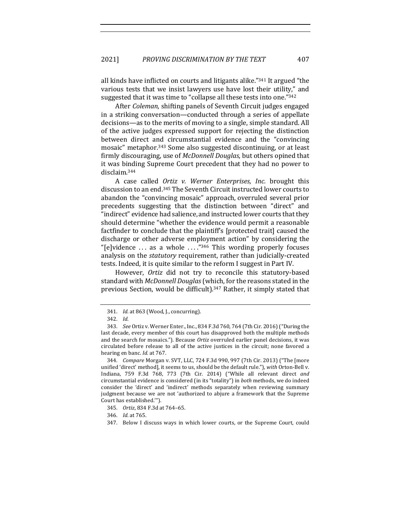all kinds have inflicted on courts and litigants alike."<sup>341</sup> It argued "the various tests that we insist lawyers use have lost their utility," and suggested that it was time to "collapse all these tests into one."<sup>342</sup>

After *Coleman*, shifting panels of Seventh Circuit judges engaged in a striking conversation—conducted through a series of appellate decisions—as to the merits of moving to a single, simple standard. All of the active judges expressed support for rejecting the distinction between direct and circumstantial evidence and the "convincing mosaic" metaphor.<sup>343</sup> Some also suggested discontinuing, or at least firmly discouraging, use of *McDonnell Douglas*, but others opined that it was binding Supreme Court precedent that they had no power to disclaim.344

A case called *Ortiz v. Werner Enterprises, Inc.* brought this discussion to an end.<sup>345</sup> The Seventh Circuit instructed lower courts to abandon the "convincing mosaic" approach, overruled several prior precedents suggesting that the distinction between "direct" and "indirect" evidence had salience, and instructed lower courts that they should determine "whether the evidence would permit a reasonable factfinder to conclude that the plaintiff's [protected trait] caused the discharge or other adverse employment action" by considering the "[e]vidence ... as a whole  $\ldots$ ."<sup>346</sup> This wording properly focuses analysis on the *statutory* requirement, rather than judicially-created tests. Indeed, it is quite similar to the reform I suggest in Part IV.

However, *Ortiz* did not try to reconcile this statutory-based standard with *McDonnell Douglas* (which, for the reasons stated in the previous Section, would be difficult).<sup>347</sup> Rather, it simply stated that

<sup>341.</sup> *Id.* at 863 (Wood, J., concurring).

<sup>342.</sup> *Id.*

<sup>343.</sup> *See* Ortiz v. Werner Enter., Inc., 834 F.3d 760, 764 (7th Cir. 2016) ("During the last decade, every member of this court has disapproved both the multiple methods and the search for mosaics."). Because Ortiz overruled earlier panel decisions, it was circulated before release to all of the active justices in the circuit; none favored a hearing en banc. *Id.* at 767.

<sup>344.</sup> *Compare* Morgan v. SVT, LLC, 724 F.3d 990, 997 (7th Cir. 2013) ("The [more unified 'direct' method], it seems to us, should be the default rule."), with Orton-Bell v. Indiana, 759 F.3d 768, 773 (7th Cir. 2014) ("While all relevant direct and circumstantial evidence is considered (in its "totality") in *both* methods, we do indeed consider the 'direct' and 'indirect' methods separately when reviewing summary judgment because we are not 'authorized to abjure a framework that the Supreme Court has established."").

<sup>345.</sup> Ortiz, 834 F.3d at 764-65.

<sup>346.</sup> *Id.* at 765.

<sup>347.</sup> Below I discuss ways in which lower courts, or the Supreme Court, could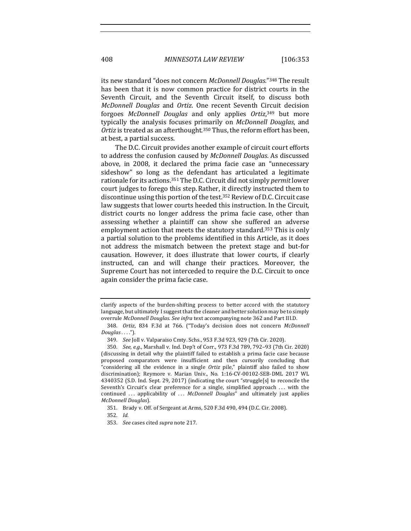its new standard "does not concern *McDonnell Douglas.*"<sup>348</sup> The result has been that it is now common practice for district courts in the Seventh Circuit, and the Seventh Circuit itself, to discuss both *McDonnell Douglas* and *Ortiz*. One recent Seventh Circuit decision forgoes McDonnell Douglas and only applies Ortiz,<sup>349</sup> but more typically the analysis focuses primarily on *McDonnell Douglas*, and *Ortiz* is treated as an afterthought.<sup>350</sup> Thus, the reform effort has been, at best, a partial success.

The D.C. Circuit provides another example of circuit court efforts to address the confusion caused by *McDonnell Douglas*. As discussed above, in 2008, it declared the prima facie case an "unnecessary sideshow" so long as the defendant has articulated a legitimate rationale for its actions.<sup>351</sup> The D.C. Circuit did not simply *permit* lower court judges to forego this step. Rather, it directly instructed them to discontinue using this portion of the test.<sup>352</sup> Review of D.C. Circuit case law suggests that lower courts heeded this instruction. In the Circuit, district courts no longer address the prima facie case, other than assessing whether a plaintiff can show she suffered an adverse employment action that meets the statutory standard.<sup>353</sup> This is only a partial solution to the problems identified in this Article, as it does not address the mismatch between the pretext stage and but-for causation. However, it does illustrate that lower courts, if clearly instructed, can and will change their practices. Moreover, the Supreme Court has not interceded to require the D.C. Circuit to once again consider the prima facie case.

clarify aspects of the burden-shifting process to better accord with the statutory language, but ultimately I suggest that the cleaner and better solution may be to simply overrule *McDonnell Douglas. See infra* text accompanying note 362 and Part III.D.

<sup>348.</sup> *Ortiz*, 834 F.3d at 766. ("Today's decision does not concern *McDonnell Douglas* . . . .").

<sup>349.</sup> *See* Joll v. Valparaiso Cmty. Schs., 953 F.3d 923, 929 (7th Cir. 2020).

<sup>350.</sup> *See, e.g.*, Marshall v. Ind. Dep't of Corr., 973 F.3d 789, 792-93 (7th Cir. 2020) (discussing in detail why the plaintiff failed to establish a prima facie case because proposed comparators were insufficient and then cursorily concluding that "considering all the evidence in a single Ortiz pile," plaintiff also failed to show discrimination); Reymore v. Marian Univ., No. 1:16-CV-00102-SEB-DML 2017 WL 4340352 (S.D. Ind. Sept. 29, 2017) (indicating the court "struggle[s] to reconcile the Seventh's Circuit's clear preference for a single, simplified approach ... with the continued ... applicability of ... *McDonnell Douglas*" and ultimately just applies *McDonnell Douglas*).

<sup>351.</sup> Brady v. Off. of Sergeant at Arms, 520 F.3d 490, 494 (D.C. Cir. 2008).

<sup>352.</sup> *Id.*

<sup>353.</sup> *See* cases cited *supra* note 217.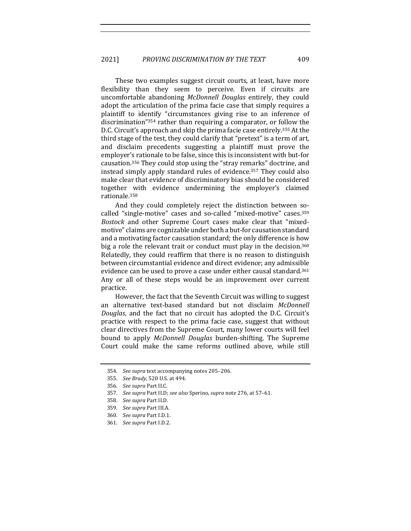These two examples suggest circuit courts, at least, have more flexibility than they seem to perceive. Even if circuits are uncomfortable abandoning *McDonnell Douglas* entirely, they could adopt the articulation of the prima facie case that simply requires a plaintiff to identify "circumstances giving rise to an inference of discrimination" $354$  rather than requiring a comparator, or follow the D.C. Circuit's approach and skip the prima facie case entirely.<sup>355</sup> At the third stage of the test, they could clarify that "pretext" is a term of art, and disclaim precedents suggesting a plaintiff must prove the employer's rationale to be false, since this is inconsistent with but-for causation.<sup>356</sup> They could stop using the "stray remarks" doctrine, and instead simply apply standard rules of evidence.<sup>357</sup> They could also make clear that evidence of discriminatory bias should be considered together with evidence undermining the employer's claimed rationale.358

And they could completely reject the distinction between socalled "single-motive" cases and so-called "mixed-motive" cases.<sup>359</sup> *Bostock* and other Supreme Court cases make clear that "mixedmotive" claims are cognizable under both a but-for causation standard and a motivating factor causation standard; the only difference is how big a role the relevant trait or conduct must play in the decision.<sup>360</sup> Relatedly, they could reaffirm that there is no reason to distinguish between circumstantial evidence and direct evidence; any admissible evidence can be used to prove a case under either causal standard.<sup>361</sup> Any or all of these steps would be an improvement over current practice.

However, the fact that the Seventh Circuit was willing to suggest an alternative text-based standard but not disclaim *McDonnell Douglas*, and the fact that no circuit has adopted the D.C. Circuit's practice with respect to the prima facie case, suggest that without clear directives from the Supreme Court, many lower courts will feel bound to apply *McDonnell Douglas* burden-shifting. The Supreme Court could make the same reforms outlined above, while still

- 356. *See supra* Part II.C.
- 357. *See supra Part II.D; see also Sperino, supra note 276, at 57-61.*
- 358. *See supra* Part II.D.
- 359. *See supra* Part III.A.
- 360. *See supra* Part I.D.1.
- 361. *See supra Part I.D.2.*

<sup>354.</sup> *See supra* text accompanying notes 205-206.

<sup>355.</sup> *See Brady*, 520 U.S. at 494.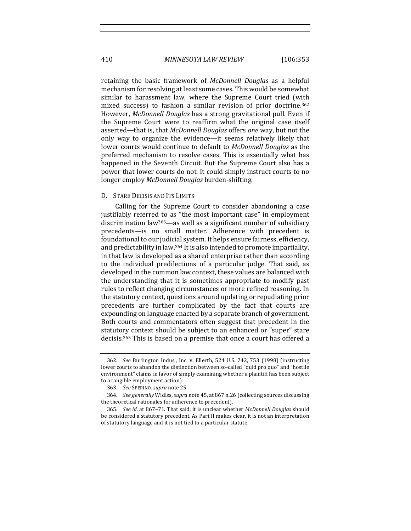410 *MINNESOTA LAW REVIEW* [106:353

retaining the basic framework of *McDonnell Douglas* as a helpful mechanism for resolving at least some cases. This would be somewhat similar to harassment law, where the Supreme Court tried (with mixed success) to fashion a similar revision of prior doctrine.<sup>362</sup> However, *McDonnell Douglas* has a strong gravitational pull. Even if the Supreme Court were to reaffirm what the original case itself asserted—that is, that *McDonnell Douglas* offers *one* way, but not the only way to organize the evidence—it seems relatively likely that lower courts would continue to default to *McDonnell Douglas* as the preferred mechanism to resolve cases. This is essentially what has happened in the Seventh Circuit. But the Supreme Court also has a power that lower courts do not. It could simply instruct courts to no longer employ *McDonnell Douglas* burden-shifting.

### D. STARE DECISIS AND ITS LIMITS

Calling for the Supreme Court to consider abandoning a case justifiably referred to as "the most important case" in employment discrimination  $law^{363}$ —as well as a significant number of subsidiary precedents—is no small matter. Adherence with precedent is foundational to our judicial system. It helps ensure fairness, efficiency, and predictability in law.<sup>364</sup> It is also intended to promote impartiality, in that law is developed as a shared enterprise rather than according to the individual predilections of a particular judge. That said, as developed in the common law context, these values are balanced with the understanding that it is sometimes appropriate to modify past rules to reflect changing circumstances or more refined reasoning. In the statutory context, questions around updating or repudiating prior precedents are further complicated by the fact that courts are expounding on language enacted by a separate branch of government. Both courts and commentators often suggest that precedent in the statutory context should be subject to an enhanced or "super" stare decisis.<sup>365</sup> This is based on a premise that once a court has offered a

<sup>362.</sup> *See* Burlington Indus., Inc. v. Ellerth, 524 U.S. 742, 753 (1998) (instructing lower courts to abandon the distinction between so-called "quid pro quo" and "hostile environment" claims in favor of simply examining whether a plaintiff has been subject to a tangible employment action).

<sup>363.</sup> *See* SPERINO, *supra* note 25.

<sup>364.</sup> *See generally* Widiss, *supra* note 45, at 867 n.26 (collecting sources discussing the theoretical rationales for adherence to precedent).

<sup>365.</sup> *See id.* at 867-71. That said, it is unclear whether *McDonnell Douglas* should be considered a statutory precedent. As Part II makes clear, it is not an interpretation of statutory language and it is not tied to a particular statute.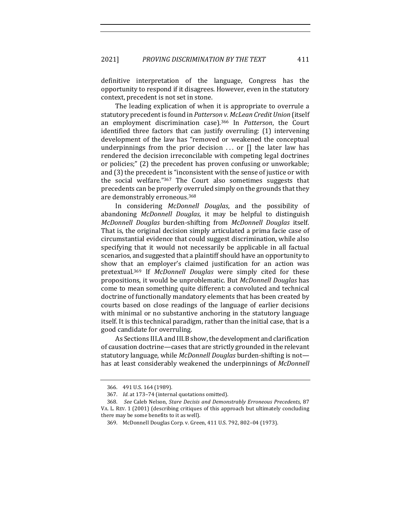definitive interpretation of the language, Congress has the opportunity to respond if it disagrees. However, even in the statutory context, precedent is not set in stone.

The leading explication of when it is appropriate to overrule a statutory precedent is found in *Patterson v. McLean Credit Union* (itself an employment discrimination case).<sup>366</sup> In *Patterson*, the Court identified three factors that can justify overruling: (1) intervening development of the law has "removed or weakened the conceptual underpinnings from the prior decision  $\ldots$  or  $\lceil \rceil$  the later law has rendered the decision irreconcilable with competing legal doctrines or policies;" (2) the precedent has proven confusing or unworkable; and (3) the precedent is "inconsistent with the sense of justice or with the social welfare." $367$  The Court also sometimes suggests that precedents can be properly overruled simply on the grounds that they are demonstrably erroneous.<sup>368</sup>

In considering *McDonnell Douglas*, and the possibility of abandoning *McDonnell Douglas*, it may be helpful to distinguish *McDonnell Douglas*  burden-shifting from *McDonnell Douglas* itself. That is, the original decision simply articulated a prima facie case of circumstantial evidence that could suggest discrimination, while also specifying that it would not necessarily be applicable in all factual scenarios, and suggested that a plaintiff should have an opportunity to show that an employer's claimed justification for an action was pretextual.<sup>369</sup> If *McDonnell Douglas* were simply cited for these propositions, it would be unproblematic. But *McDonnell Douglas* has come to mean something quite different: a convoluted and technical doctrine of functionally mandatory elements that has been created by courts based on close readings of the language of earlier decisions with minimal or no substantive anchoring in the statutory language itself. It is this technical paradigm, rather than the initial case, that is a good candidate for overruling.

As Sections III.A and III.B show, the development and clarification of causation doctrine—cases that are strictly grounded in the relevant statutory language, while *McDonnell Douglas* burden-shifting is not has at least considerably weakened the underpinnings of *McDonnell* 

<sup>366. 491</sup> U.S. 164 (1989).

<sup>367.</sup> *Id.* at 173-74 (internal quotations omitted).

<sup>368.</sup> *See* Caleb Nelson, *Stare Decisis and Demonstrably Erroneous Precedents*, 87 VA. L. REV. 1 (2001) (describing critiques of this approach but ultimately concluding there may be some benefits to it as well).

<sup>369.</sup> McDonnell Douglas Corp. v. Green, 411 U.S. 792, 802-04 (1973).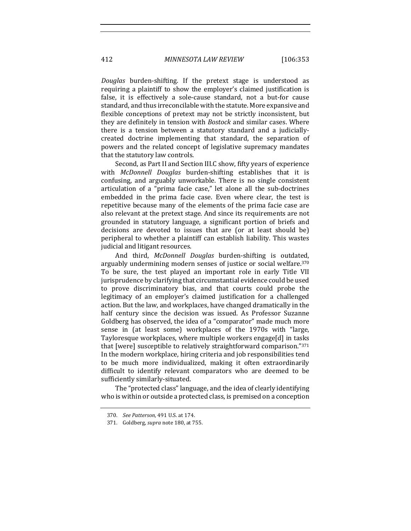412 *MINNESOTA LAW REVIEW* [106:353

*Douglas*  burden-shifting. If the pretext stage is understood as requiring a plaintiff to show the employer's claimed justification is false, it is effectively a sole-cause standard, not a but-for cause standard, and thus irreconcilable with the statute. More expansive and flexible conceptions of pretext may not be strictly inconsistent, but they are definitely in tension with *Bostock* and similar cases. Where there is a tension between a statutory standard and a judiciallycreated doctrine implementing that standard, the separation of powers and the related concept of legislative supremacy mandates that the statutory law controls.

Second, as Part II and Section III.C show, fifty years of experience with *McDonnell Douglas* burden-shifting establishes that it is confusing, and arguably unworkable. There is no single consistent articulation of a "prima facie case," let alone all the sub-doctrines embedded in the prima facie case. Even where clear, the test is repetitive because many of the elements of the prima facie case are also relevant at the pretext stage. And since its requirements are not grounded in statutory language, a significant portion of briefs and decisions are devoted to issues that are (or at least should be) peripheral to whether a plaintiff can establish liability. This wastes judicial and litigant resources.

And third, *McDonnell Douglas* burden-shifting is outdated, arguably undermining modern senses of justice or social welfare.<sup>370</sup> To be sure, the test played an important role in early Title VII jurisprudence by clarifying that circumstantial evidence could be used to prove discriminatory bias, and that courts could probe the legitimacy of an employer's claimed justification for a challenged action. But the law, and workplaces, have changed dramatically in the half century since the decision was issued. As Professor Suzanne Goldberg has observed, the idea of a "comparator" made much more sense in (at least some) workplaces of the 1970s with "large, Tayloresque workplaces, where multiple workers engage[d] in tasks that [were] susceptible to relatively straightforward comparison."371 In the modern workplace, hiring criteria and job responsibilities tend to be much more individualized, making it often extraordinarily difficult to identify relevant comparators who are deemed to be sufficiently similarly-situated.

The "protected class" language, and the idea of clearly identifying who is within or outside a protected class, is premised on a conception

<sup>370.</sup> *See Patterson*, 491 U.S. at 174.

<sup>371.</sup> Goldberg, *supra* note 180, at 755.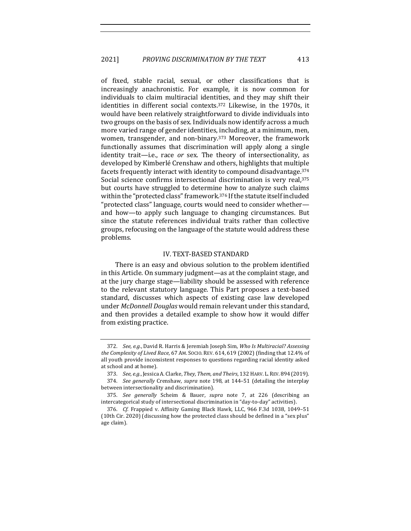of fixed, stable racial, sexual, or other classifications that is increasingly anachronistic. For example, it is now common for individuals to claim multiracial identities, and they may shift their identities in different social contexts. $372$  Likewise, in the 1970s, it would have been relatively straightforward to divide individuals into two groups on the basis of sex. Individuals now identify across a much more varied range of gender identities, including, at a minimum, men, women, transgender, and non-binary.<sup>373</sup> Moreover, the framework functionally assumes that discrimination will apply along a single identity trait-i.e., race or sex. The theory of intersectionality, as developed by Kimberlé Crenshaw and others, highlights that multiple facets frequently interact with identity to compound disadvantage.<sup>374</sup> Social science confirms intersectional discrimination is very real,<sup>375</sup> but courts have struggled to determine how to analyze such claims within the "protected class" framework.<sup>376</sup> If the statute itself included "protected class" language, courts would need to consider whetherand how—to apply such language to changing circumstances. But since the statute references individual traits rather than collective groups, refocusing on the language of the statute would address these problems.

## IV. TEXT-BASED STANDARD

There is an easy and obvious solution to the problem identified in this Article. On summary judgment—as at the complaint stage, and at the jury charge stage—liability should be assessed with reference to the relevant statutory language. This Part proposes a text-based standard, discusses which aspects of existing case law developed under *McDonnell Douglas* would remain relevant under this standard, and then provides a detailed example to show how it would differ from existing practice.

<sup>372.</sup> *See, e.g.*, David R. Harris & Jeremiah Joseph Sim, Who Is Multiracial? Assessing the Complexity of Lived Race, 67 AM. Socio. REV. 614, 619 (2002) (finding that 12.4% of all youth provide inconsistent responses to questions regarding racial identity asked at school and at home).

<sup>373.</sup> *See, e.g.*, Jessica A. Clarke, *They, Them, and Theirs*, 132 HARV. L. REV. 894 (2019). 374. *See generally* Crenshaw, *supra* note 198, at 144-51 (detailing the interplay between intersectionality and discrimination).

<sup>375.</sup> *See generally*  Scheim & Bauer, *supra*  note 7, at 226 (describing an intercategorical study of intersectional discrimination in "day-to-day" activities).

<sup>376.</sup> *Cf.* Frappied v. Affinity Gaming Black Hawk, LLC, 966 F.3d 1038, 1049-51 (10th Cir. 2020) (discussing how the protected class should be defined in a "sex plus" age claim).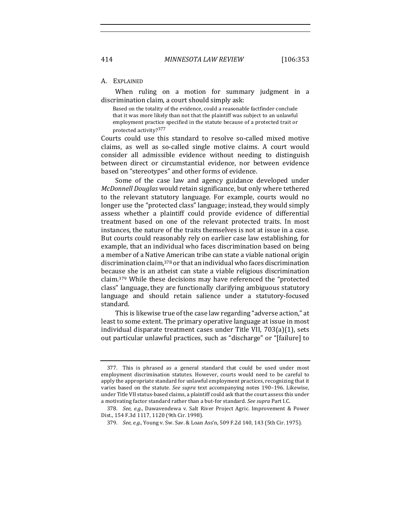#### A. EXPLAINED

When ruling on a motion for summary judgment in a discrimination claim, a court should simply ask:

Based on the totality of the evidence, could a reasonable factfinder conclude that it was more likely than not that the plaintiff was subject to an unlawful employment practice specified in the statute because of a protected trait or protected activity?377

Courts could use this standard to resolve so-called mixed motive claims, as well as so-called single motive claims. A court would consider all admissible evidence without needing to distinguish between direct or circumstantial evidence, nor between evidence based on "stereotypes" and other forms of evidence.

Some of the case law and agency guidance developed under *McDonnell Douglas* would retain significance, but only where tethered to the relevant statutory language. For example, courts would no longer use the "protected class" language; instead, they would simply assess whether a plaintiff could provide evidence of differential treatment based on one of the relevant protected traits. In most instances, the nature of the traits themselves is not at issue in a case. But courts could reasonably rely on earlier case law establishing, for example, that an individual who faces discrimination based on being a member of a Native American tribe can state a viable national origin discrimination claim,<sup>378</sup> or that an individual who faces discrimination because she is an atheist can state a viable religious discrimination claim. $379$  While these decisions may have referenced the "protected class" language, they are functionally clarifying ambiguous statutory language and should retain salience under a statutory-focused standard. 

This is likewise true of the case law regarding "adverse action," at least to some extent. The primary operative language at issue in most individual disparate treatment cases under Title VII,  $703(a)(1)$ , sets out particular unlawful practices, such as "discharge" or "[failure] to

<sup>377.</sup> This is phrased as a general standard that could be used under most employment discrimination statutes. However, courts would need to be careful to apply the appropriate standard for unlawful employment practices, recognizing that it varies based on the statute. See supra text accompanying notes 190-196. Likewise, under Title VII status-based claims, a plaintiff could ask that the court assess this under a motivating factor standard rather than a but-for standard. See supra Part I.C.

<sup>378.</sup> *See, e.g.*, Dawavendewa v. Salt River Project Agric. Improvement & Power Dist., 154 F.3d 1117, 1120 (9th Cir. 1998).

<sup>379.</sup> *See, e.g.*, Young v. Sw. Sav. & Loan Ass'n, 509 F.2d 140, 143 (5th Cir. 1975).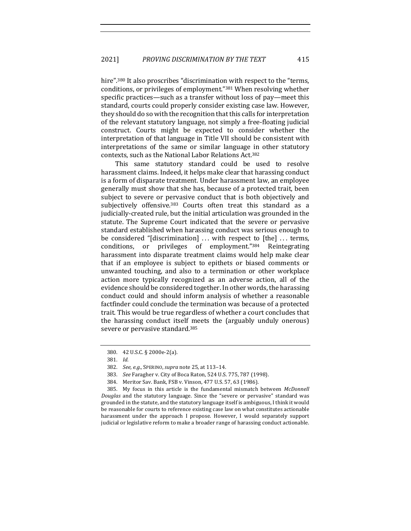hire".<sup>380</sup> It also proscribes "discrimination with respect to the "terms, conditions, or privileges of employment."<sup>381</sup> When resolving whether specific practices—such as a transfer without loss of pay—meet this standard, courts could properly consider existing case law. However, they should do so with the recognition that this calls for interpretation of the relevant statutory language, not simply a free-floating judicial construct. Courts might be expected to consider whether the interpretation of that language in Title VII should be consistent with interpretations of the same or similar language in other statutory contexts, such as the National Labor Relations Act.<sup>382</sup>

This same statutory standard could be used to resolve harassment claims. Indeed, it helps make clear that harassing conduct is a form of disparate treatment. Under harassment law, an employee generally must show that she has, because of a protected trait, been subject to severe or pervasive conduct that is both objectively and subjectively offensive.<sup>383</sup> Courts often treat this standard as a judicially-created rule, but the initial articulation was grounded in the statute. The Supreme Court indicated that the severe or pervasive standard established when harassing conduct was serious enough to be considered "[discrimination]  $\ldots$  with respect to [the]  $\ldots$  terms, conditions, or privileges of employment."384 Reintegrating harassment into disparate treatment claims would help make clear that if an employee is subject to epithets or biased comments or unwanted touching, and also to a termination or other workplace action more typically recognized as an adverse action, all of the evidence should be considered together. In other words, the harassing conduct could and should inform analysis of whether a reasonable factfinder could conclude the termination was because of a protected trait. This would be true regardless of whether a court concludes that the harassing conduct itself meets the (arguably unduly onerous) severe or pervasive standard.<sup>385</sup>

385. My focus in this article is the fundamental mismatch between *McDonnell Douglas* and the statutory language. Since the "severe or pervasive" standard was grounded in the statute, and the statutory language itself is ambiguous, I think it would be reasonable for courts to reference existing case law on what constitutes actionable harassment under the approach I propose. However, I would separately support judicial or legislative reform to make a broader range of harassing conduct actionable.

<sup>380. 42</sup> U.S.C. § 2000e-2(a).

<sup>381.</sup> *Id.*

<sup>382.</sup> *See, e.g.*, SPERINO, *supra* note 25, at 113-14.

<sup>383.</sup> *See* Faragher v. City of Boca Raton, 524 U.S. 775, 787 (1998).

<sup>384.</sup> Meritor Sav. Bank, FSB v. Vinson, 477 U.S. 57, 63 (1986).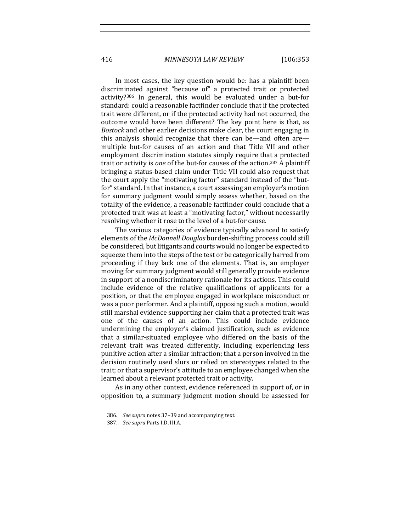416 *MINNESOTA LAW REVIEW* [106:353

In most cases, the key question would be: has a plaintiff been discriminated against "because of" a protected trait or protected activity?<sup>386</sup> In general, this would be evaluated under a but-for standard: could a reasonable factfinder conclude that if the protected trait were different, or if the protected activity had not occurred, the outcome would have been different? The key point here is that, as *Bostock* and other earlier decisions make clear, the court engaging in this analysis should recognize that there can be—and often are multiple but-for causes of an action and that Title VII and other employment discrimination statutes simply require that a protected trait or activity is *one* of the but-for causes of the action.<sup>387</sup> A plaintiff bringing a status-based claim under Title VII could also request that the court apply the "motivating factor" standard instead of the "butfor" standard. In that instance, a court assessing an employer's motion for summary judgment would simply assess whether, based on the totality of the evidence, a reasonable factfinder could conclude that a protected trait was at least a "motivating factor," without necessarily resolving whether it rose to the level of a but-for cause.

The various categories of evidence typically advanced to satisfy elements of the *McDonnell Douglas* burden-shifting process could still be considered, but litigants and courts would no longer be expected to squeeze them into the steps of the test or be categorically barred from proceeding if they lack one of the elements. That is, an employer moving for summary judgment would still generally provide evidence in support of a nondiscriminatory rationale for its actions. This could include evidence of the relative qualifications of applicants for a position, or that the employee engaged in workplace misconduct or was a poor performer. And a plaintiff, opposing such a motion, would still marshal evidence supporting her claim that a protected trait was one of the causes of an action. This could include evidence undermining the employer's claimed justification, such as evidence that a similar-situated employee who differed on the basis of the relevant trait was treated differently, including experiencing less punitive action after a similar infraction; that a person involved in the decision routinely used slurs or relied on stereotypes related to the trait; or that a supervisor's attitude to an employee changed when she learned about a relevant protected trait or activity.

As in any other context, evidence referenced in support of, or in opposition to, a summary judgment motion should be assessed for

<sup>386.</sup> *See supra* notes 37-39 and accompanying text.

<sup>387.</sup> *See supra* Parts I.D, III.A.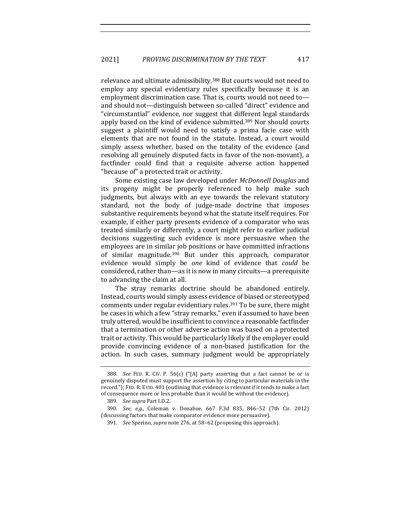relevance and ultimate admissibility.<sup>388</sup> But courts would not need to employ any special evidentiary rules specifically because it is an employment discrimination case. That is, courts would not need toand should not—distinguish between so-called "direct" evidence and "circumstantial" evidence, nor suggest that different legal standards apply based on the kind of evidence submitted.<sup>389</sup> Nor should courts suggest a plaintiff would need to satisfy a prima facie case with elements that are not found in the statute. Instead, a court would simply assess whether, based on the totality of the evidence (and resolving all genuinely disputed facts in favor of the non-movant), a factfinder could find that a requisite adverse action happened "because of" a protected trait or activity.

Some existing case law developed under *McDonnell Douglas* and its progeny might be properly referenced to help make such judgments, but always with an eye towards the relevant statutory standard, not the body of judge-made doctrine that imposes substantive requirements beyond what the statute itself requires. For example, if either party presents evidence of a comparator who was treated similarly or differently, a court might refer to earlier judicial decisions suggesting such evidence is more persuasive when the employees are in similar job positions or have committed infractions of similar magnitude.<sup>390</sup> But under this approach, comparator evidence would simply be *one* kind of evidence that *could* be considered, rather than—as it is now in many circuits—a prerequisite to advancing the claim at all.

The stray remarks doctrine should be abandoned entirely. Instead, courts would simply assess evidence of biased or stereotyped comments under regular evidentiary rules.<sup>391</sup> To be sure, there might be cases in which a few "stray remarks," even if assumed to have been truly uttered, would be insufficient to convince a reasonable factfinder that a termination or other adverse action was based on a protected trait or activity. This would be particularly likely if the employer could provide convincing evidence of a non-biased justification for the action. In such cases, summary judgment would be appropriately

<sup>388.</sup> *See* FED. R. CIV. P. 56(c) ("[A] party asserting that a fact cannot be or is genuinely disputed must support the assertion by citing to particular materials in the record."); FED. R. EVID. 401 (outlining that evidence is relevant if it tends to make a fact of consequence more or less probable than it would be without the evidence).

<sup>389.</sup> *See supra* Part I.D.2.

<sup>390.</sup> *See, e.g.*, Coleman v. Donahoe, 667 F.3d 835, 846-52 (7th Cir. 2012) (discussing factors that make comparator evidence more persuasive).

<sup>391.</sup> *See* Sperino, *supra* note 276, at 58-62 (proposing this approach).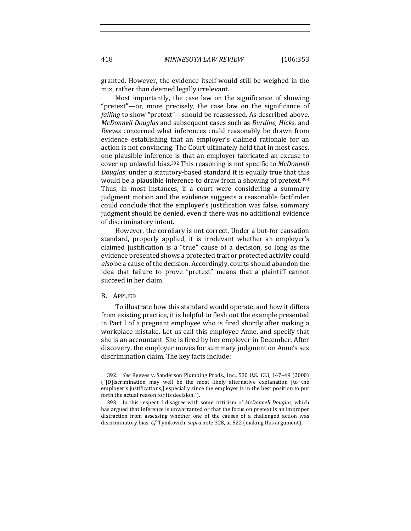granted. However, the evidence itself would still be weighed in the mix, rather than deemed legally irrelevant.

Most importantly, the case law on the significance of showing "pretext"—or, more precisely, the case law on the significance of *failing* to show "pretext"—should be reassessed. As described above, *McDonnell Douglas* and subsequent cases such as *Burdine*, *Hicks*, and *Reeves* concerned what inferences could reasonably be drawn from evidence establishing that an employer's claimed rationale for an action is not convincing. The Court ultimately held that in most cases, one plausible inference is that an employer fabricated an excuse to cover up unlawful bias.<sup>392</sup> This reasoning is not specific to *McDonnell Douglas*; under a statutory-based standard it is equally true that this would be a plausible inference to draw from a showing of pretext.<sup>393</sup> Thus, in most instances, if a court were considering a summary judgment motion and the evidence suggests a reasonable factfinder could conclude that the employer's justification was false, summary judgment should be denied, even if there was no additional evidence of discriminatory intent.

However, the corollary is not correct. Under a but-for causation standard, properly applied, it is irrelevant whether an employer's claimed justification is a "true" cause of a decision, so long as the evidence presented shows a protected trait or protected activity could *also* be a cause of the decision. Accordingly, courts should abandon the idea that failure to prove "pretext" means that a plaintiff cannot succeed in her claim.

## B. APPLIED

To illustrate how this standard would operate, and how it differs from existing practice, it is helpful to flesh out the example presented in Part I of a pregnant employee who is fired shortly after making a workplace mistake. Let us call this employee Anne, and specify that she is an accountant. She is fired by her employer in December. After discovery, the employer moves for summary judgment on Anne's sex discrimination claim. The key facts include:

<sup>392.</sup> *See* Reeves v. Sanderson Plumbing Prods., Inc., 530 U.S. 133, 147-49 (2000)  $("[D]$  iscrimination may well be the most likely alternative explanation [to the employer's justifications,] especially since the employer is in the best position to put forth the actual reason for its decision.").

<sup>393.</sup> In this respect, I disagree with some criticism of *McDonnell Douglas*, which has argued that inference is unwarranted or that the focus on pretext is an improper distraction from assessing whether one of the causes of a challenged action was discriminatory bias. *Cf.* Tymkovich, *supra* note 328, at 522 (making this argument).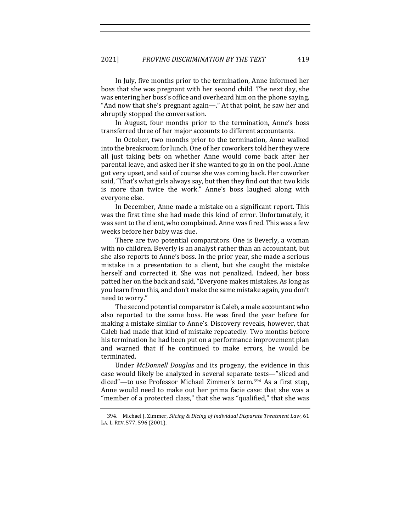In July, five months prior to the termination, Anne informed her boss that she was pregnant with her second child. The next day, she was entering her boss's office and overheard him on the phone saying, "And now that she's pregnant again—." At that point, he saw her and abruptly stopped the conversation.

In August, four months prior to the termination, Anne's boss transferred three of her major accounts to different accountants.

In October, two months prior to the termination, Anne walked into the breakroom for lunch. One of her coworkers told her they were all just taking bets on whether Anne would come back after her parental leave, and asked her if she wanted to go in on the pool. Anne got very upset, and said of course she was coming back. Her coworker said, "That's what girls always say, but then they find out that two kids is more than twice the work." Anne's boss laughed along with everyone else. 

In December, Anne made a mistake on a significant report. This was the first time she had made this kind of error. Unfortunately, it was sent to the client, who complained. Anne was fired. This was a few weeks before her baby was due.

There are two potential comparators. One is Beverly, a woman with no children. Beverly is an analyst rather than an accountant, but she also reports to Anne's boss. In the prior year, she made a serious mistake in a presentation to a client, but she caught the mistake herself and corrected it. She was not penalized. Indeed, her boss patted her on the back and said, "Everyone makes mistakes. As long as you learn from this, and don't make the same mistake again, you don't need to worry."

The second potential comparator is Caleb, a male accountant who also reported to the same boss. He was fired the year before for making a mistake similar to Anne's. Discovery reveals, however, that Caleb had made that kind of mistake repeatedly. Two months before his termination he had been put on a performance improvement plan and warned that if he continued to make errors, he would be terminated. 

Under *McDonnell Douglas* and its progeny, the evidence in this case would likely be analyzed in several separate tests—"sliced and diced"—to use Professor Michael Zimmer's term.<sup>394</sup> As a first step, Anne would need to make out her prima facie case: that she was a "member of a protected class," that she was "qualified," that she was

<sup>394.</sup> Michael J. Zimmer, *Slicing & Dicing of Individual Disparate Treatment Law*, 61 LA. L. REV. 577, 596 (2001).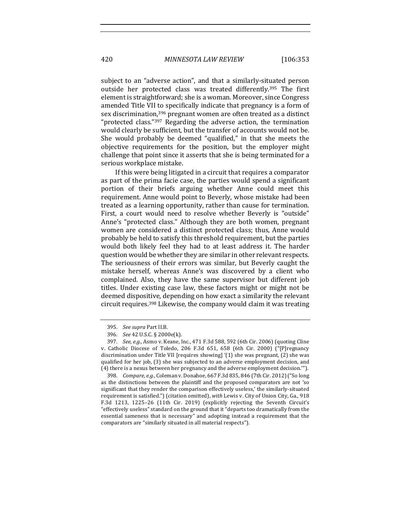420 *MINNESOTA LAW REVIEW* [106:353

subject to an "adverse action", and that a similarly-situated person outside her protected class was treated differently.<sup>395</sup> The first element is straightforward; she is a woman. Moreover, since Congress amended Title VII to specifically indicate that pregnancy is a form of sex discrimination,<sup>396</sup> pregnant women are often treated as a distinct "protected class."<sup>397</sup> Regarding the adverse action, the termination would clearly be sufficient, but the transfer of accounts would not be. She would probably be deemed "qualified," in that she meets the objective requirements for the position, but the employer might challenge that point since it asserts that she is being terminated for a serious workplace mistake.

If this were being litigated in a circuit that requires a comparator as part of the prima facie case, the parties would spend a significant portion of their briefs arguing whether Anne could meet this requirement. Anne would point to Beverly, whose mistake had been treated as a learning opportunity, rather than cause for termination. First, a court would need to resolve whether Beverly is "outside" Anne's "protected class." Although they are both women, pregnant women are considered a distinct protected class; thus, Anne would probably be held to satisfy this threshold requirement, but the parties would both likely feel they had to at least address it. The harder question would be whether they are similar in other relevant respects. The seriousness of their errors was similar, but Beverly caught the mistake herself, whereas Anne's was discovered by a client who complained. Also, they have the same supervisor but different job titles. Under existing case law, these factors might or might not be deemed dispositive, depending on how exact a similarity the relevant circuit requires.<sup>398</sup> Likewise, the company would claim it was treating

398. *Compare, e.g.*, Coleman v. Donahoe, 667 F.3d 835, 846 (7th Cir. 2012) ("So long as the distinctions between the plaintiff and the proposed comparators are not 'so significant that they render the comparison effectively useless,' the similarly-situated requirement is satisfied.") (citation omitted), *with* Lewis v. City of Union City, Ga., 918 F.3d 1213, 1225-26 (11th Cir. 2019) (explicitly rejecting the Seventh Circuit's "effectively useless" standard on the ground that it "departs too dramatically from the essential sameness that is necessary" and adopting instead a requirement that the comparators are "similarly situated in all material respects").

<sup>395.</sup> *See supra Part II.B.* 

<sup>396.</sup> *See* 42 U.S.C. § 2000e(k).

<sup>397.</sup> *See, e.g.*, Asmo v. Keane, Inc., 471 F.3d 588, 592 (6th Cir. 2006) (quoting Cline v. Catholic Diocese of Toledo, 206 F.3d 651, 658 (6th Cir. 2000) ("[P]regnancy discrimination under Title VII [requires showing] '(1) she was pregnant, (2) she was qualified for her job, (3) she was subjected to an adverse employment decision, and (4) there is a nexus between her pregnancy and the adverse employment decision."').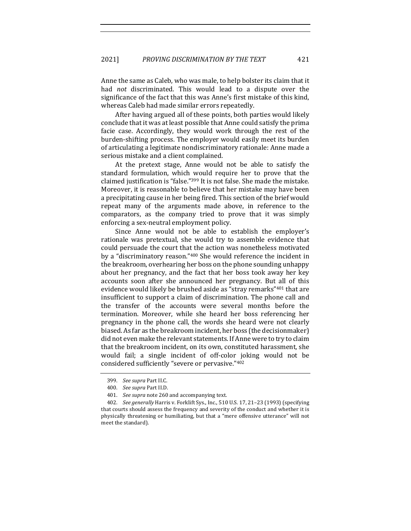Anne the same as Caleb, who was male, to help bolster its claim that it had *not* discriminated. This would lead to a dispute over the significance of the fact that this was Anne's first mistake of this kind, whereas Caleb had made similar errors repeatedly.

After having argued all of these points, both parties would likely conclude that it was at least possible that Anne could satisfy the prima facie case. Accordingly, they would work through the rest of the burden-shifting process. The employer would easily meet its burden of articulating a legitimate nondiscriminatory rationale: Anne made a serious mistake and a client complained.

At the pretext stage, Anne would not be able to satisfy the standard formulation, which would require her to prove that the claimed justification is "false."<sup>399</sup> It is not false. She made the mistake. Moreover, it is reasonable to believe that her mistake may have been a precipitating cause in her being fired. This section of the brief would repeat many of the arguments made above, in reference to the comparators, as the company tried to prove that it was simply enforcing a sex-neutral employment policy.

Since Anne would not be able to establish the employer's rationale was pretextual, she would try to assemble evidence that could persuade the court that the action was nonetheless motivated by a "discriminatory reason."<sup>400</sup> She would reference the incident in the breakroom, overhearing her boss on the phone sounding unhappy about her pregnancy, and the fact that her boss took away her key accounts soon after she announced her pregnancy. But all of this evidence would likely be brushed aside as "stray remarks"<sup>401</sup> that are insufficient to support a claim of discrimination. The phone call and the transfer of the accounts were several months before the termination. Moreover, while she heard her boss referencing her pregnancy in the phone call, the words she heard were not clearly biased. As far as the breakroom incident, her boss (the decisionmaker) did not even make the relevant statements. If Anne were to try to claim that the breakroom incident, on its own, constituted harassment, she would fail; a single incident of off-color joking would not be considered sufficiently "severe or pervasive."402

<sup>399.</sup> *See supra Part II.C.* 

<sup>400.</sup> See supra Part II.D.

<sup>401.</sup> *See supra* note 260 and accompanying text.

<sup>402.</sup> *See generally* Harris v. Forklift Sys., Inc., 510 U.S. 17, 21-23 (1993) (specifying that courts should assess the frequency and severity of the conduct and whether it is physically threatening or humiliating, but that a "mere offensive utterance" will not meet the standard).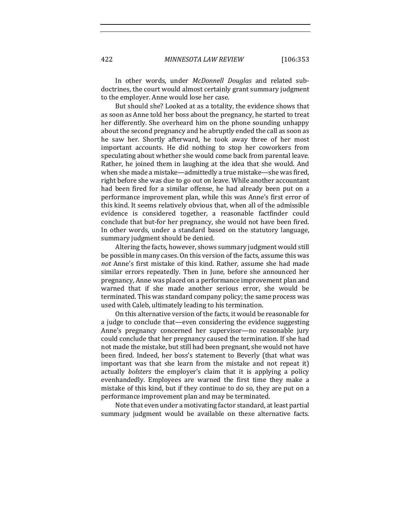422 *MINNESOTA LAW REVIEW* [106:353

In other words, under *McDonnell Douglas* and related subdoctrines, the court would almost certainly grant summary judgment to the employer. Anne would lose her case.

But should she? Looked at as a totality, the evidence shows that as soon as Anne told her boss about the pregnancy, he started to treat her differently. She overheard him on the phone sounding unhappy about the second pregnancy and he abruptly ended the call as soon as he saw her. Shortly afterward, he took away three of her most important accounts. He did nothing to stop her coworkers from speculating about whether she would come back from parental leave. Rather, he joined them in laughing at the idea that she would. And when she made a mistake—admittedly a true mistake—she was fired, right before she was due to go out on leave. While another accountant had been fired for a similar offense, he had already been put on a performance improvement plan, while this was Anne's first error of this kind. It seems relatively obvious that, when all of the admissible evidence is considered together, a reasonable factfinder could conclude that but-for her pregnancy, she would not have been fired. In other words, under a standard based on the statutory language, summary judgment should be denied.

Altering the facts, however, shows summary judgment would still be possible in many cases. On this version of the facts, assume this was *not* Anne's first mistake of this kind. Rather, assume she had made similar errors repeatedly. Then in June, before she announced her pregnancy, Anne was placed on a performance improvement plan and warned that if she made another serious error, she would be terminated. This was standard company policy; the same process was used with Caleb, ultimately leading to his termination.

On this alternative version of the facts, it would be reasonable for a judge to conclude that—even considering the evidence suggesting Anne's pregnancy concerned her supervisor—no reasonable jury could conclude that her pregnancy caused the termination. If she had not made the mistake, but still had been pregnant, she would not have been fired. Indeed, her boss's statement to Beverly (that what was important was that she learn from the mistake and not repeat it) actually *bolsters* the employer's claim that it is applying a policy evenhandedly. Employees are warned the first time they make a mistake of this kind, but if they continue to do so, they are put on a performance improvement plan and may be terminated.

Note that even under a motivating factor standard, at least partial summary judgment would be available on these alternative facts.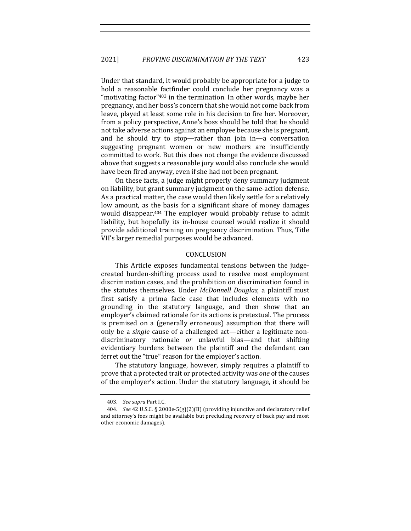Under that standard, it would probably be appropriate for a judge to hold a reasonable factfinder could conclude her pregnancy was a "motivating factor" $403$  in the termination. In other words, maybe her pregnancy, and her boss's concern that she would not come back from leave, played at least some role in his decision to fire her. Moreover, from a policy perspective, Anne's boss should be told that he should not take adverse actions against an employee because she is pregnant, and he should try to stop—rather than join in—a conversation suggesting pregnant women or new mothers are insufficiently committed to work. But this does not change the evidence discussed above that suggests a reasonable jury would also conclude she would have been fired anyway, even if she had not been pregnant.

On these facts, a judge might properly deny summary judgment on liability, but grant summary judgment on the same-action defense. As a practical matter, the case would then likely settle for a relatively low amount, as the basis for a significant share of money damages would disappear.<sup>404</sup> The employer would probably refuse to admit liability, but hopefully its in-house counsel would realize it should provide additional training on pregnancy discrimination. Thus, Title VII's larger remedial purposes would be advanced.

## CONCLUSION

This Article exposes fundamental tensions between the judgecreated burden-shifting process used to resolve most employment discrimination cases, and the prohibition on discrimination found in the statutes themselves. Under *McDonnell Douglas*, a plaintiff must first satisfy a prima facie case that includes elements with no grounding in the statutory language, and then show that an employer's claimed rationale for its actions is pretextual. The process is premised on a (generally erroneous) assumption that there will only be a *single* cause of a challenged act—either a legitimate nondiscriminatory rationale *or* unlawful bias—and that shifting evidentiary burdens between the plaintiff and the defendant can ferret out the "true" reason for the employer's action.

The statutory language, however, simply requires a plaintiff to prove that a protected trait or protected activity was *one* of the causes of the employer's action. Under the statutory language, it should be

<sup>403.</sup> *See supra* Part I.C.

<sup>404.</sup> *See* 42 U.S.C. § 2000e-5(g)(2)(B) (providing injunctive and declaratory relief and attorney's fees might be available but precluding recovery of back pay and most other economic damages).